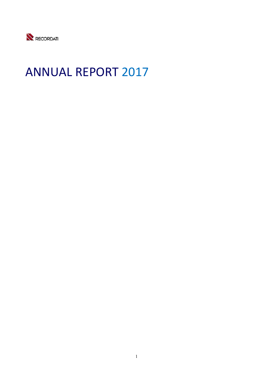

# ANNUAL REPORT 2017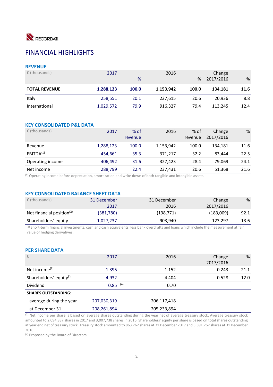

# FINANCIAL HIGHLIGHTS

### **REVENUE**

| $\epsilon$ (thousands) | 2017      | %     | 2016      | %     | Change<br>2017/2016 | %    |
|------------------------|-----------|-------|-----------|-------|---------------------|------|
| <b>TOTAL REVENUE</b>   | 1,288,123 | 100.0 | 1,153,942 | 100.0 | 134,181             | 11.6 |
| Italy                  | 258,551   | 20.1  | 237,615   | 20.6  | 20.936              | 8.8  |
| International          | 1,029,572 | 79.9  | 916,327   | 79.4  | 113,245             | 12.4 |

### **KEY CONSOLIDATED P&L DATA**

| $\epsilon$ (thousands) | 2017      | $%$ of<br>revenue | 2016      | % of<br>revenue | Change<br>2017/2016 | %    |
|------------------------|-----------|-------------------|-----------|-----------------|---------------------|------|
| Revenue                | 1,288,123 | 100.0             | 1,153,942 | 100.0           | 134.181             | 11.6 |
| EBITDA <sup>(1)</sup>  | 454.661   | 35.3              | 371.217   | 32.2            | 83.444              | 22.5 |
| Operating income       | 406,492   | 31.6              | 327.423   | 28.4            | 79.069              | 24.1 |
| Net income             | 288,799   | 22.4              | 237,431   | 20.6            | 51,368              | 21.6 |

 $(1)$  Operating income before depreciation, amortization and write down of both tangible and intangible assets.

### **KEY CONSOLIDATED BALANCE SHEET DATA**

| $\epsilon$ (thousands)       | 31 December<br>2017 | 31 December<br>2016 | Change<br>2017/2016 | %    |
|------------------------------|---------------------|---------------------|---------------------|------|
| Net financial position $(2)$ | (381,780)           | (198, 771)          | (183,009)           | 92.1 |
| Shareholders' equity         | 1,027,237           | 903,940             | 123,297             | 13.6 |

(2) Short-term financial investments, cash and cash equivalents, less bank overdrafts and loans which include the measurement at fair value of hedging derivatives.

### **PER SHARE DATA**

| €                                   | 2017        | 2016        | Change<br>2017/2016 | %    |
|-------------------------------------|-------------|-------------|---------------------|------|
| Net income $(3)$                    | 1.395       | 1.152       | 0.243               | 21.1 |
| Shareholders' equity <sup>(3)</sup> | 4.932       | 4.404       | 0.528               | 12.0 |
| <b>Dividend</b>                     | $0.85$ (4)  | 0.70        |                     |      |
| <b>SHARES OUTSTANDING:</b>          |             |             |                     |      |
| - average during the year           | 207,030,319 | 206,117,418 |                     |      |
| - at December 31                    | 208,261,894 | 205,233,894 |                     |      |

<sup>(3)</sup> Net income per share is based on average shares outstanding during the year net of average treasury stock. Average treasury stock amounted to 2,094,837 shares in 2017 and 3,007,738 shares in 2016. Shareholders' equity per share is based on total shares outstanding at year end net of treasury stock. Treasury stock amounted to 863.262 shares at 31 December 2017 and 3.891.262 shares at 31 December 2016.

(4) Proposed by the Board of Directors.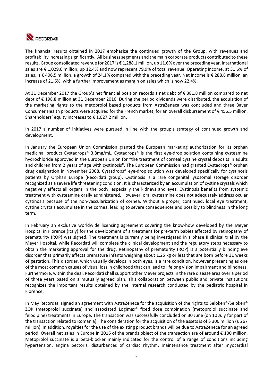

The financial results obtained in 2017 emphasize the continued growth of the Group, with revenues and profitability increasing significantly. All business segments and the main corporate products contributed to these results. Group consolidated revenue for 2017 is € 1,288.1 million, up 11.6% over the preceding year. International sales are € 1,029.6 million, up 12.4% and now represent 79.9% of total revenue. Operating income, at 31.6% of sales, is € 406.5 million, a growth of 24.1% compared with the preceding year. Net income is € 288.8 million, an increase of 21.6%, with a further improvement as margin on sales which is now 22.4%.

At 31 December 2017 the Group's net financial position records a net debt of € 381.8 million compared to net debt of € 198.8 million at 31 December 2016. During the period dividends were distributed, the acquisition of the marketing rights to the metoprolol based products from AstraZeneca was concluded and three Bayer Consumer Health products were acquired for the French market, for an overall disbursement of € 456.5 million. Shareholders' equity increases to  $\epsilon$  1,027.2 million.

In 2017 a number of initiatives were pursued in line with the group's strategy of continued growth and development.

In January the European Union Commission granted the European marketing authorization for its orphan medicinal product Cystadrops® 3.8mg/mL. Cystadrops® is the first eye-drop solution containing cysteamine hydrochloride approved in the European Union for "the treatment of corneal cystine crystal deposits in adults and children from 2 years of age with cystinosis". The European Commission had granted Cystadrops® orphan drug designation in November 2008. Cystadrops® eye‐drop solution was developed specifically for cystinosis patients by Orphan Europe (Recordati group). Cystinosis is a rare congenital lysosomal storage disorder recognized as a severe life threatening condition. It is characterized by an accumulation of cystine crystals which negatively affects all organs in the body, especially the kidneys and eyes. Cystinosis benefits from systemic treatment with cysteamine orally administered. However, oral cysteamine does not adequately address ocular cystinosis because of the non-vascularization of cornea. Without a proper, continued, local eye treatment, cystine crystals accumulate in the cornea, leading to severe consequences and possibly to blindness in the long term.

In February an exclusive worldwide licensing agreement covering the know-how developed by the Meyer Hospital in Florence (Italy) for the development of a treatment for pre‐term babies affected by retinopathy of prematurity (ROP) was signed. The treatment is currently being investigated in a phase II clinical trial by the Meyer Hospital, while Recordati will complete the clinical development and the regulatory steps necessary to obtain the marketing approval for the drug. Retinopathy of prematurity (ROP) is a potentially blinding eye disorder that primarily affects premature infants weighing about 1.25 kg or less that are born before 31 weeks of gestation. This disorder, which usually develops in both eyes, is a rare condition, however presenting as one of the most common causes of visual loss in childhood that can lead to lifelong vision impairment and blindness. Furthermore, within the deal, Recordati shall support other Meyer projects in the rare disease area over a period of three years based on a mutually agreed plan. This collaboration between public and private institutions recognizes the important results obtained by the internal research conducted by the pediatric hospital in Florence.

In May Recordati signed an agreement with AstraZeneca for the acquisition of the rights to Seloken®/Seloken® ZOK (metoprolol succinate) and associated Logimax® fixed dose combination (metoprolol succinate and felodipine) treatments in Europe. The transaction was successfully concluded on 30 June (on 10 July for part of the transaction related to Romania). The consideration for the acquisition of the assets is of \$ 300 million (€ 267 million). In addition, royalties for the use of the existing product brands will be due to AstraZeneca for an agreed period. Overall net sales in Europe in 2016 of the brands object of the transaction are of around € 100 million. Metoprolol succinate is a beta-blocker mainly indicated for the control of a range of conditions including hypertension, angina pectoris, disturbances of cardiac rhythm, maintenance treatment after myocardial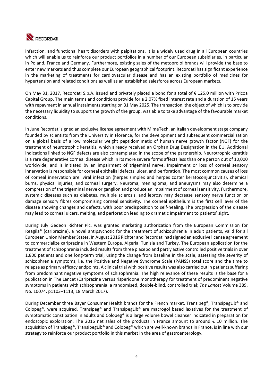

infarction, and functional heart disorders with palpitations. It is a widely used drug in all European countries which will enable us to reinforce our product portfolios in a number of our European subsidiaries, in particular in Poland, France and Germany. Furthermore, existing sales of the metoprolol brands will provide the base to enter new markets and thus complete our European geographical footprint. Recordati has significant experience in the marketing of treatments for cardiovascular disease and has an existing portfolio of medicines for hypertension and related conditions as well as an established salesforce across European markets.

On May 31, 2017, Recordati S.p.A. issued and privately placed a bond for a total of € 125.0 million with Pricoa Capital Group. The main terms and conditions provide for a 2.07% fixed interest rate and a duration of 15 years with repayment in annual instalments starting on 31 May 2025. The transaction, the object of which is to provide the necessary liquidity to support the growth of the group, was able to take advantage of the favourable market conditions.

In June Recordati signed an exclusive license agreement with MimeTech, an Italian development stage company founded by scientists from the University in Florence, for the development and subsequent commercialization on a global basis of a low molecular weight peptidomimetic of human nerve growth factor (NGF) for the treatment of neurotrophic keratitis, which already received an Orphan Drug Designation in the EU. Additional indications linked to NGF defects are also contemplated in the scope of the partnership. Neurotrophic keratitis is a rare degenerative corneal disease which in its more severe forms affects less than one person out of 10,000 worldwide, and is initiated by an impairment of trigeminal nerve. Impairment or loss of corneal sensory innervation is responsible for corneal epithelial defects, ulcer, and perforation. The most common causes of loss of corneal innervation are: viral infection (herpes simplex and herpes zoster keratoconjunctivitis), chemical burns, physical injuries, and corneal surgery. Neuroma, meningioma, and aneurysms may also determine a compression of the trigeminal nerve or ganglion and produce an impairment of corneal sensitivity. Furthermore, systemic diseases such as diabetes, multiple sclerosis, and leprosy may decrease sensory nerve function or damage sensory fibres compromising corneal sensitivity. The corneal epithelium is the first cell layer of the disease showing changes and defects, with poor predisposition to self‐healing. The progression of the disease may lead to corneal ulcers, melting, and perforation leading to dramatic impairment to patients' sight.

During July Gedeon Richter Plc. was granted marketing authorization from the European Commission for Reagila® (cariprazine), a novel antipsychotic for the treatment of schizophrenia in adult patients, valid for all European Union Member States. In August 2016 Richter and Recordati had signed an exclusive license agreement to commercialize cariprazine in Western Europe, Algeria, Tunisia and Turkey. The European application for the treatment of schizophrenia included results from three placebo and partly active controlled positive trials in over 1,800 patients and one long‐term trial, using the change from baseline in the scale, assessing the severity of schizophrenia symptoms, i.e. the Positive and Negative Syndrome Scale (PANSS) total score and the time to relapse as primary efficacy endpoints. A clinical trial with positive results was also carried out in patients suffering from predominant negative symptoms of schizophrenia. The high relevance of these results is the base for a publication in The Lancet (Cariprazine versus risperidone monotherapy for treatment of predominant negative symptoms in patients with schizophrenia: a randomised, double‐blind, controlled trial; *The Lancet* Volume 389, No. 10074, p1103–1113, 18 March 2017).

During December three Bayer Consumer Health brands for the French market, Transipeg®, TransipegLib® and Colopeg®, were acquired. Transipeg® and TransipegLib® are macrogol based laxatives for the treatment of symptomatic constipation in adults and Colopeg® is a large volume bowel cleanser indicated in preparation for endoscopic exploration. The 2016 net sales of the products in France amount to around  $\epsilon$  10 million. The acquisition of Transipeg®, TransipegLib® and Colopeg® which are well-known brands in France, is in line with our strategy to reinforce our product portfolio in this market in the area of gastroenterology.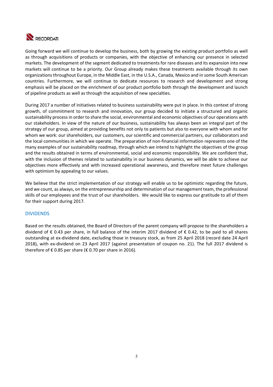

Going forward we will continue to develop the business, both by growing the existing product portfolio as well as through acquisitions of products or companies, with the objective of enhancing our presence in selected markets. The development of the segment dedicated to treatments for rare diseases and its expansion into new markets will continue to be a priority. Our Group already makes these treatments available through its own organizations throughout Europe, in the Middle East, in the U.S.A., Canada, Mexico and in some South American countries. Furthermore, we will continue to dedicate resources to research and development and strong emphasis will be placed on the enrichment of our product portfolio both through the development and launch of pipeline products as well as through the acquisition of new specialties.

During 2017 a number of initiatives related to business sustainability were put in place. In this context of strong growth, of commitment to research and innovation, our group decided to initiate a structured and organic sustainability process in order to share the social, environmental and economic objectives of our operations with our stakeholders. In view of the nature of our business, sustainability has always been an integral part of the strategy of our group, aimed at providing benefits not only to patients but also to everyone with whom and for whom we work: our shareholders, our customers, our scientific and commercial partners, our collaborators and the local communities in which we operate. The preparation of non‐financial information represents one of the many examples of our sustainability roadmap, through which we intend to highlight the objectives of the group and the results obtained in terms of environmental, social and economic responsibility. We are confident that, with the inclusion of themes related to sustainability in our business dynamics, we will be able to achieve our objectives more effectively and with increased operational awareness, and therefore meet future challenges with optimism by appealing to our values.

We believe that the strict implementation of our strategy will enable us to be optimistic regarding the future, and we count, as always, on the entrepreneurship and determination of our management team, the professional skills of our employees and the trust of our shareholders. We would like to express our gratitude to all of them for their support during 2017.

### DIVIDENDS

Based on the results obtained, the Board of Directors of the parent company will propose to the shareholders a dividend of € 0.43 per share, in full balance of the interim 2017 dividend of € 0.42, to be paid to all shares outstanding at ex‐dividend date, excluding those in treasury stock, as from 25 April 2018 (record date 24 April 2018), with ex‐dividend on 23 April 2017 (against presentation of coupon no. 21). The full 2017 dividend is therefore of  $\epsilon$  0.85 per share ( $\epsilon$  0.70 per share in 2016).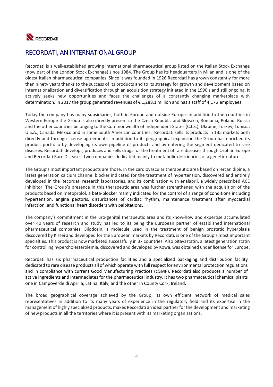

# RECORDATI, AN INTERNATIONAL GROUP

Recordati is a well‐established growing international pharmaceutical group listed on the Italian Stock Exchange (now part of the London Stock Exchange) since 1984. The Group has its headquarters in Milan and is one of the oldest Italian pharmaceutical companies. Since it was founded in 1926 Recordati has grown constantly for more than ninety years thanks to the success of its products and to its strategy for growth and development based on internationalization and diversification through an acquisition strategy initiated in the 1990's and still ongoing. It actively seeks new opportunities and faces the challenges of a constantly changing marketplace with determination. In 2017 the group generated revenues of € 1,288.1 million and has a staff of 4,176 employees.

Today the company has many subsidiaries, both in Europe and outside Europe. In addition to the countries in Western Europe the Group is also directly present in the Czech Republic and Slovakia, Romania, Poland, Russia and the other countries belonging to the Commonwealth of Independent States (C.I.S.), Ukraine, Turkey, Tunisia, U.S.A., Canada, Mexico and in some South American countries. Recordati sells its products in 135 markets both directly and through license agreements. In addition to its geographical expansion the Group has enriched its product portfolio by developing its own pipeline of products and by entering the segment dedicated to rare diseases. Recordati develops, produces and sells drugs for the treatment of rare diseases through Orphan Europe and Recordati Rare Diseases, two companies dedicated mainly to metabolic deficiencies of a genetic nature.

The Group's most important products are those, in the cardiovascular therapeutic area based on lercanidipine, a latest generation calcium channel blocker indicated for the treatment of hypertension, discovered and entirely developed in the Recordati research laboratories, and its combination with enalapril, a widely prescribed ACE inhibitor. The Group's presence in this therapeutic area was further strengthened with the acquisition of the products based on metoprolol, a beta‐blocker mainly indicated for the control of a range of conditions including hypertension, angina pectoris, disturbances of cardiac rhythm, maintenance treatment after myocardial infarction, and functional heart disorders with palpitations.

The company's commitment in the uro-genital therapeutic area and its know-how and expertise accumulated over 40 years of research and study has led to its being the European partner of established international pharmaceutical companies. Silodosin, a molecule used in the treatment of benign prostatic hyperplasia discovered by Kissei and developed for the European markets by Recordati, is one of the Group's most important specialties. This product is now marketed successfully in 37 countries. Also pitavastatin, a latest generation statin for controlling hypercholesterolemia, discovered and developed by Kowa, was obtained under license for Europe.

Recordati has six pharmaceutical production facilities and a specialized packaging and distribution facility dedicated to rare disease products all of which operate with full respect for environmental protection regulations and in compliance with current Good Manufacturing Practices (cGMP). Recordati also produces a number of active ingredients and intermediates for the pharmaceutical industry. It has two pharmaceutical chemical plants one in Campoverde di Aprilia, Latina, Italy, and the other in County Cork, Ireland.

The broad geographical coverage achieved by the Group, its own efficient network of medical sales representatives in addition to its many years of experience in the regulatory field and its expertise in the management of highly specialized products, makes Recordati an ideal partner for the development and marketing of new products in all the territories where it is present with its marketing organizations.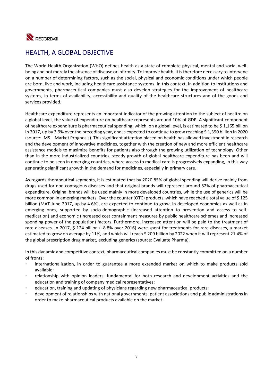

# HEALTH, A GLOBAL OBJECTIVE

The World Health Organization (WHO) defines health as a state of complete physical, mental and social well‐ being and not merely the absence of disease or infirmity. To improve health, it is therefore necessary to intervene on a number of determining factors, such as the social, physical and economic conditions under which people are born, live and work, including healthcare assistance systems. In this context, in addition to institutions and governments, pharmaceutical companies must also develop strategies for the improvement of healthcare systems, in terms of availability, accessibility and quality of the healthcare structures and of the goods and services provided.

Healthcare expenditure represents an important indicator of the growing attention to the subject of health: on a global level, the value of expenditure on healthcare represents around 10% of GDP. A significant component of healthcare expenditure is pharmaceutical spending, which, on a global level, is estimated to be \$ 1,165 billion in 2017, up by 3.9% over the preceding year, and is expected to continue to grow reaching \$1,390 billion in 2020 (source: IMS – Market Prognosis). This significant attention placed on health has allowed investment in research and the development of innovative medicines, together with the creation of new and more efficient healthcare assistance models to maximize benefits for patients also through the growing utilization of technology. Other than in the more industrialized countries, steady growth of global healthcare expenditure has been and will continue to be seen in emerging countries, where access to medical care is progressively expanding, in this way generating significant growth in the demand for medicines, especially in primary care.

As regards therapeutical segments, it is estimated that by 2020 85% of global spending will derive mainly from drugs used for non contagious diseases and that original brands will represent around 52% of pharmaceutical expenditure. Original brands will be used mainly in more developed countries, while the use of generics will be more common in emerging markets. Over the counter (OTC) products, which have reached a total value of \$ 125 billion (MAT June 2017, up by 4.6%), are expected to continue to grow, in developed economies as well as in emerging ones, supported by socio-demographic (increased attention to prevention and access to selfmedication) and economic (increased cost containment measures by public healthcare schemes and increased spending power of the population) factors. Furthermore, increased attention will be paid to the treatment of rare diseases. In 2017, \$ 124 billion (+8.8% over 2016) were spent for treatments for rare diseases, a market estimated to grow on average by 11%, and which will reach \$ 209 billion by 2022 when it will represent 21.4% of the global prescription drug market, excluding generics (source: Evaluate Pharma).

In this dynamic and competitive context, pharmaceutical companies must be constantly committed on a number of fronts:

- internationalization, in order to guarantee a more extended market on which to make products sold available;
- relationship with opinion leaders, fundamental for both research and development activities and the education and training of company medical representatives;
- education, training and updating of physicians regarding new pharmaceutical products;
- development of relationships with national governments, patient associations and public administrations in order to make pharmaceutical products available on the market.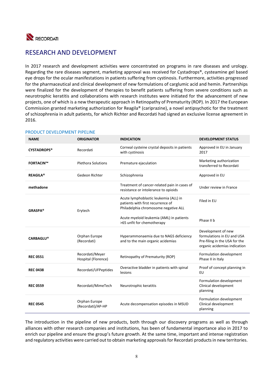

# RESEARCH AND DEVELOPMENT

In 2017 research and development activities were concentrated on programs in rare diseases and urology. Regarding the rare diseases segment, marketing approval was received for Cystadrops®, cysteamine gel based eye drops for the ocular manifestations in patients suffering from cystinosis. Furthermore, activities progressed for the pharmaceutical and clinical development of new formulations of carglumic acid and hemin. Partnerships were finalized for the development of therapies to benefit patients suffering from severe conditions such as neurotrophic keratitis and collaborations with research institutes were initiated for the advancement of new projects, one of which is a new therapeutic approach in Retinopathy of Prematurity (ROP). In 2017 the European Commission granted marketing authorization for Reagila® (cariprazine), a novel antipsychotic for the treatment of schizophrenia in adult patients, for which Richter and Recordati had signed an exclusive license agreement in 2016.

| <b>NAME</b>        | <b>ORIGINATOR</b>                      | <b>INDICATION</b>                                                                                                  | <b>DEVELOPMENT STATUS</b>                                                                                         |
|--------------------|----------------------------------------|--------------------------------------------------------------------------------------------------------------------|-------------------------------------------------------------------------------------------------------------------|
| <b>CYSTADROPS®</b> | Recordati                              | Corneal cysteine crystal deposits in patients<br>with cystinosis                                                   | Approved in EU in January<br>2017                                                                                 |
| <b>FORTACIN™</b>   | <b>Plethora Solutions</b>              | Premature ejaculation                                                                                              | Marketing authorization<br>transferred to Recordati                                                               |
| <b>REAGILA®</b>    | Gedeon Richter                         | Schizophrenia                                                                                                      | Approved in EU                                                                                                    |
| methadone          |                                        | Treatment of cancer-related pain in cases of<br>resistance or intolerance to opioids                               | Under review in France                                                                                            |
| <b>GRASPA®</b>     | Erytech                                | Acute lymphoblastic leukemia (ALL) in<br>patients with first recurrence of<br>Philadelphia chromosome negative ALL | Filed in EU                                                                                                       |
|                    |                                        | Acute myeloid leukemia (AML) in patients<br>>65 unfit for chemotherapy                                             | Phase II b                                                                                                        |
| <b>CARBAGLU®</b>   | Orphan Europe<br>(Recordati)           | Hyperammonaemia due to NAGS deficiency<br>and to the main organic acidemias                                        | Development of new<br>formulations in EU and USA<br>Pre-filing in the USA for the<br>organic acidemias indication |
| <b>REC 0551</b>    | Recordati/Meyer<br>Hospital (Florence) | Retinopathy of Prematurity (ROP)                                                                                   | Formulation development<br>Phase II in Italy                                                                      |
| <b>REC 0438</b>    | Recordati/UFPeptides                   | Overactive bladder in patients with spinal<br>lesions                                                              | Proof of concept planning in<br>EU                                                                                |
| <b>REC 0559</b>    | Recordati/MimeTech                     | Neurotrophic keratitis                                                                                             | Formulation development<br>Clinical development<br>planning                                                       |
| <b>REC 0545</b>    | Orphan Europe<br>(Recordati)/AP-HP     | Acute decompensation episodes in MSUD                                                                              | Formulation development<br>Clinical development<br>planning                                                       |

### PRODUCT DEVELOPMENT PIPELINE

The introduction in the pipeline of new products, both through our discovery programs as well as through alliances with other research companies and institutions, has been of fundamental importance also in 2017 to enrich our pipeline and ensure the group's future growth. At the same time, important and intense registration and regulatory activities were carried out to obtain marketing approvals for Recordati products in new territories.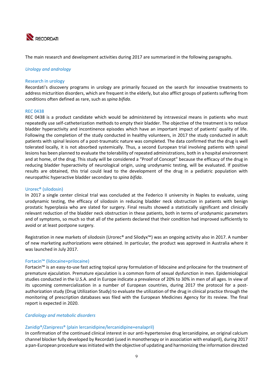

The main research and development activities during 2017 are summarized in the following paragraphs.

### *Urology and andrology*

### Research in urology

Recordati's discovery programs in urology are primarily focused on the search for innovative treatments to address micturition disorders, which are frequent in the elderly, but also afflict groups of patients suffering from conditions often defined as rare, such as *spina bifida*.

#### REC 0438

REC 0438 is a product candidate which would be administered by intravesical means in patients who must repeatedly use self‐catheterization methods to empty their bladder. The objective of the treatment is to reduce bladder hyperactivity and incontinence episodes which have an important impact of patients' quality of life. Following the completion of the study conducted in healthy volunteers, in 2017 the study conducted in adult patients with spinal lesions of a post‐traumatic nature was completed. The data confirmed that the drug is well tolerated locally, it is not absorbed systemically. Thus, a second European trial involving patients with spinal lesions has been planned to evaluate the tolerability of repeated administrations, both in a hospital environment and at home, of the drug. This study will be considered a "Proof of Concept" because the efficacy of the drug in reducing bladder hyperactivity of neurological origin, using urodynamic testing, will be evaluated. If positive results are obtained, this trial could lead to the development of the drug in a pediatric population with neuropathic hyperactive bladder secondary to *spina bifida*.

#### Urorec® (silodosin)

In 2017 a single center clinical trial was concluded at the Federico II university in Naples to evaluate, using urodynamic testing, the efficacy of silodosin in reducing bladder neck obstruction in patients with benign prostatic hyperplasia who are slated for surgery. Final results showed a statistically significant and clinically relevant reduction of the bladder neck obstruction in these patients, both in terms of urodynamic parameters and of symptoms, so much so that all of the patients declared that their condition had improved sufficiently to avoid or at least postpone surgery.

Registration in new markets of silodosin (Urorec® and Silodyx™) was an ongoing activity also in 2017. A number of new marketing authorizations were obtained. In particular, the product was approved in Australia where it was launched in July 2017.

### Fortacin™ (lidocaine+prilocaine)

Fortacin™ is an easy‐to‐use fast acting topical spray formulation of lidocaine and prilocaine for the treatment of premature ejaculation. Premature ejaculation is a common form of sexual dysfunction in men. Epidemiological studies conducted in the U.S.A. and in Europe indicate a prevalence of 20% to 30% in men of all ages. In view of its upcoming commercialization in a number of European countries, during 2017 the protocol for a postauthorization study (Drug Utilization Study) to evaluate the utilization of the drug in clinical practice through the monitoring of prescription databases was filed with the European Medicines Agency for its review. The final report is expected in 2020.

### *Cardiology and metabolic disorders*

### Zanidip®/Zanipress® (plain lercanidipine/lercanidipine+enalapril)

In confirmation of the continued clinical interest in our anti-hypertensive drug lercanidipine, an original calcium channel blocker fully developed by Recordati (used in monotherapy or in association with enalapril), during 2017 a pan‐European procedure was initiated with the objective of updating and harmonizing the information directed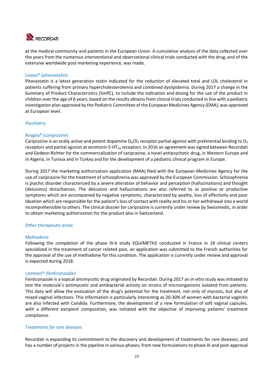

at the medical community and patients in the European Union. A cumulative analysis of the data collected over the years from the numerous interventional and observational clinical trials conducted with the drug, and of the extensive worldwide post‐marketing experience, was made.

### Livazo® (pitavastatin)

Pitavastatin is a latest generation statin indicated for the reduction of elevated total and LDL cholesterol in patients suffering from primary hypercholesterolemia and combined dyslipidemia. During 2017 a change in the Summary of Product Characteristics (SmPC), to include the indication and dosing for the use of the product in children over the age of 6 years, based on the results obtains from clinical trials conducted in line with a pediatric investigation plan approved by the Pediatric Committee of the European Medicines Agency (EMA), was approved at European level.

### *Psychiatry*

### Reagila® (cariprazine)

Cariprazine is an orally active and potent dopamine  $D_3/D_2$  receptor partial agonist with preferential binding to  $D_3$ receptors and partial agonist at serotonin 5-HT<sub>1A</sub> receptors. In 2016 an agreement was signed between Recordati and Gedeon Richter for the commercialization of cariprazine, a novel antipsychotic drug, in Western Europe and in Algeria, in Tunisia and in Turkey and for the development of a pediatric clinical program in Europe.

During 2017 the marketing authorization application (MAA) filed with the European Medicines Agency for the use of cariprazine for the treatment of schizophrenia was approved by the European Commission. Schizophrenia is psychic disorder characterized by a severe alteration of behavior and perception (hallucinations) and thought (delusions) disturbances. The delusions and hallucinations are also referred to as positive or productive symptoms which are accompanied by negative symptoms, characterized by apathy, loss of affectivity and poor ideation which are responsible for the patient's loss of contact with reality and his or her withdrawal into a world incomprehensible to others. The clinical dossier for cariprazine is currently under review by Swissmedic, in order to obtain marketing authorization for the product also in Switzerland.

### *Other therapeutic areas*

### Methadone

Following the completion of the phase III-b study EQUIMETH2 conducted in France in 18 clinical centers specialized in the treatment of cancer related pain, an application was submitted to the French authorities for the approval of the use of methadone for this condition. The application is currently under review and approval is expected during 2018.

### Lomexin® (fenticonazole)

Fenticonazole is a topical antimycotic drug originated by Recordati. During 2017 an *in vitro* study was initiated to test the molecule's antimycotic and antibacterial activity on strains of microorganisms isolated from patients. This data will allow the evaluation of the drug's potential for the treatment, not only of mycosis, but also of mixed vaginal infections. This information is particularly interesting as 20‐30% of women with bacterial vaginitis are also infected with Candida. Furthermore, the development of a new formulation of soft vaginal capsules, with a different excipient composition, was initiated with the objective of improving patients' treatment compliance.

### *Treatments for rare diseases*

Recordati is expanding its commitment to the discovery and development of treatments for rare diseases, and has a number of projects in the pipeline in various phases, from new formulations to phase III and post-approval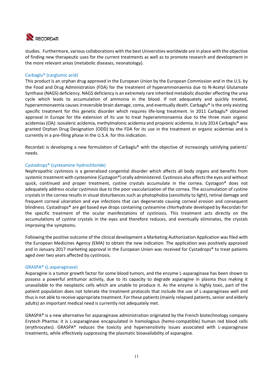

studies. Furthermore, various collaborations with the best Universities worldwide are in place with the objective of finding new therapeutic uses for the current treatments as well as to promote research and development in the more relevant areas (metabolic diseases, neonatology).

### Carbaglu® (carglumic acid)

This product is an orphan drug approved in the European Union by the European Commission and in the U.S. by the Food and Drug Administration (FDA) for the treatment of hyperammonaemia due to N‐Acetyl Glutamate Synthase (NAGS) deficiency. NAGS deficiency is an extremely rare inherited metabolic disorder affecting the urea cycle which leads to accumulation of ammonia in the blood. If not adequately and quickly treated, hyperammonaemia causes irreversible brain damage, coma, and eventually death. Carbaglu® is the only existing specific treatment for this genetic disorder which requires life-long treatment. In 2011 Carbaglu® obtained approval in Europe for the extension of its use to treat hyperammonaemia due to the three main organic acidemias (OA): isovaleric acidemia, methylmalonic acidemia and propionic acidemia. In July 2014 Carbaglu® was granted Orphan Drug Designation (ODD) by the FDA for its use in the treatment or organic acidemias and is currently in a pre‐filing phase in the U.S.A. for this indication.

Recordati is developing a new formulation of Carbaglu® with the objective of increasingly satisfying patients' needs.

### Cystadrops® (cysteamine hydrochloride)

Nephropathic cystinosis is a generalized congenital disorder which affects all body organs and benefits from systemic treatment with cysteamine (Cystagon®) orally administered. Cystinosis also affects the eyes and without quick, continued and proper treatment, cystine crystals accumulate in the cornea. Cystagon® does not adequately address ocular cystinosis due to the poor vascularization of the cornea. The accumulation of cystine crystals in the cornea results in visual disturbances such as photophobia (sensitivity to light), retinal damage and frequent corneal ulceration and eye infections that can degenerate causing corneal erosion and consequent blindness. Cystadrops® are gel based eye drops containing cysteamine chlorhydrate developed by Recordati for the specific treatment of the ocular manifestations of cystinosis. This treatment acts directly on the accumulations of cystine crystals in the eyes and therefore reduces, and eventually eliminates, the crystals improving the symptoms.

Following the positive outcome of the clinical development a Marketing Authorization Application was filed with the European Medicines Agency (EMA) to obtain the new indication. The application was positively appraised and in January 2017 marketing approval in the European Union was received for Cystadrops® to treat patients aged over two years affected by cystinosis.

### GRASPA® (L‐asparaginase)

Asparagine is a tumor growth factor for some blood tumors, and the enzyme L‐asparaginase has been shown to possess a powerful antitumor activity, due to its capacity to degrade asparagine in plasma thus making it unavailable to the neoplastic cells which are unable to produce it. As the enzyme is highly toxic, part of the patient population does not tolerate the treatment protocols that include the use of L‐asparaginase well and thus is not able to receive appropriate treatment. For these patients (mainly relapsed patients, senior and elderly adults) an important medical need is currently not adequately met.

GRASPA® is a new alternative for asparaginase administration originated by the French biotechnology company Erytech Pharma: it is L‐asparaginase encapsulated in homologous (hemo‐compatible) human red blood cells (erythrocytes). GRASPA® reduces the toxicity and hypersensitivity issues associated with L‐asparaginase treatments, while effectively suppressing the plasmatic bioavailability of asparagine.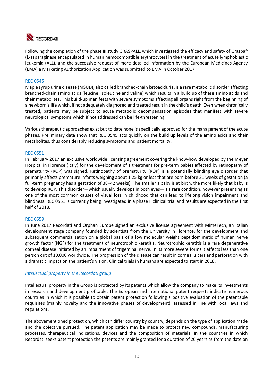

Following the completion of the phase III study GRASPALL, which investigated the efficacy and safety of Graspa® (L‐asparaginase encapsulated in human hemocompatible erythrocytes) in the treatment of acute lymphoblastic leukemia (ALL), and the successive request of more detailed information by the European Medicines Agency (EMA) a Marketing Authorization Application was submitted to EMA in October 2017.

### REC 0545

Maple syrup urine disease (MSUD), also called branched‐chain ketoaciduria, is a rare metabolic disorder affecting branched-chain amino acids (leucine, isoleucine and valine) which results in a build up of these amino acids and their metabolites. This build‐up manifests with severe symptoms affecting all organs right from the beginning of a newborn's life which, if not adequately diagnosed and treated result in the child's death. Even when chronically treated, patients may be subject to acute metabolic decompensation episodes that manifest with severe neurological symptoms which if not addressed can be life‐threatening.

Various therapeutic approaches exist but to date none is specifically approved for the management of the acute phases. Preliminary data show that REC 0545 acts quickly on the build up levels of the amino acids and their metabolites, thus considerably reducing symptoms and patient mortality.

### REC 0551

In February 2017 an exclusive worldwide licensing agreement covering the know-how developed by the Meyer Hospital in Florence (Italy) for the development of a treatment for pre‐term babies affected by retinopathy of prematurity (ROP) was signed. Retinopathy of prematurity (ROP) is a potentially blinding eye disorder that primarily affects premature infants weighing about 1.25 kg or less that are born before 31 weeks of gestation (a full-term pregnancy has a gestation of 38-42 weeks). The smaller a baby is at birth, the more likely that baby is to develop ROP. This disorder—which usually develops in both eyes—is a rare condition, however presenting as one of the most common causes of visual loss in childhood that can lead to lifelong vision impairment and blindness. REC 0551 is currently being investigated in a phase II clinical trial and results are expected in the first half of 2018.

### REC 0559

In June 2017 Recordati and Orphan Europe signed an exclusive license agreement with MimeTech, an Italian development stage company founded by scientists from the University in Florence, for the development and subsequent commercialization on a global basis of a low molecular weight peptidomimetic of human nerve growth factor (NGF) for the treatment of neurotrophic keratitis. Neurotrophic keratitis is a rare degenerative corneal disease initiated by an impairment of trigeminal nerve. In its more severe forms it affects less than one person out of 10,000 worldwide. The progression of the disease can result in corneal ulcers and perforation with a dramatic impact on the patient's vision. Clinical trials in humans are expected to start in 2018.

### *Intellectual property in the Recordati group*

Intellectual property in the Group is protected by its patents which allow the company to make its investments in research and development profitable. The European and international patent requests indicate numerous countries in which it is possible to obtain patent protection following a positive evaluation of the patentable requisites (mainly novelty and the innovative phases of development), assessed in line with local laws and regulations.

The abovementioned protection, which can differ country by country, depends on the type of application made and the objective pursued. The patent application may be made to protect new compounds, manufacturing processes, therapeutical indications, devices and the composition of materials. In the countries in which Recordati seeks patent protection the patents are mainly granted for a duration of 20 years as from the date on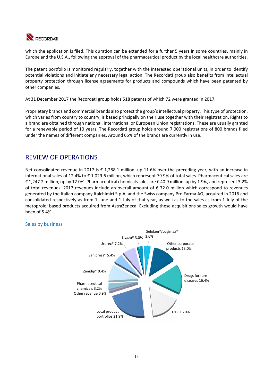

which the application is filed. This duration can be extended for a further 5 years in some countries, mainly in Europe and the U.S.A., following the approval of the pharmaceutical product by the local healthcare authorities.

The patent portfolio is monitored regularly, together with the interested operational units, in order to identify potential violations and initiate any necessary legal action. The Recordati group also benefits from intellectual property protection through license agreements for products and compounds which have been patented by other companies.

At 31 December 2017 the Recordati group holds 518 patents of which 72 were granted in 2017.

Proprietary brands and commercial brands also protect the group's intellectual property. This type of protection, which varies from country to country, is based principally on their use together with their registration. Rights to a brand are obtained through national, international or European Union registrations. These are usually granted for a renewable period of 10 years. The Recordati group holds around 7,000 registrations of 800 brands filed under the names of different companies. Around 65% of the brands are currently in use.

# REVIEW OF OPERATIONS

Net consolidated revenue in 2017 is € 1,288.1 million, up 11.6% over the preceding year, with an increase in international sales of 12.4% to € 1,029.6 million, which represent 79.9% of total sales. Pharmaceutical sales are € 1,247.2 million, up by 12.0%. Pharmaceutical chemicals sales are € 40.9 million, up by 1.9%, and represent 3.2% of total revenues. 2017 revenues include an overall amount of  $\epsilon$  72.0 million which correspond to revenues generated by the Italian company Italchimici S.p.A. and the Swiss company Pro Farma AG, acquired in 2016 and consolidated respectively as from 1 June and 1 July of that year, as well as to the sales as from 1 July of the metoprolol based products acquired from AstraZeneca. Excluding these acquisitions sales growth would have been of 5.4%.

### Sales by business

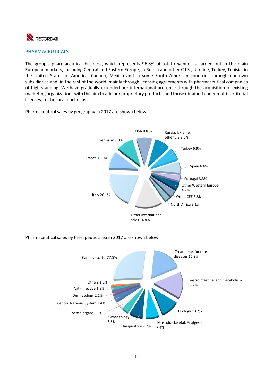

### PHARMACEUTICALS

The group's pharmaceutical business, which represents 96.8% of total revenue, is carried out in the main European markets, including Central and Eastern Europe, in Russia and other C.I.S., Ukraine, Turkey, Tunisia, in the United States of America, Canada, Mexico and in some South American countries through our own subsidiaries and, in the rest of the world, mainly through licensing agreements with pharmaceutical companies of high standing. We have gradually extended our international presence through the acquisition of existing marketing organizations with the aim to add our proprietary products, and those obtained under multi‐territorial licenses, to the local portfolios.



Pharmaceutical sales by geography in 2017 are shown below:

Pharmaceutical sales by therapeutic area in 2017 are shown below:

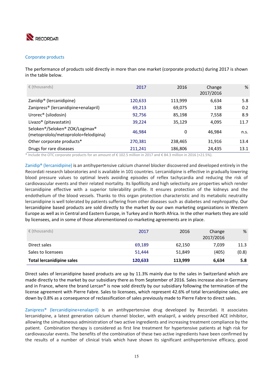

### Corporate products

The performance of products sold directly in more than one market (corporate products) during 2017 is shown in the table below.

| $\epsilon$ (thousands)                                                 | 2017    | 2016    | Change<br>2017/2016 | %    |
|------------------------------------------------------------------------|---------|---------|---------------------|------|
| Zanidip <sup>®</sup> (lercanidipine)                                   | 120,633 | 113,999 | 6,634               | 5.8  |
| Zanipress® (lercanidipine+enalapril)                                   | 69,213  | 69,075  | 138                 | 0.2  |
| Urorec <sup>®</sup> (silodosin)                                        | 92,756  | 85,198  | 7,558               | 8.9  |
| Livazo <sup>®</sup> (pitavastatin)                                     | 39,224  | 35,129  | 4,095               | 11.7 |
| Seloken®/Seloken® ZOK/Logimax®<br>(metoprololo/metoprololo+felodipina) | 46,984  | 0       | 46.984              | n.s. |
| Other corporate products*                                              | 270,381 | 238,465 | 31,916              | 13.4 |
| Drugs for rare diseases                                                | 211.241 | 186,806 | 24.435              | 13.1 |

\* Include the OTC corporate products for an amount of  $\epsilon$  102.5 million in 2017 and  $\epsilon$  84.3 million in 2016 (+21.5%).

Zanidip® (lercanidipine) is an antihypertensive calcium channel blocker discovered and developed entirely in the Recordati research laboratories and is available in 101 countries. Lercanidipine is effective in gradually lowering blood pressure values to optimal levels avoiding episodes of reflex tachycardia and reducing the risk of cardiovascular events and their related mortality. Its lipofilicity and high selectivity are properties which render lercanidipine effective with a superior tolerability profile. It ensures protection of the kidneys and the endothelium of the blood vessels. Thanks to this organ protection characteristic and its metabolic neutrality lercanidipine is well tolerated by patients suffering from other diseases such as diabetes and nephropathy. Our lercanidipine based products are sold directly to the market by our own marketing organizations in Western Europe as well as in Central and Eastern Europe, in Turkey and in North Africa. In the other markets they are sold by licensees, and in some of those aforementioned co-marketing agreements are in place.

| $\epsilon$ (thousands)           | 2017    | 2016    | Change<br>2017/2016 | %     |
|----------------------------------|---------|---------|---------------------|-------|
| Direct sales                     | 69.189  | 62,150  | 7.039               | 11.3  |
| Sales to licensees               | 51.444  | 51.849  | (405)               | (0.8) |
| <b>Total lercanidipine sales</b> | 120,633 | 113,999 | 6,634               | 5.8   |

Direct sales of lercanidipine based products are up by 11.3% mainly due to the sales in Switzerland which are made directly to the market by our subsidiary there as from September of 2016. Sales increase also in Germany and in France, where the brand Lercan® is now sold directly by our subsidiary following the termination of the license agreement with Pierre Fabre. Sales to licensees, which represent 42.6% of total lercanidipine sales, are down by 0.8% as a consequence of reclassification of sales previously made to Pierre Fabre to direct sales.

Zanipress® (lercanidipine+enalapril) is an antihypertensive drug developed by Recordati. It associates lercanidipine, a latest generation calcium channel blocker, with enalapril, a widely prescribed ACE inhibitor, allowing the simultaneous administration of two active ingredients and increasing treatment compliance by the patient. Combination therapy is considered as first line treatment for hypertensive patients at high risk for cardiovascular events. The benefits of the combination of these two active ingredients have been confirmed by the results of a number of clinical trials which have shown its significant antihypertensive efficacy, good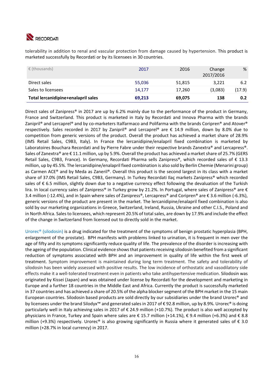

tolerability in addition to renal and vascular protection from damage caused by hypertension. This product is marketed successfully by Recordati or by its licensees in 30 countries.

| $\epsilon$ (thousands)              | 2017   | 2016   | Change<br>2017/2016 | %      |
|-------------------------------------|--------|--------|---------------------|--------|
| Direct sales                        | 55,036 | 51,815 | 3.221               | 6.2    |
| Sales to licensees                  | 14.177 | 17,260 | (3,083)             | (17.9) |
| Total lercanidipine+enalapril sales | 69,213 | 69,075 | 138                 | 0.2    |

Direct sales of Zanipress® in 2017 are up by 6.2% mainly due to the performance of the product in Germany, France and Switzerland. This product is marketed in Italy by Recordati and Innova Pharma with the brands Zanipril® and Lercaprel® and by co-marketers Italfarmaco and Polifarma with the brands Coripren® and Atover® respectively. Sales recorded in 2017 by Zanipril® and Lercaprel® are  $\epsilon$  14.9 million, down by 8.0% due to competition from generic versions of the product. Overall the product has achieved a market share of 28.9% (IMS Retail Sales, C9B3, Italy). In France the lercanidipine/enalapril fixed combination is marketed by Laboratoires Bouchara Recordati and by Pierre Fabre under their respective brands Zanextra® and Lercapress®. Sales of Zanextra® are  $\epsilon$  11.1 million, up by 5.9%. Overall the product has achieved a market share of 25.7% (GERS Retail Sales, C9B3, France). In Germany, Recordati Pharma sells Zanipress®, which recorded sales of € 13.3 million, up by 45.5%. The lercanidipine/enalapril fixed combination is also sold by Berlin Chemie (Menarini group) as Carmen ACE® and by Meda as Zaneril®. Overall this product is the second largest in its class with a market share of 37.0% (IMS Retail Sales, C9B3, Germany). In Turkey Recordati Ilaç markets Zanipress® which recorded sales of €6.5 million, slightly down due to a negative currency effect following the devaluation of the Turkish lira. In local currency sales of Zanipress® in Turkey grow by 21.2%. In Portugal, where sales of Zanipress® are € 3.4 million (‐12.4%), and in Spain where sales of Zanipress®, Lercapress® and Coripren® are € 3.6 million (‐6.3%), generic versions of the product are present in the market. The lercanidipine/enalapril fixed combination is also sold by our marketing organizations in Greece, Switzerland, Ireland, Russia, Ukraine and other C.I.S., Poland and in North Africa. Sales to licensees, which represent 20.5% of total sales, are down by 17.9% and include the effect of the change in Switzerland from licensed out to directly sold in the market.

Urorec<sup>®</sup> (silodosin) is a drug indicated for the treatment of the symptoms of benign prostatic hyperplasia (BPH, enlargement of the prostate). BPH manifests with problems linked to urination, it is frequent in men over the age of fifty and its symptoms significantly reduce quality of life. The prevalence of the disorder is increasing with the ageing of the population. Clinical evidence shows that patients receiving silodosin benefited from a significant reduction of symptoms associated with BPH and an improvement in quality of life within the first week of treatment. Symptom improvement is maintained during long term treatment. The safety and tolerability of silodosin has been widely assessed with positive results. The low incidence of orthostatic and vasodilatory side effects make it a well-tolerated treatment even in patients who take antihypertensive medication. Silodosin was originated by Kissei (Japan) and was obtained under license by Recordati for the development and marketing in Europe and a further 18 countries in the Middle East and Africa. Currently the product is successfully marketed in 37 countries and has achieved a share of 20.5% of the alpha blocker segment of the BPH market in the 15 main European countries. Silodosin based products are sold directly by our subsidiaries under the brand Urorec® and by licensees under the brand Silodyx™ and generated sales in 2017 of € 92.8 million, up by 8.9%. Urorec® is doing particularly well in Italy achieving sales in 2017 of € 24.9 million (+10.7%). The product is also well accepted by physicians in France, Turkey and Spain where sales are € 15.7 million (+14.1%), € 9.4 million (+6.3%) and € 8.8 million (+9.3%) respectively. Urorec<sup>®</sup> is also growing significantly in Russia where it generated sales of  $\epsilon$  3.0 million (+28.7% in local currency) in 2017.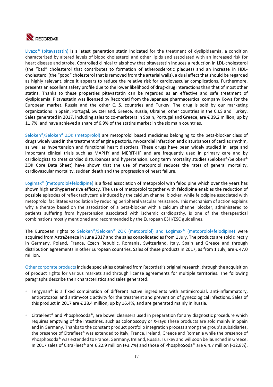

Livazo<sup>®</sup> (pitavastatin) is a latest generation statin indicated for the treatment of dyslipidaemia, a condition characterized by altered levels of blood cholesterol and other lipids and associated with an increased risk for heart disease and stroke. Controlled clinical trials show that pitavastatin induces a reduction in LDL‐cholesterol (the "bad" cholesterol that contributes to formation of atherosclerotic plaques) and an increase in HDL‐ cholesterol (the "good" cholesterol that is removed from the arterial walls), a dual effect that should be regarded as highly relevant, since it appears to reduce the relative risk for cardiovascular complications. Furthermore, presents an excellent safety profile due to the lower likelihood of drug-drug interactions than that of most other statins. Thanks to these properties pitavastatin can be regarded as an effective and safe treatment of dyslipidemia. Pitavastatin was licensed by Recordati from the Japanese pharmaceutical company Kowa for the European market, Russia and the other C.I.S. countries and Turkey. The drug is sold by our marketing organizations in Spain, Portugal, Switzerland, Greece, Russia, Ukraine, other countries in the C.I.S and Turkey. Sales generated in 2017, including sales to co-marketers in Spain, Portugal and Greece, are € 39.2 million, up by 11.7%, and have achieved a share of 6.9% of the statins market in the six main countries.

Seloken®/Seloken® ZOK (metoprolol) are metoprolol based medicines belonging to the beta-blocker class of drugs widely used in the treatment of angina pectoris, myocardial infarction and disturbances of cardiac rhythm, as well as hypertension and functional heart disorders. These drugs have been widely studied in large and important clinical trials such as MAPHY and MERIT-HF and are frequently used in primary care and by cardiologists to treat cardiac disturbances and hypertension. Long term mortality studies (Seloken®/Seloken® ZOK Core Data Sheet) have shown that the use of metoprolol reduces the rates of general mortality, cardiovascular mortality, sudden death and the progression of heart failure.

Logimax<sup>®</sup> (metoprolol+felodipine) is a fixed association of metoprolol with felodipine which over the years has shown high antihypertensive efficacy. The use of metoprolol together with felodipine enables the reduction of possible episodes of reflex tachycardia induced by the calcium channel blocker, while felodipine associated with metoprolol facilitates vasodilation by reducing peripheral vascular resistance. This mechanism of action explains why a therapy based on the association of a beta-blocker with a calcium channel blocker, administered to patients suffering from hypertension associated with ischemic cardiopathy, is one of the therapeutical combinations mostly mentioned and recommended by the European ESH/ESC guidelines.

The European rights to Seloken®/Seloken® ZOK (metoprolol) and Logimax® (metoprolol+felodipine) were acquired from AstraZeneca in June 2017 and the sales consolidated as from 1 July. The products are sold directly in Germany, Poland, France, Czech Republic, Romania, Switzerland, Italy, Spain and Greece and through distribution agreements in other European countries. Sales of these products in 2017, as from 1 July, are € 47.0 million.

Other corporate products include specialties obtained from Recordati's original research, through the acquisition of product rights for various markets and through license agreements for multiple territories. The following paragraphs describe their characteristics and sales generated.

- Tergynan<sup>®</sup> is a fixed combination of different active ingredients with antimicrobial, anti-inflammatory, antiprotozoal and antimycotic activity for the treatment and prevention of gynecological infections. Sales of this product in 2017 are € 28.4 million, up by 16.4%, and are generated mainly in Russia.
- CitraFleet® and PhosphoSoda®, are bowel cleansers used in preparation for any diagnostic procedure which requires emptying of the intestines, such as colonoscopy or X-rays These products are sold mainly in Spain and in Germany. Thanks to the constant product portfolio integration process among the group's subsidiaries, the presence of Citrafleet® was extended to Italy, France, Ireland, Greece and Romania while the presence of Phosphosoda® was extended to France, Germany, Ireland, Russia, Turkey and will soon be launched in Greece. In 2017 sales of CitraFleet® are € 22.9 million (+3.7%) and those of PhosphoSoda® are € 4.7 million (‐12.8%).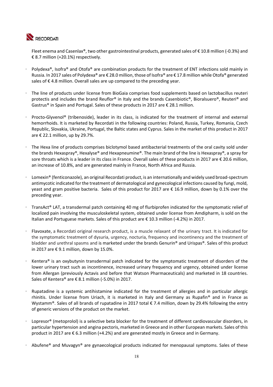

Fleet enema and Casenlax®, two other gastrointestinal products, generated sales of € 10.8 million (‐0.3%) and € 8.7 million (+20.1%) respectively.

- Polydexa®, Isofra® and Otofa® are combination products for the treatment of ENT infections sold mainly in Russia. In 2017 sales of Polydexa® are € 28.0 million, those of Isofra® are € 17.8 million while Otofa® generated sales of  $\epsilon$  4.8 million. Overall sales are up compared to the preceding year.
- The line of products under license from BioGaia comprises food supplements based on lactobacillus reuteri protectis and includes the brand Reuflor® in Italy and the brands Casenbiotic®, Bioralsuero®, Reuteri® and Gastrus® in Spain and Portugal. Sales of these products in 2017 are € 28.1 million.
- Procto-Glyvenol<sup>®</sup> (tribenoside), leader in its class, is indicated for the treatment of internal and external hemorrhoids. It is marketed by Recordati in the following countries: Poland, Russia, Turkey, Romania, Czech Republic, Slovakia, Ukraine, Portugal, the Baltic states and Cyprus. Sales in the market of this product in 2017 are  $\epsilon$  22.1 million, up by 29.7%.
- The Hexa line of products comprises biclotymol based antibacterial treatments of the oral cavity sold under the brands Hexaspray®, Hexalyse® and Hexapneumine®. The main brand of the line is Hexaspray®, a spray for sore throats which is a leader in its class in France. Overall sales of these products in 2017 are € 20.6 million, an increase of 10.8%, and are generated mainly in France, North Africa and Russia.
- Lomexin<sup>®</sup> (fenticonazole), an original Recordati product, is an internationally and widely used broad-spectrum antimycotic indicated for the treatment of dermatological and gynecological infections caused by fungi, mold, yeast and gram positive bacteria. Sales of this product for 2017 are € 16.9 million, down by 0.1% over the preceding year.
- TransAct® LAT, a transdermal patch containing 40 mg of flurbiprofen indicated for the symptomatic relief of localized pain involving the musculoskeletal system, obtained under license from Amdipharm, is sold on the Italian and Portuguese markets. Sales of this product are € 10.3 million (‐4.2%) in 2017.
- Flavoxate, a Recordati original research product, is a muscle relaxant of the urinary tract. It is indicated for the symptomatic treatment of dysuria, urgency, nocturia, frequency and incontinency and the treatment of bladder and urethral spasms and is marketed under the brands Genurin® and Urispas®. Sales of this product in 2017 are € 9.1 million, down by 15.0%.
- Kentera® is an oxybutynin transdermal patch indicated for the symptomatic treatment of disorders of the lower urinary tract such as incontinence, increased urinary frequency and urgency, obtained under license from Allergan (previously Actavis and before that Watson Pharmaceuticals) and marketed in 18 countries. Sales of Kentera® are € 8.1 million (‐5.0%) in 2017.
- Rupatadine is a systemic antihistamine indicated for the treatment of allergies and in particular allergic rhinitis. Under license from Uriach, it is marketed in Italy and Germany as Rupafin® and in France as Wystamm®. Sales of all brands of rupatadine in 2017 total € 7.4 million, down by 29.4% following the entry of generic versions of the product on the market.
- Lopresor® (metoprolol) is a selective beta blocker for the treatment of different cardiovascular disorders, in particular hypertension and angina pectoris, marketed in Greece and in other European markets. Sales of this product in 2017 are € 6.3 million (+4.2%) and are generated mostly in Greece and in Germany.
- Abufene® and Muvagyn® are gynaecological products indicated for menopausal symptoms. Sales of these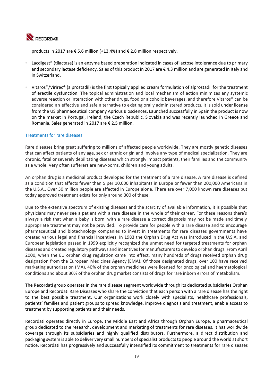

products in 2017 are € 5.6 million (+13.4%) and € 2.8 million respectively.

- Lacdigest<sup>®</sup> (tilactase) is an enzyme based preparation indicated in cases of lactose intolerance due to primary and secondary lactase deficiency. Sales of this product in 2017 are € 4.3 million and are generated in Italy and in Switzerland.
- Vitaros®/Virirec® (alprostadil) is the first topically applied cream formulation of alprostadil for the treatment of erectile dysfunction. The topical administration and local mechanism of action minimizes any systemic adverse reaction or interaction with other drugs, food or alcoholic beverages, and therefore Vitaros® can be considered an effective and safe alternative to existing orally administered products. It is sold under license from the US pharmaceutical company Apricus Biosciences. Launched successfully in Spain the product is now on the market in Portugal, Ireland, the Czech Republic, Slovakia and was recently launched in Greece and Romania. Sales generated in 2017 are € 2.5 million.

### Treatments for rare diseases

Rare diseases bring great suffering to millions of affected people worldwide. They are mostly genetic diseases that can affect patients of any age, sex or ethnic origin and involve any type of medical specialization. They are chronic, fatal or severely debilitating diseases which strongly impact patients, their families and the community as a whole. Very often sufferers are new‐borns, children and young adults.

An orphan drug is a medicinal product developed for the treatment of a rare disease. A rare disease is defined as a condition that affects fewer than 5 per 10,000 inhabitants in Europe or fewer than 200,000 Americans in the U.S.A.. Over 30 million people are affected in Europe alone. There are over 7,000 known rare diseases but today approved treatment exists for only around 300 of these.

Due to the extensive spectrum of existing diseases and the scarcity of available information, it is possible that physicians may never see a patient with a rare disease in the whole of their career. For these reasons there's always a risk that when a baby is born with a rare disease a correct diagnosis may not be made and timely appropriate treatment may not be provided. To provide care for people with a rare disease and to encourage pharmaceutical and biotechnology companies to invest in treatments for rare diseases governments have created various legal and financial incentives. In 1983 the Orphan Drug Act was introduced in the U.S.A. and European legislation passed in 1999 explicitly recognized the unmet need for targeted treatments for orphan diseases and created regulatory pathways and incentives for manufacturers to develop orphan drugs. From April 2000, when the EU orphan drug regulation came into effect, many hundreds of drugs received orphan drug designation from the European Medicines Agency (EMA). Of those designated drugs, over 100 have received marketing authorization (MA). 40% of the orphan medicines were licensed for oncological and haematological conditions and about 30% of the orphan drug market consists of drugs for rare inborn errors of metabolism.

The Recordati group operates in the rare disease segment worldwide through its dedicated subsidiaries Orphan Europe and Recordati Rare Diseases who share the conviction that each person with a rare disease has the right to the best possible treatment. Our organizations work closely with specialists, healthcare professionals, patients' families and patient groups to spread knowledge, improve diagnosis and treatment, enable access to treatment by supporting patients and their needs.

Recordati operates directly in Europe, the Middle East and Africa through Orphan Europe, a pharmaceutical group dedicated to the research, development and marketing of treatments for rare diseases. It has worldwide coverage through its subsidiaries and highly qualified distributors. Furthermore, a direct distribution and packaging system is able to deliver very small numbers of specialist products to people around the world at short notice. Recordati has progressively and successfully intensified its commitment to treatments for rare diseases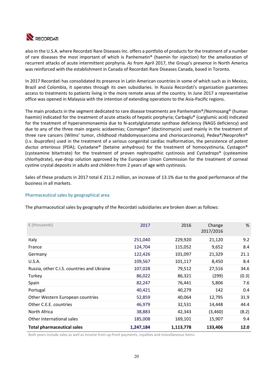

also in the U.S.A. where Recordati Rare Diseases Inc. offers a portfolio of products for the treatment of a number of rare diseases the most important of which is Panhematin® (haemin for injection) for the amelioration of recurrent attacks of acute intermittent porphyria. As from April 2017, the Group's presence in North America was reinforced with the establishment in Canada of Recordati Rare Diseases Canada, based in Toronto.

In 2017 Recordati has consolidated its presence in Latin American countries in some of which such as in Mexico, Brazil and Colombia, it operates through its own subsidiaries. In Russia Recordati's organization guarantees access to treatments to patients living in the more remote areas of the country. In June 2017 a representative office was opened in Malaysia with the intention of extending operations to the Asia‐Pacific regions.

The main products in the segment dedicated to rare disease treatments are Panhematin®/Normosang® (human haemin) indicated for the treatment of acute attacks of hepatic porphyria; Carbaglu® (carglumic acid) indicated for the treatment of hyperammonaemia due to N-acetylglutamate synthase deficiency (NAGS deficiency) and due to any of the three main organic acidaemias; Cosmegen® (dactinomycin) used mainly in the treatment of three rare cancers (Wilms' tumor, childhood rhabdomyosarcoma and choriocarcinoma); Pedea®/Neoprofen® (i.v. ibuprofen) used in the treatment of a serious congenital cardiac malformation, the persistence of *patent ductus arteriosus* (PDA); Cystadane® (betaine anhydrous) for the treatment of homocystinuria, Cystagon® (cysteamine bitartrate) for the treatment of proven nephropathic cystinosis and Cystadrops® (cysteamine chlorhydrate), eye‐drop solution approved by the European Union Commission for the treatment of corneal cystine crystal deposits in adults and children from 2 years of age with cystinosis.

Sales of these products in 2017 total € 211.2 million, an increase of 13.1% due to the good performance of the business in all markets.

### Pharmaceutical sales by geographical area

The pharmaceutical sales by geography of the Recordati subsidiaries are broken down as follows:

| $\epsilon$ (thousands)                     | 2017      | 2016      | Change<br>2017/2016 | %     |
|--------------------------------------------|-----------|-----------|---------------------|-------|
| Italy                                      | 251,040   | 229,920   | 21,120              | 9.2   |
| France                                     | 124,704   | 115,052   | 9,652               | 8.4   |
| Germany                                    | 122,426   | 101,097   | 21,329              | 21.1  |
| U.S.A.                                     | 109,567   | 101,117   | 8,450               | 8.4   |
| Russia, other C.I.S. countries and Ukraine | 107,028   | 79,512    | 27,516              | 34.6  |
| Turkey                                     | 86,022    | 86,321    | (299)               | (0.3) |
| Spain                                      | 82,247    | 76,441    | 5,806               | 7.6   |
| Portugal                                   | 40,421    | 40,279    | 142                 | 0.4   |
| Other Western European countries           | 52,859    | 40,064    | 12,795              | 31.9  |
| Other C.E.E. countries                     | 46,979    | 32,531    | 14,448              | 44.4  |
| North Africa                               | 38,883    | 42,343    | (3,460)             | (8.2) |
| Other international sales                  | 185,008   | 169,101   | 15,907              | 9.4   |
| <b>Total pharmaceutical sales</b>          | 1,247,184 | 1,113,778 | 133,406             | 12.0  |

Both years include sales as well as income from up-front payments, royalties and miscellaneous items.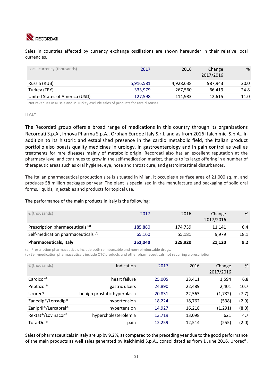

Sales in countries affected by currency exchange oscillations are shown hereunder in their relative local currencies.

| Local currency (thousands)     | 2017      | 2016      | Change<br>2017/2016 | %    |
|--------------------------------|-----------|-----------|---------------------|------|
| Russia (RUB)                   | 5,916,581 | 4,928,638 | 987.943             | 20.0 |
| Turkey (TRY)                   | 333,979   | 267,560   | 66.419              | 24.8 |
| United States of America (USD) | 127,598   | 114,983   | 12.615              | 11.0 |

Net revenues in Russia and in Turkey exclude sales of products for rare diseases.

#### ITALY

The Recordati group offers a broad range of medications in this country through its organizations Recordati S.p.A., Innova Pharma S.p.A., Orphan Europe Italy S.r.l. and as from 2016 Italchimici S.p.A.. In addition to its historic and established presence in the cardio metabolic field, the Italian product portfolio also boasts quality medicines in urology, in gastroenterology and in pain control as well as treatments for rare diseases mainly of metabolic origin. Recordati also has an excellent reputation at the pharmacy level and continues to grow in the self‐medication market, thanks to its large offering in a number of therapeutic areas such as oral hygiene, eye, nose and throat cure, and gastrointestinal disturbances.

The Italian pharmaceutical production site is situated in Milan, it occupies a surface area of 21,000 sq. m. and produces 58 million packages per year. The plant is specialized in the manufacture and packaging of solid oral forms, liquids, injectables and products for topical use.

### The performance of the main products in Italy is the following:

| $\epsilon$ (thousands)                         | 2017    | 2016    | Change<br>2017/2016 | %    |
|------------------------------------------------|---------|---------|---------------------|------|
| Prescription pharmaceuticals (a)               | 185,880 | 174,739 | 11.141              | 6.4  |
| Self-medication pharmaceuticals <sup>(b)</sup> | 65.160  | 55,181  | 9.979               | 18.1 |
| <b>Pharmaceuticals, Italy</b>                  | 251,040 | 229,920 | 21,120              | 9.2  |

(a) Prescription pharmaceuticals include both reimbursable and non‐reimbursable drugs.

(b) Self‐medication pharmaceuticals include OTC products and other pharmaceuticals not requiring a prescription.

| $\epsilon$ (thousands)                        | Indication                   | 2017   | 2016   | Change<br>2017/2016 | %     |
|-----------------------------------------------|------------------------------|--------|--------|---------------------|-------|
| $Cardicor$ <sup>®</sup>                       | heart failure                | 25,005 | 23,411 | 1,594               | 6.8   |
| Peptazol®                                     | gastric ulcers               | 24,890 | 22,489 | 2,401               | 10.7  |
| Urorec <sup>®</sup>                           | benign prostatic hyperplasia | 20,831 | 22,563 | (1,732)             | (7.7) |
| Zanedip <sup>®</sup> /Lercadip <sup>®</sup>   | hypertension                 | 18,224 | 18,762 | (538)               | (2.9) |
| Zanipril <sup>®</sup> /Lercaprel <sup>®</sup> | hypertension                 | 14,927 | 16,218 | (1, 291)            | (8.0) |
| Rextat <sup>®</sup> /Lovinacor <sup>®</sup>   | hypercholesterolemia         | 13,719 | 13,098 | 621                 | 4,7   |
| Tora-Dol <sup>®</sup>                         | pain                         | 12,259 | 12,514 | (255)               | (2.0) |

Sales of pharmaceuticals in Italy are up by 9.2%, as compared to the preceding year due to the good performance of the main products as well sales generated by Italchimici S.p.A., consolidated as from 1 June 2016. Urorec®,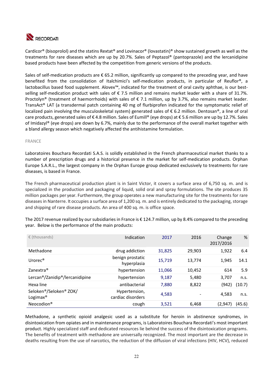

Cardicor® (bisoprolol) and the statins Rextat® and Lovinacor® (lovastatin)® show sustained growth as well as the treatments for rare diseases which are up by 20.7%. Sales of Peptazol® (pantoprazole) and the lercanidipine based products have been affected by the competition from generic versions of the products.

Sales of self-medication products are € 65.2 million, significantly up compared to the preceding year, and have benefited from the consolidation of Italchimici's self-medication products, in particular of Reuflor®, a lactobacillus based food supplement. Alovex™, indicated for the treatment of oral cavity aphthae, is our best‐ selling self-medication product with sales of  $\epsilon$  7.5 million and remains market leader with a share of 31.7%. Proctolyn® (treatment of haemorrhoids) with sales of  $\epsilon$  7.1 million, up by 3.7%, also remains market leader. TransAct® LAT (a transdermal patch containing 40 mg of flurbiprofen indicated for the symptomatic relief of localized pain involving the musculoskeletal system) generated sales of € 6.2 million. Dentosan®, a line of oral care products, generated sales of € 4.8 million. Sales of Eumill® (eye drops) at € 5.6 million are up by 12.7%. Sales of Imidazyl® (eye drops) are down by 6.7%, mainly due to the performance of the overall market together with a bland allergy season which negatively affected the antihistamine formulation.

### FRANCE

Laboratoires Bouchara Recordati S.A.S. is solidly established in the French pharmaceutical market thanks to a number of prescription drugs and a historical presence in the market for self-medication products. Orphan Europe S.A.R.L., the largest company in the Orphan Europe group dedicated exclusively to treatments for rare diseases, is based in France.

The French pharmaceutical production plant is in Saint Victor, it covers a surface area of 6,750 sq. m. and is specialized in the production and packaging of liquid, solid oral and spray formulations. The site produces 35 million packages per year. Furthermore, the group operates a new manufacturing site for the treatments for rare diseases in Nanterre. It occupies a surface area of 1,200 sq. m. and is entirely dedicated to the packaging, storage and shipping of rare disease products. An area of 400 sq. m. is office space.

The 2017 revenue realized by our subsidiaries in France is € 124.7 million, up by 8.4% compared to the preceding year. Below is the performance of the main products:

| $\epsilon$ (thousands)                         | Indication                         | 2017   | 2016   | Change<br>2017/2016 | %      |
|------------------------------------------------|------------------------------------|--------|--------|---------------------|--------|
| Methadone                                      | drug addiction                     | 31,825 | 29.903 | 1.922               | 6.4    |
| Urorec <sup>®</sup>                            | benign prostatic<br>hyperplasia    | 15,719 | 13,774 | 1.945               | 14.1   |
| Zanextra <sup>®</sup>                          | hypertension                       | 11,066 | 10,452 | 614                 | 5.9    |
| Lercan®/Zanidip®/lercanidipine                 | hypertension                       | 9,187  | 5,480  | 3,707               | n.s.   |
| Hexa line                                      | antibacterial                      | 7,880  | 8,822  | (942)               | (10.7) |
| Seloken®/Seloken® ZOK/<br>Logimax <sup>®</sup> | Hypertension,<br>cardiac disorders | 4,583  |        | 4.583               | n.s.   |
| Neocodion <sup>®</sup>                         | cough                              | 3,521  | 6,468  | (2, 947)            | (45.6) |

Methadone, a synthetic opioid analgesic used as a substitute for heroin in abstinence syndromes, in disintoxication from opiates and in maintenance programs, is Laboratoires Bouchara Recordati's most important product. Highly specialized staff and dedicated resources lie behind the success of the disintoxication programs. The benefits of treatment with methadone are universally recognized. The most important are the decrease in deaths resulting from the use of narcotics, the reduction of the diffusion of viral infections (HIV, HCV), reduced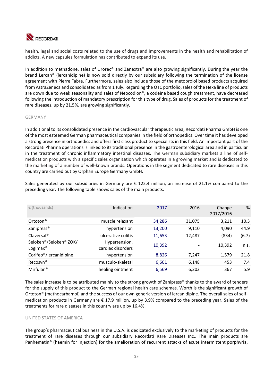

health, legal and social costs related to the use of drugs and improvements in the health and rehabilitation of addicts. A new capsules formulation has contributed to expand its use.

In addition to methadone, sales of Urorec® and Zanextra® are also growing significantly. During the year the brand Lercan® (lercanidipine) is now sold directly by our subsidiary following the termination of the license agreement with Pierre Fabre. Furthermore, sales also include those of the metoprolol based products acquired from AstraZeneca and consolidated as from 1 July. Regarding the OTC portfolio, sales of the Hexa line of products are down due to weak seasonality and sales of Neocodion®, a codeine based cough treatment, have decreased following the introduction of mandatory prescription for this type of drug. Sales of products for the treatment of rare diseases, up by 21.5%, are growing significantly.

### GERMANY

In additional to its consolidated presence in the cardiovascular therapeutic area, Recordati Pharma GmbH is one of the most esteemed German pharmaceutical companies in the field of orthopedics. Over time it has developed a strong presence in orthopedics and offers first class product to specialists in this field. An important part of the Recordati Pharma operations is linked to its traditional presence in the gastroenterological area and in particular in the treatment of chronic inflammatory intestinal diseases. The German subsidiary markets a line of selfmedication products with a specific sales organization which operates in a growing market and is dedicated to the marketing of a number of well‐known brands. Operations in the segment dedicated to rare diseases in this country are carried out by Orphan Europe Germany GmbH.

Sales generated by our subsidiaries in Germany are  $\epsilon$  122.4 million, an increase of 21.1% compared to the preceding year. The following table shows sales of the main products.

| $\epsilon$ (thousands)                         | Indication                         | 2017   | 2016   | Change<br>2017/2016 | %     |
|------------------------------------------------|------------------------------------|--------|--------|---------------------|-------|
| Ortoton <sup>®</sup>                           | muscle relaxant                    | 34,286 | 31,075 | 3,211               | 10.3  |
| Zanipress <sup>®</sup>                         | hypertension                       | 13,200 | 9,110  | 4,090               | 44.9  |
| Claversal <sup>®</sup>                         | ulcerative colitis                 | 11,653 | 12,487 | (834)               | (6.7) |
| Seloken®/Seloken® ZOK/<br>Logimax <sup>®</sup> | Hypertension,<br>cardiac disorders | 10,392 |        | 10,392              | n.s.  |
| Corifeo <sup>®</sup> /lercanidipine            | hypertension                       | 8,826  | 7.247  | 1,579               | 21.8  |
| Recosyn <sup>®</sup>                           | musculo-skeletal                   | 6,601  | 6,148  | 453                 | 7.4   |
| Mirfulan <sup>®</sup>                          | healing ointment                   | 6,569  | 6,202  | 367                 | 5.9   |

The sales increase is to be attributed mainly to the strong growth of Zanipress® thanks to the award of tenders for the supply of this product to the German regional health care schemes. Worth is the significant growth of Ortoton® (methocarbamol) and the success of our own generic version of lercanidipine. The overall sales of selfmedication products in Germany are € 17.9 million, up by 3.9% compared to the preceding year. Sales of the treatments for rare diseases in this country are up by 16.4%.

### UNITED STATES OF AMERICA

The group's pharmaceutical business in the U.S.A. is dedicated exclusively to the marketing of products for the treatment of rare diseases through our subsidiary Recordati Rare Diseases Inc.. The main products are Panhematin® (haemin for injection) for the amelioration of recurrent attacks of acute intermittent porphyria,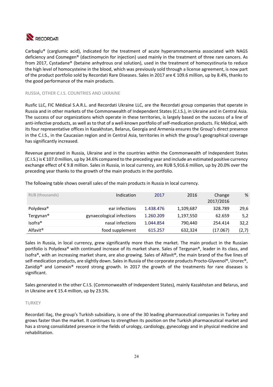

Carbaglu® (carglumic acid), indicated for the treatment of acute hyperammonaemia associated with NAGS deficiency and Cosmegen® (dactinomycin for injection) used mainly in the treatment of three rare cancers. As from 2017, Cystadane® (betaine anhydrous oral solution), used in the treatment of homocystinuria to reduce the high level of homocysteine in the blood, which was previously sold through a license agreement, is now part of the product portfolio sold by Recordati Rare Diseases. Sales in 2017 are € 109.6 million, up by 8.4%, thanks to the good performance of the main products.

### RUSSIA, OTHER C.I.S. COUNTRIES AND UKRAINE

Rusfic LLC, FIC Médical S.A.R.L. and Recordati Ukraine LLC, are the Recordati group companies that operate in Russia and in other markets of the Commonwealth of Independent States (C.I.S.), in Ukraine and in Central Asia. The success of our organizations which operate in these territories, is largely based on the success of a line of anti-infective products, as well as to that of a well-known portfolio of self-medication products. Fic Médical, with its four representative offices in Kazakhstan, Belarus, Georgia and Armenia ensures the Group's direct presence in the C.I.S., in the Caucasian region and in Central Asia, territories in which the group's geographical coverage has significantly increased.

Revenue generated in Russia, Ukraine and in the countries within the Commonwealth of Independent States (C.I.S.) is € 107.0 million, up by 34.6% compared to the preceding year and include an estimated positive currency exchange effect of € 9.8 million. Sales in Russia, in local currency, are RUB 5,916.6 million, up by 20.0% over the preceding year thanks to the growth of the main products in the portfolio.

| RUB (thousands)       | Indication                | 2017      | 2016      | Change<br>2017/2016 | %     |
|-----------------------|---------------------------|-----------|-----------|---------------------|-------|
| Polydexa <sup>®</sup> | ear infections            | 1.438.476 | 1,109,687 | 328.789             | 29,6  |
| Tergynan <sup>®</sup> | gynaecological infections | 1.260.209 | 1,197,550 | 62.659              | 5,2   |
| Isofra <sup>®</sup>   | nasal infections          | 1.044.854 | 790,440   | 254.414             | 32,2  |
| Alfavit <sup>®</sup>  | food supplement           | 615.257   | 632,324   | (17.067)            | (2,7) |

The following table shows overall sales of the main products in Russia in local currency.

Sales in Russia, in local currency, grew significantly more than the market. The main product in the Russian portfolio is Polydexa® with continued increase of its market share. Sales of Tergynan®, leader in its class, and Isofra®, with an increasing market share, are also growing. Sales of Alfavit®, the main brand of the five lines of self-medication products, are slightly down. Sales in Russia of the corporate products Procto-Glyvenol®, Urorec®, Zanidip® and Lomexin® record strong growth. In 2017 the growth of the treatments for rare diseases is significant.

Sales generated in the other C.I.S. (Commonwealth of Independent States), mainly Kazakhstan and Belarus, and in Ukraine are € 15.4 million, up by 23.5%.

### TURKEY

Recordati Ilaç, the group's Turkish subsidiary, is one of the 30 leading pharmaceutical companies in Turkey and grows faster than the market. It continues to strengthen its position on the Turkish pharmaceutical market and has a strong consolidated presence in the fields of urology, cardiology, gynecology and in physical medicine and rehabilitation.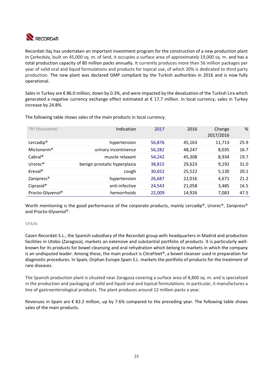

Recordati Ilaç has undertaken an important investment program for the construction of a new production plant in Çerkezköy, built on 45,000 sq. m. of land, it occupies a surface area of approximately 19,000 sq. m. and has a total production capacity of 80 million packs annually. It currently produces more than 56 million packages per year of solid oral and liquid formulations and products for topical use, of which 20% is dedicated to third party production. The new plant was declared GMP compliant by the Turkish authorities in 2016 and is now fully operational.

Sales in Turkey are € 86.0 million, down by 0.3%, and were impacted by the devaluation of the Turkish Lira which generated a negative currency exchange effect estimated at € 17.7 million. In local currency, sales in Turkey increase by 24.8%.

| TRY (thousands)         | Indication                   | 2017   | 2016   | Change<br>2017/2016 | %    |
|-------------------------|------------------------------|--------|--------|---------------------|------|
| Lercadip <sup>®</sup>   | hypertension                 | 56,876 | 45,163 | 11,713              | 25.9 |
| Mictonorm <sup>®</sup>  | urinary incontinence         | 56,282 | 48,247 | 8,035               | 16.7 |
| $Cabral^{\circledcirc}$ | muscle relaxant              | 54,242 | 45,308 | 8,934               | 19.7 |
| Urorec <sup>®</sup>     | benign prostatic hyperplasia | 38,815 | 29,623 | 9,192               | 31.0 |
| $Kreval^{\circledR}$    | cough                        | 30,652 | 25,522 | 5,130               | 20.1 |
| Zanipress <sup>®</sup>  | hypertension                 | 26,687 | 22,016 | 4,671               | 21.2 |
| Ciprasid <sup>®</sup>   | anti-infective               | 24,543 | 21,058 | 3,485               | 16.5 |
| Procto-Glyvenol®        | hemorrhoids                  | 22,009 | 14,926 | 7,083               | 47.5 |
|                         |                              |        |        |                     |      |

The following table shows sales of the main products in local currency.

Worth mentioning is the good performance of the corporate products, mainly Lercadip®, Urorec®, Zanipress® and Procto‐Glyvenol®.

### SPAIN

Casen Recordati S.L., the Spanish subsidiary of the Recordati group with headquarters in Madrid and production facilities in Utebo (Zaragoza), markets an extensive and substantial portfolio of products. It is particularly wellknown for its products for bowel cleansing and oral rehydration which belong to markets in which the company is an undisputed leader. Among these, the main product is CitraFleet®, a bowel cleanser used in preparation for diagnostic procedures. In Spain, Orphan Europe Spain S.L. markets the portfolio of products for the treatment of rare diseases.

The Spanish production plant is situated near Zaragoza covering a surface area of 8,800 sq. m. and is specialized in the production and packaging of solid and liquid oral and topical formulations. In particular, it manufactures a line of gastroenterological products. The plant produces around 12 million packs a year.

Revenues in Spain are  $\epsilon$  82.2 million, up by 7.6% compared to the preceding year. The following table shows sales of the main products.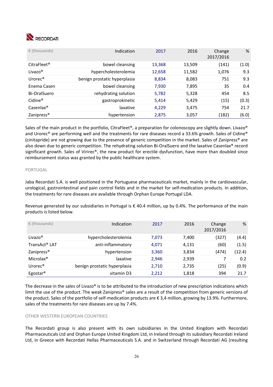

| $\epsilon$ (thousands)            | Indication                   | 2017   | 2016   | Change<br>2017/2016 | %     |
|-----------------------------------|------------------------------|--------|--------|---------------------|-------|
| CitraFleet <sup>®</sup>           | bowel cleansing              | 13,368 | 13,509 | (141)               | (1.0) |
| Livazo <sup>®</sup>               | hypercholesterolemia         | 12,658 | 11,582 | 1,076               | 9.3   |
| Urorec <sup>®</sup>               | benign prostatic hyperplasia | 8,834  | 8,083  | 751                 | 9.3   |
| Enema Casen                       | bowel cleansing              | 7,930  | 7,895  | 35                  | 0.4   |
| Bi-OralSuero                      | rehydrating solution         | 5,782  | 5,328  | 454                 | 8.5   |
| Cidine <sup>®</sup>               | gastroprokinetic             | 5,414  | 5,429  | (15)                | (0.3) |
| $\textsf{Casenlax}^{\circledast}$ | laxative                     | 4,229  | 3,475  | 754                 | 21.7  |
| Zanipress <sup>®</sup>            | hypertension                 | 2,875  | 3,057  | (182)               | (6.0) |

Sales of the main product in the portfolio, CitraFleet®, a preparation for colonoscopy are slightly down. Livazo® and Urorec® are performing well and the treatments for rare diseases record a 33.6% growth. Sales of Cidine® (cinitapride) are not growing due to the presence of generic competition in the market. Sales of Zanipress® are also down due to generic competition. The rehydrating solution Bi‐OralSuero and the laxative Casenlax® record significant growth. Sales of Virirec®, the new product for erectile dysfunction, have more than doubled since reimbursement status was granted by the public healthcare system.

### PORTUGAL

Jaba Recordati S.A. is well positioned in the Portuguese pharmaceuticals market, mainly in the cardiovascular, urological, gastrointestinal and pain control fields and in the market for self‐medication products. In addition, the treatments for rare diseases are available through Orphan Europe Portugal LDA.

Revenue generated by our subsidiaries in Portugal is  $\epsilon$  40.4 million, up by 0.4%. The performance of the main products is listed below.

| $\epsilon$ (thousands) | Indication                   | 2017  | 2016  | Change<br>2017/2016 | %      |
|------------------------|------------------------------|-------|-------|---------------------|--------|
| Livazo <sup>®</sup>    | hypercholesterolemia         | 7.073 | 7.400 | (327)               | (4.4)  |
| TransAct® LAT          | anti-inflammatory            | 4,071 | 4,131 | (60)                | (1.5)  |
| Zanipress <sup>®</sup> | hypertension                 | 3,360 | 3,834 | (474)               | (12.4) |
| Microlax <sup>®</sup>  | laxative                     | 2,946 | 2,939 |                     | 0.2    |
| Urore $c^{\circ}$      | benign prostatic hyperplasia | 2,710 | 2,735 | (25)                | (0.9)  |
| Egostar <sup>®</sup>   | vitamin D3                   | 2,212 | 1,818 | 394                 | 21.7   |

The decrease in the sales of Livazo® is to be attributed to the introduction of new prescription indications which limit the use of the product. The weak Zanipress® sales are a result of the competition from generic versions of the product. Sales of the portfolio of self-medication products are € 3,4 million, growing by 13.9%. Furthermore, sales of the treatments for rare diseases are up by 7.4%.

### OTHER WESTERN EUROPEAN COUNTRIES

The Recordati group is also present with its own subsidiaries in the United Kingdom with Recordati Pharmaceuticals Ltd and Orphan Europe United Kingdom Ltd, in Ireland through its subsidiary Recordati Ireland Ltd, in Greece with Recordati Hellas Pharmaceuticals S.A. and in Switzerland through Recordati AG (resulting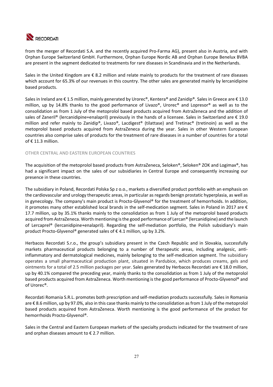

from the merger of Recordati S.A. and the recently acquired Pro‐Farma AG), present also in Austria, and with Orphan Europe Switzerland GmbH. Furthermore, Orphan Europe Nordic AB and Orphan Europe Benelux BVBA are present in the segment dedicated to treatments for rare diseases in Scandinavia and in the Netherlands.

Sales in the United Kingdom are € 8.2 million and relate mainly to products for the treatment of rare diseases which account for 65.3% of our revenues in this country. The other sales are generated mainly by lercanidipine based products.

Sales in Ireland are €1.5 million, mainly generated by Urorec®, Kentera® and Zanidip®. Sales in Greece are €13.0 million, up by 14.8% thanks to the good performance of Livazo®, Urorec® and Lopresor® as well as to the consolidation as from 1 July of the metoprolol based products acquired from AstraZeneca and the addition of sales of Zaneril® (lercanidipine+enalapril) previously in the hands of a licensee. Sales in Switzerland are € 19.0 million and refer mainly to Zanidip®, Livazo®, Lacdigest® (tilattase) and Tretinac® (tretinoin) as well as the metoprolol based products acquired from AstraZeneca during the year. Sales in other Western European countries also comprise sales of products for the treatment of rare diseases in a number of countries for a total of  $\epsilon$  11.3 million.

### OTHER CENTRAL AND EASTERN EUROPEAN COUNTRIES

The acquisition of the metoprolol based products from AstraZeneca, Seloken®, Seloken® ZOK and Logimax®, has had a significant impact on the sales of our subsidiaries in Central Europe and consequently increasing our presence in these countries.

The subsidiary in Poland, Recordati Polska Sp z o.o., markets a diversified product portfolio with an emphasis on the cardiovascular and urology therapeutic areas, in particular as regards benign prostatic hyperplasia, as well as in gynecology. The company's main product is Procto‐Glyvenol® for the treatment of hemorrhoids. In addition, it promotes many other established local brands in the self‐medication segment. Sales in Poland in 2017 are € 17.7 million, up by 35.1% thanks mainly to the consolidation as from 1 July of the metoprolol based products acquired from AstraZeneca. Worth mentioning is the good performance of Lercan® (lercanidipine) and the launch of Lercaprel® (lercanidipine+enalapril). Regarding the self‐mediation portfolio, the Polish subsidiary's main product Procto-Glyvenol® generated sales of €4.1 million, up by 3.2%.

Herbacos Recordati S.r.o., the group's subsidiary present in the Czech Republic and in Slovakia, successfully markets pharmaceutical products belonging to a number of therapeutic areas, including analgesic, antiinflammatory and dermatological medicines, mainly belonging to the self-medication segment. The subsidiary operates a small pharmaceutical production plant, situated in Pardubice, which produces creams, gels and ointments for a total of 2.5 million packages per year. Sales generated by Herbacos Recordati are € 18.0 million, up by 40.1% compared the preceding year, mainly thanks to the consolidation as from 1 July of the metoprolol based products acquired from AstraZeneca. Worth mentioning is the good performance of Procto‐Glyvenol® and of Urorec®.

Recordati Romania S.R.L. promotes both prescription and self‐mediation products successfully. Sales in Romania are € 8.6 million, up by 97.0%, also in this case thanks mainly to the consolidation as from 1 July of the metoprolol based products acquired from AstraZeneca. Worth mentioning is the good performance of the product for hemorrhoids Procto‐Glyvenol®.

Sales in the Central and Eastern European markets of the specialty products indicated for the treatment of rare and orphan diseases amount to  $\epsilon$  2.7 million.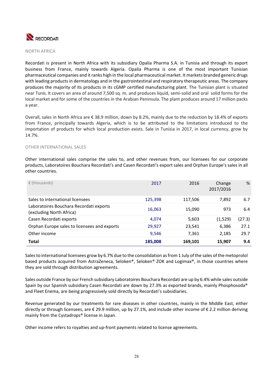

NORTH AFRICA

Recordati is present in North Africa with its subsidiary Opalia Pharma S.A. in Tunisia and through its export business from France, mainly towards Algeria. Opalia Pharma is one of the most important Tunisian pharmaceutical companies and it ranks high in the local pharmaceutical market. It markets branded generic drugs with leading products in dermatology and in the gastrointestinal and respiratory therapeutic areas. The company produces the majority of its products in its cGMP certified manufacturing plant. The Tunisian plant is situated near Tunis. It covers an area of around 7,500 sq. m. and produces liquid, semi‐solid and oral solid forms for the local market and for some of the countries in the Arabian Peninsula. The plant produces around 17 million packs a year.

Overall, sales in North Africa are € 38.9 million, down by 8.2%, mainly due to the reduction by 18.4% of exports from France, principally towards Algeria, which is to be attributed to the limitations introduced to the importation of products for which local production exists. Sale in Tunisia in 2017, in local currency, grow by 14.7%.

### OTHER INTERNATIONAL SALES

Other international sales comprise the sales to, and other revenues from, our licensees for our corporate products, Laboratoires Bouchara Recordati's and Casen Recordati's export sales and Orphan Europe's sales in all other countries.

| $\epsilon$ (thousands)                                              | 2017    | 2016    | Change<br>2017/2016 | %      |
|---------------------------------------------------------------------|---------|---------|---------------------|--------|
| Sales to international licensees                                    | 125,398 | 117,506 | 7,892               | 6.7    |
| Laboratoires Bouchara Recordati exports<br>(excluding North Africa) | 16,063  | 15,090  | 973                 | 6.4    |
| Casen Recordati exports                                             | 4.074   | 5,603   | (1,529)             | (27.3) |
| Orphan Europe sales to licensees and exports                        | 29,927  | 23,541  | 6,386               | 27.1   |
| Other income                                                        | 9,546   | 7.361   | 2,185               | 29.7   |
| <b>Total</b>                                                        | 185,008 | 169,101 | 15,907              | 9.4    |

Sales to international licensees grow by 6.7% due to the consolidation as from 1 July of the sales of the metoprolol based products acquired from AstraZeneca, Seloken®, Seloken® ZOK and Logimax®, in those countries where they are sold through distribution agreements.

Sales outside France by our French subsidiary Laboratoires Bouchara Recordati are up by 6.4% while sales outside Spain by our Spanish subsidiary Casen Recordati are down by 27.3% as exported brands, mainly Phosphosoda® and Fleet Enema, are being progressively sold directly by Recordati's subsidiaries.

Revenue generated by our treatments for rare diseases in other countries, mainly in the Middle East, either directly or through licensees, are € 29.9 million, up by 27.1%, and include other income of € 2.2 million deriving mainly from the Cystadrops® license in Japan.

Other income refers to royalties and up-front payments related to license agreements.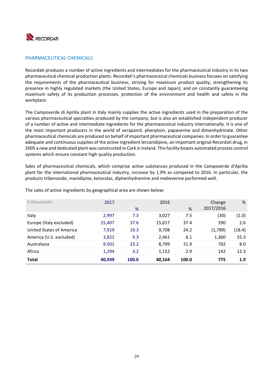

### PHARMACEUTICAL CHEMICALS

Recordati produces a number of active ingredients and intermediates for the pharmaceutical industry in its two pharmaceutical chemical production plants. Recordati's pharmaceutical chemicals business focuses on satisfying the requirements of the pharmaceutical business, striving for maximum product quality, strengthening its presence in highly regulated markets (the United States, Europe and Japan), and on constantly guaranteeing maximum safety of its production processes, protection of the environment and health and safety in the workplace.

The Campoverde di Aprilia plant in Italy mainly supplies the active ingredients used in the preparation of the various pharmaceutical specialties produced by the company, but is also an established independent producer of a number of active and intermediate ingredients for the pharmaceutical industry internationally. It is one of the most important producers in the world of verapamil, phenytoin, papaverine and dimenhydrinate. Other pharmaceutical chemicals are produced on behalf of important pharmaceutical companies. In order to guarantee adequate and continuous supplies of the active ingredient lercanidipine, an important original Recordati drug, in 2005 a new and dedicated plant was constructed in Cork in Ireland. This facility boasts automated process control systems which ensure constant high quality production.

Sales of pharmaceutical chemicals, which comprise active substances produced in the Campoverde d'Aprilia plant for the international pharmaceutical industry, increase by 1.9% as compared to 2016. In particular, the products tribenoside, manidipine, ketorolac, diphenhydramine and mebeverine performed well.

| $\epsilon$ (thousands)   | 2017   | %     | 2016   | %     | Change<br>2017/2016 | %      |
|--------------------------|--------|-------|--------|-------|---------------------|--------|
| Italy                    | 2,997  | 7.3   | 3,027  | 7.5   | (30)                | (1.0)  |
| Europe (Italy excluded)  | 15,407 | 37.6  | 15,017 | 37.4  | 390                 | 2.6    |
| United States of America | 7,919  | 19.3  | 9,708  | 24.2  | (1,789)             | (18.4) |
| America (U.S. excluded)  | 3,821  | 9.3   | 2,461  | 6.1   | 1,360               | 55.3   |
| Australasia              | 9,501  | 23.2  | 8,799  | 21.9  | 702                 | 8.0    |
| Africa                   | 1,294  | 3.2   | 1,152  | 2.9   | 142                 | 12.3   |
| <b>Total</b>             | 40,939 | 100.0 | 40,164 | 100.0 | 775                 | 1.9    |

The sales of active ingredients by geographical area are shown below: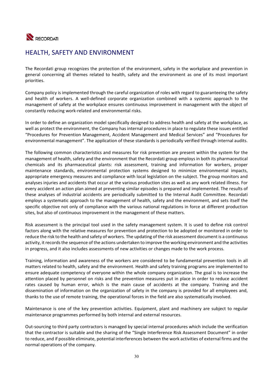

# HEALTH, SAFETY AND ENVIRONMENT

The Recordati group recognizes the protection of the environment, safety in the workplace and prevention in general concerning all themes related to health, safety and the environment as one of its most important priorities.

Company policy is implemented through the careful organization of roles with regard to guaranteeing the safety and health of workers. A well-defined corporate organization combined with a systemic approach to the management of safety at the workplace ensures continuous improvement in management with the object of constantly reducing work‐related and environmental risks.

In order to define an organization model specifically designed to address health and safety at the workplace, as well as protect the environment, the Company has internal procedures in place to regulate these issues entitled "Procedures for Prevention Management, Accident Management and Medical Services" and "Procedures for environmental management". The application of these standards is periodically verified through internal audits.

The following common characteristics and measures for risk prevention are present within the system for the management of health, safety and the environment that the Recordati group employs in both its pharmaceutical chemicals and its pharmaceutical plants: risk assessment, training and information for workers, proper maintenance standards, environmental protection systems designed to minimize environmental impacts, appropriate emergency measures and compliance with local legislation on the subject. The group monitors and analyses injuries and accidents that occur at the various production sites as well as any work related illness. For every accident an action plan aimed at preventing similar episodes is prepared and implemented. The results of these analyses of industrial accidents are periodically submitted to the Internal Audit Committee. Recordati employs a systematic approach to the management of health, safety and the environment, and sets itself the specific objective not only of compliance with the various national regulations in force at different production sites, but also of continuous improvement in the management of these matters.

Risk assessment is the principal tool used in the safety management system. It is used to define risk control factors along with the relative measures for prevention and protection to be adopted or monitored in order to reduce the risk to the health and safety of workers. The updating of the risk assessment document is a continuous activity, it records the sequence of the actions undertaken to improve the working environment and the activities in progress, and it also includes assessments of new activities or changes made to the work process.

Training, information and awareness of the workers are considered to be fundamental prevention tools in all matters related to health, safety and the environment. Health and safety training programs are implemented to ensure adequate competency of everyone within the whole company organization. The goal is to increase the attention placed by personnel on risks and the prevention measures put in place in order to reduce accident rates caused by human error, which is the main cause of accidents at the company. Training and the dissemination of information on the organization of safety in the company is provided for all employees and, thanks to the use of remote training, the operational forces in the field are also systematically involved.

Maintenance is one of the key prevention activities. Equipment, plant and machinery are subject to regular maintenance programmes performed by both internal and external resources.

Out‐sourcing to third party contractors is managed by special internal procedures which include the verification that the contractor is suitable and the sharing of the "Single Interference Risk Assessment Document" in order to reduce, and if possible eliminate, potential interferences between the work activities of external firms and the normal operations of the company.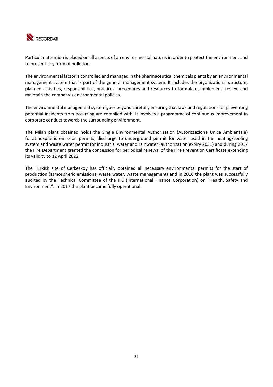

Particular attention is placed on all aspects of an environmental nature, in order to protect the environment and to prevent any form of pollution.

The environmental factor is controlled and managed in the pharmaceutical chemicals plants by an environmental management system that is part of the general management system. It includes the organizational structure, planned activities, responsibilities, practices, procedures and resources to formulate, implement, review and maintain the company's environmental policies.

The environmental management system goes beyond carefully ensuring that laws and regulations for preventing potential incidents from occurring are complied with. It involves a programme of continuous improvement in corporate conduct towards the surrounding environment.

The Milan plant obtained holds the Single Environmental Authorization (Autorizzazione Unica Ambientale) for atmospheric emission permits, discharge to underground permit for water used in the heating/cooling system and waste water permit for industrial water and rainwater (authorization expiry 2031) and during 2017 the Fire Department granted the concession for periodical renewal of the Fire Prevention Certificate extending its validity to 12 April 2022.

The Turkish site of Cerkezkoy has officially obtained all necessary environmental permits for the start of production (atmospheric emissions, waste water, waste management) and in 2016 the plant was successfully audited by the Technical Committee of the IFC (International Finance Corporation) on "Health, Safety and Environment". In 2017 the plant became fully operational.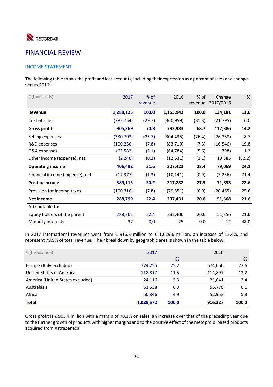

# FINANCIAL REVIEW

## INCOME STATEMENT

The following table shows the profit and loss accounts, including their expression as a percent of sales and change versus 2016:

| $\epsilon$ (thousands)          | 2017       | $%$ of<br>revenue | 2016       | $%$ of<br>revenue | Change<br>2017/2016 | %      |
|---------------------------------|------------|-------------------|------------|-------------------|---------------------|--------|
| <b>Revenue</b>                  | 1,288,123  | 100.0             | 1,153,942  | 100.0             | 134,181             | 11.6   |
| Cost of sales                   | (382, 754) | (29.7)            | (360, 959) | (31.3)            | (21, 795)           | 6.0    |
| <b>Gross profit</b>             | 905,369    | 70.3              | 792,983    | 68.7              | 112,386             | 14.2   |
| Selling expenses                | (330, 793) | (25.7)            | (304, 435) | (26.4)            | (26, 358)           | 8.7    |
| R&D expenses                    | (100, 256) | (7.8)             | (83, 710)  | (7.3)             | (16, 546)           | 19.8   |
| G&A expenses                    | (65, 582)  | (5.1)             | (64, 784)  | (5.6)             | (798)               | 1.2    |
| Other income (expense), net     | (2, 246)   | (0.2)             | (12, 631)  | (1.1)             | 10,385              | (82.2) |
| <b>Operating income</b>         | 406,492    | 31.6              | 327,423    | 28.4              | 79,069              | 24.1   |
| Financial income (expense), net | (17, 377)  | (1.3)             | (10, 141)  | (0.9)             | (7, 236)            | 71.4   |
| <b>Pre-tax income</b>           | 389,115    | 30.2              | 317,282    | 27.5              | 71,833              | 22.6   |
| Provision for income taxes      | (100, 316) | (7.8)             | (79, 851)  | (6.9)             | (20, 465)           | 25.6   |
| Net income                      | 288,799    | 22.4              | 237,431    | 20.6              | 51,368              | 21.6   |
| Attributable to:                |            |                   |            |                   |                     |        |
| Equity holders of the parent    | 288,762    | 22.4              | 237,406    | 20.6              | 51,356              | 21.6   |
| Minority interests              | 37         | 0,0               | 25         | 0.0               | 12                  | 48.0   |

In 2017 international revenues went from  $\epsilon$  916.3 million to  $\epsilon$  1,029.6 million, an increase of 12.4%, and represent 79.9% of total revenue. Their breakdown by geographic area is shown in the table below:

| $\epsilon$ (thousands)           | 2017      |       | 2016    |       |
|----------------------------------|-----------|-------|---------|-------|
|                                  |           | %     |         | %     |
| Europe (Italy excluded)          | 774,255   | 75.2  | 674,066 | 73.6  |
| United States of America         | 118,817   | 11.5  | 111,897 | 12.2  |
| America (United States excluded) | 24,116    | 2.3   | 21,641  | 2.4   |
| Australasia                      | 61,538    | 6.0   | 55,770  | 6.1   |
| Africa                           | 50,846    | 4.9   | 52,953  | 5.8   |
| <b>Total</b>                     | 1,029,572 | 100.0 | 916,327 | 100.0 |

Gross profit is € 905.4 million with a margin of 70.3% on sales, an increase over that of the preceding year due to the further growth of products with higher margins and to the positive effect of the metoprolol based products acquired from AstraZeneca.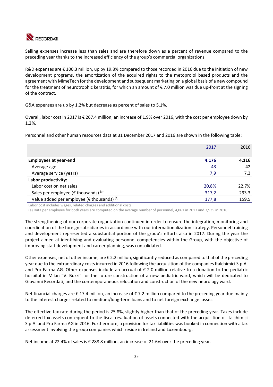

Selling expenses increase less than sales and are therefore down as a percent of revenue compared to the preceding year thanks to the increased efficiency of the group's commercial organizations.

R&D expenses are € 100.3 million, up by 19.8% compared to those recorded in 2016 due to the initiation of new development programs, the amortization of the acquired rights to the metoprolol based products and the agreement with MimeTech for the development and subsequent marketing on a global basis of a new compound for the treatment of neurotrophic keratitis, for which an amount of € 7.0 million was due up‐front at the signing of the contract.

G&A expenses are up by 1.2% but decrease as percent of sales to 5.1%.

Overall, labor cost in 2017 is € 267.4 million, an increase of 1.9% over 2016, with the cost per employee down by 1.2%.

Personnel and other human resources data at 31 December 2017 and 2016 are shown in the following table:

|                                                      | 2017  | 2016  |
|------------------------------------------------------|-------|-------|
| <b>Employees at year-end</b>                         | 4.176 | 4,116 |
| Average age                                          | 43    | 42    |
| Average service (years)                              | 7,9   | 7.3   |
| Labor productivity:                                  |       |       |
| Labor cost on net sales                              | 20,8% | 22.7% |
| Sales per employee (€ thousands) $(a)$               | 317,2 | 293.3 |
| Value added per employee ( $\epsilon$ thousands) (a) | 177,8 | 159.5 |
|                                                      |       |       |

Labor cost includes wages, related charges and additional costs.

(a) Data per employee for both years are computed on the average number of personnel, 4,061 in 2017 and 3,935 in 2016.

The strengthening of our corporate organization continued in order to ensure the integration, monitoring and coordination of the foreign subsidiaries in accordance with our internationalization strategy. Personnel training and development represented a substantial portion of the group's efforts also in 2017. During the year the project aimed at identifying and evaluating personnel competencies within the Group, with the objective of improving staff development and career planning, was consolidated.

Other expenses, net of other income, are € 2.2 million, significantly reduced as compared to that of the preceding year due to the extraordinary costs incurred in 2016 following the acquisition of the companies Italchimici S.p.A. and Pro Farma AG. Other expenses include an accrual of  $\epsilon$  2.0 million relative to a donation to the pediatric hospital in Milan "V. Buzzi" for the future construction of a new pediatric ward, which will be dedicated to Giovanni Recordati, and the contemporaneous relocation and construction of the new neurology ward.

Net financial charges are € 17.4 million, an increase of € 7.2 million compared to the preceding year due mainly to the interest charges related to medium/long-term loans and to net foreign exchange losses.

The effective tax rate during the period is 25.8%, slightly higher than that of the preceding year. Taxes include deferred tax assets consequent to the fiscal revaluation of assets connected with the acquisition of Italchimici S.p.A. and Pro Farma AG in 2016. Furthermore, a provision for tax liabilities was booked in connection with a tax assessment involving the group companies which reside in Ireland and Luxembourg.

Net income at 22.4% of sales is € 288.8 million, an increase of 21.6% over the preceding year.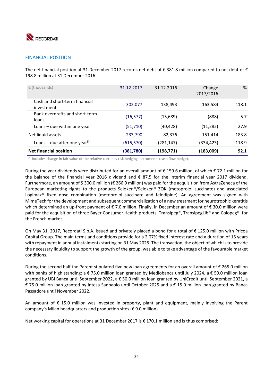

### FINANCIAL POSITION

The net financial position at 31 December 2017 records net debt of  $\epsilon$  381.8 million compared to net debt of  $\epsilon$ 198.8 million at 31 December 2016.

| $\epsilon$ (thousands)                       | 31.12.2017 | 31.12.2016 | Change<br>2017/2016 | %     |
|----------------------------------------------|------------|------------|---------------------|-------|
| Cash and short-term financial<br>investments | 302,077    | 138,493    | 163,584             | 118.1 |
| Bank overdrafts and short-term<br>loans      | (16, 577)  | (15,689)   | (888)               | 5.7   |
| Loans $-$ due within one year                | (51, 710)  | (40, 428)  | (11, 282)           | 27.9  |
| Net liquid assets                            | 233,790    | 82,376     | 151,414             | 183.8 |
| Loans – due after one year <sup>(1)</sup>    | (615, 570) | (281, 147) | (334, 423)          | 118.9 |
| <b>Net financial position</b>                | (381,780)  | (198, 771) | (183,009)           | 92.1  |

(1) Includes change in fair value of the relative currency risk hedging instruments (cash flow hedge).

During the year dividends were distributed for an overall amount of € 159.6 million, of which € 72.1 million for the balance of the financial year 2016 dividend and  $\epsilon$  87.5 for the interim financial year 2017 dividend. Furthermore, an amount of \$ 300.0 million (€ 266.9 million) was paid for the acquisition from AstraZeneca of the European marketing rights to the products Seloken®/Seloken® ZOK (metoprolol succinate) and associated Logimax<sup>®</sup> fixed dose combination (metoprolol succinate and felodipine). An agreement was signed with MimeTech for the development and subsequent commercialization of a new treatment for neurotrophic keratitis which determined an up-front payment of € 7.0 million. Finally, in December an amount of € 30.0 million were paid for the acquisition of three Bayer Consumer Health products, Transipeg®, TransipegLib® and Colopeg®, for the French market.

On May 31, 2017, Recordati S.p.A. issued and privately placed a bond for a total of € 125.0 million with Pricoa Capital Group. The main terms and conditions provide for a 2.07% fixed interest rate and a duration of 15 years with repayment in annual instalments starting on 31 May 2025. The transaction, the object of which is to provide the necessary liquidity to support the growth of the group, was able to take advantage of the favourable market conditions.

During the second half the Parent stipulated five new loan agreements for an overall amount of € 265.0 million with banks of high standing: a € 75.0 million loan granted by Mediobanca until July 2024, a € 50.0 million loan granted by UBI Banca until September 2022, a € 50.0 million loan granted by UniCredit until September 2021, a € 75.0 million loan granted by Intesa Sanpaolo until October 2025 and a € 15.0 million loan granted by Banca Passadore until November 2022.

An amount of  $\epsilon$  15.0 million was invested in property, plant and equipment, mainly involving the Parent company's Milan headquarters and production sites (€ 9.0 million).

Net working capital for operations at 31 December 2017 is € 170.1 million and is thus comprised: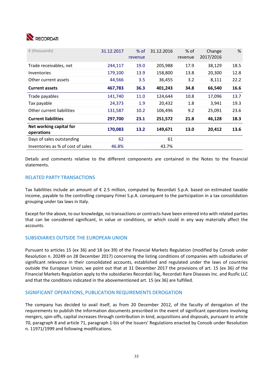

| $\epsilon$ (thousands)                | 31.12.2017 | $%$ of<br>revenue | 31.12.2016 | $%$ of<br>revenue | Change<br>2017/2016 | %    |
|---------------------------------------|------------|-------------------|------------|-------------------|---------------------|------|
| Trade receivables, net                | 244,117    | 19.0              | 205,988    | 17.9              | 38,129              | 18.5 |
| <b>Inventories</b>                    | 179,100    | 13.9              | 158,800    | 13.8              | 20,300              | 12.8 |
| Other current assets                  | 44,566     | 3.5               | 36,455     | 3.2               | 8,111               | 22.2 |
| <b>Current assets</b>                 | 467,783    | 36.3              | 401,243    | 34.8              | 66,540              | 16.6 |
| Trade payables                        | 141,740    | 11.0              | 124,644    | 10.8              | 17,096              | 13.7 |
| Tax payable                           | 24,373     | 1.9               | 20,432     | 1.8               | 3,941               | 19.3 |
| Other current liabilities             | 131,587    | 10.2              | 106,496    | 9.2               | 25,091              | 23.6 |
| <b>Current liabilities</b>            | 297,700    | 23.1              | 251,572    | 21.8              | 46,128              | 18.3 |
| Net working capital for<br>operations | 170,083    | 13.2              | 149,671    | 13.0              | 20,412              | 13.6 |
| Days of sales outstanding             | 62         |                   | 61         |                   |                     |      |
| Inventories as % of cost of sales     | 46.8%      |                   | 43.7%      |                   |                     |      |

Details and comments relative to the different components are contained in the Notes to the financial statements.

### RELATED PARTY TRANSACTIONS

Tax liabilities include an amount of  $\epsilon$  2.5 million, computed by Recordati S.p.A. based on estimated taxable income, payable to the controlling company Fimei S.p.A. consequent to the participation in a tax consolidation grouping under tax laws in Italy.

Except for the above, to our knowledge, no transactions or contracts have been entered into with related parties that can be considered significant, in value or conditions, or which could in any way materially affect the accounts.

### SUBSIDIARIES OUTSIDE THE EUROPEAN UNION

Pursuant to articles 15 (ex 36) and 18 (ex 39) of the Financial Markets Regulation (modified by Consob under Resolution n. 20249 on 28 December 2017) concerning the listing conditions of companies with subsidiaries of significant relevance in their consolidated accounts, established and regulated under the laws of countries outside the European Union, we point out that at 31 December 2017 the provisions of art. 15 (ex 36) of the Financial Markets Regulation apply to the subsidiaries Recordati İlaç, Recordati Rare Diseases Inc. and Rusfic LLC and that the conditions indicated in the abovementioned art. 15 (ex 36) are fulfilled.

### SIGNIFICANT OPERATIONS, PUBLICATION REQUIREMENTS DEROGATION

The company has decided to avail itself, as from 20 December 2012, of the faculty of derogation of the requirements to publish the information documents prescribed in the event of significant operations involving mergers, spin‐offs, capital increases through contribution in kind, acquisitions and disposals, pursuant to article 70, paragraph 8 and article 71, paragraph 1‐bis of the Issuers' Regulations enacted by Consob under Resolution n. 11971/1999 and following modifications.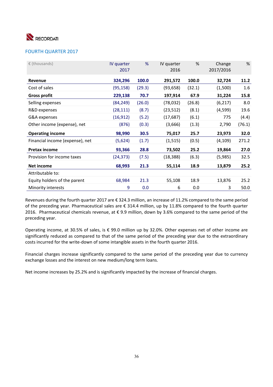

## FOURTH QUARTER 2017

| $\epsilon$ (thousands)          | IV quarter<br>2017 | %      | IV quarter<br>2016 | %      | Change<br>2017/2016 | %       |
|---------------------------------|--------------------|--------|--------------------|--------|---------------------|---------|
| Revenue                         | 324,296            | 100.0  | 291,572            | 100.0  | 32,724              | 11.2    |
| Cost of sales                   | (95, 158)          | (29.3) | (93, 658)          | (32.1) | (1,500)             | $1.6\,$ |
| <b>Gross profit</b>             | 229,138            | 70.7   | 197,914            | 67.9   | 31,224              | 15.8    |
| Selling expenses                | (84, 249)          | (26.0) | (78,032)           | (26.8) | (6, 217)            | 8.0     |
| R&D expenses                    | (28, 111)          | (8.7)  | (23, 512)          | (8.1)  | (4,599)             | 19.6    |
| G&A expenses                    | (16, 912)          | (5.2)  | (17, 687)          | (6.1)  | 775                 | (4.4)   |
| Other income (expense), net     | (876)              | (0.3)  | (3,666)            | (1.3)  | 2,790               | (76.1)  |
| <b>Operating income</b>         | 98,990             | 30.5   | 75,017             | 25.7   | 23,973              | 32.0    |
| Financial income (expense), net | (5,624)            | (1.7)  | (1, 515)           | (0.5)  | (4, 109)            | 271.2   |
| <b>Pretax income</b>            | 93,366             | 28.8   | 73,502             | 25.2   | 19,864              | 27.0    |
| Provision for income taxes      | (24, 373)          | (7.5)  | (18, 388)          | (6.3)  | (5,985)             | 32.5    |
| Net income                      | 68,993             | 21.3   | 55,114             | 18.9   | 13,879              | 25.2    |
| Attributable to:                |                    |        |                    |        |                     |         |
| Equity holders of the parent    | 68,984             | 21.3   | 55,108             | 18.9   | 13,876              | 25.2    |
| Minority interests              | 9                  | 0.0    | 6                  | 0.0    | 3                   | 50.0    |

Revenues during the fourth quarter 2017 are € 324.3 million, an increase of 11.2% compared to the same period of the preceding year. Pharmaceutical sales are € 314.4 million, up by 11.8% compared to the fourth quarter 2016. Pharmaceutical chemicals revenue, at  $\epsilon$  9.9 million, down by 3.6% compared to the same period of the preceding year.

Operating income, at 30.5% of sales, is € 99.0 million up by 32.0%. Other expenses net of other income are significantly reduced as compared to that of the same period of the preceding year due to the extraordinary costs incurred for the write‐down of some intangible assets in the fourth quarter 2016.

Financial charges increase significantly compared to the same period of the preceding year due to currency exchange losses and the interest on new medium/long term loans.

Net income increases by 25.2% and is significantly impacted by the increase of financial charges.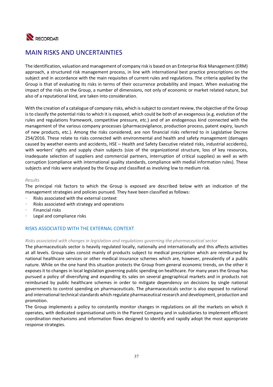

## MAIN RISKS AND UNCERTAINTIES

The identification, valuation and management of company risk is based on an Enterprise Risk Management (ERM) approach, a structured risk management process, in line with international best practice prescriptions on the subject and in accordance with the main requisites of current rules and regulations. The criteria applied by the Group is that of evaluating its risks in terms of their occurrence probability and impact. When evaluating the impact of the risks on the Group, a number of dimensions, not only of economic or market related nature, but also of a reputational kind, are taken into consideration.

With the creation of a catalogue of company risks, which is subject to constant review, the objective of the Group is to classify the potential risks to which it is exposed, which could be both of an exogenous (e.g. evolution of the rules and regulations framework, competitive pressure, etc.) and of an endogenous kind connected with the management of the various company processes (pharmacovigilance, production process, patent expiry, launch of new products, etc.). Among the risks considered, are non financial risks referred to in Legislative Decree 254/2016. These relate to risks connected with environmental and health and safety management (damages caused by weather events and accidents, HSE – Health and Safety Executive related risks, industrial accidents), with workers' rights and supply chain subjects (size of the organizational structure, loss of key resources, inadequate selection of suppliers and commercial partners, interruption of critical supplies) as well as with corruption (compliance with international quality standards, compliance with medial information rules). These subjects and risks were analysed by the Group and classified as involving low to medium risk.

#### *Results*

The principal risk factors to which the Group is exposed are described below with an indication of the management strategies and policies pursued. They have been classified as follows:

- Risks associated with the external context
- Risks associated with strategy and operations
- Financial risks
- Legal and compliance risks

## RISKS ASSOCIATED WITH THE EXTERNAL CONTEXT

## *Risks associated with changes in legislation and regulations governing the pharmaceutical sector*

The pharmaceuticals sector is heavily regulated locally, nationally and internationally and this affects activities at all levels. Group sales consist mainly of products subject to medical prescription which are reimbursed by national healthcare services or other medical insurance schemes which are, however, prevalently of a public nature. While on the one hand this situation protects the Group from general economic trends, on the other it exposes it to changes in local legislation governing public spending on healthcare. For many years the Group has pursued a policy of diversifying and expanding its sales on several geographical markets and in products not reimbursed by public healthcare schemes in order to mitigate dependency on decisions by single national governments to control spending on pharmaceuticals. The pharmaceuticals sector is also exposed to national and international technical standards which regulate pharmaceutical research and development, production and promotion.

The Group implements a policy to constantly monitor changes in regulations on all the markets on which it operates, with dedicated organisational units in the Parent Company and in subsidiaries to implement efficient coordination mechanisms and information flows designed to identify and rapidly adopt the most appropriate response strategies.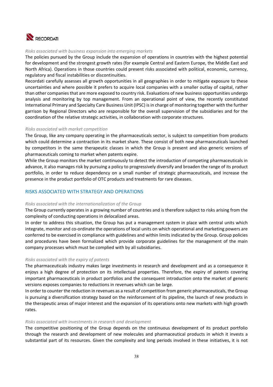

#### *Risks associated with business expansion into emerging markets*

The policies pursued by the Group include the expansion of operations in countries with the highest potential for development and the strongest growth rates (for example Central and Eastern Europe, the Middle East and North Africa). Operations in those countries could present risks associated with political, economic, currency, regulatory and fiscal instabilities or discontinuities.

Recordati carefully assesses all growth opportunities in all geographies in order to mitigate exposure to these uncertainties and where possible it prefers to acquire local companies with a smaller outlay of capital, rather than other companies that are more exposed to country risk. Evaluations of new business opportunities undergo analysis and monitoring by top management. From an operational point of view, the recently constituted International Primary and Specialty Care Business Unit (IPSC) is in charge of monitoring together with the further garrison by Regional Directors who are responsible for the overall supervision of the subsidiaries and for the coordination of the relative strategic activities, in collaboration with corporate structures.

#### *Risks associated with market competition*

The Group, like any company operating in the pharmaceuticals sector, is subject to competition from products which could determine a contraction in its market share. These consist of both new pharmaceuticals launched by competitors in the same therapeutic classes in which the Group is present and also generic versions of pharmaceuticals coming to market when patents expire.

While the Group monitors the market continuously to detect the introduction of competing pharmaceuticals in advance, it also manages risk by pursuing a policy to progressively diversify and broaden the range of its product portfolio, in order to reduce dependency on a small number of strategic pharmaceuticals, and increase the presence in the product portfolio of OTC products and treatments for rare diseases.

## RISKS ASSOCIATED WITH STRATEGY AND OPERATIONS

#### *Risks associated with the internationalization of the Group*

The Group currently operates in a growing number of countries and is therefore subject to risks arising from the complexity of conducting operations in delocalized areas.

In order to address this situation, the Group has put a management system in place with central units which integrate, monitor and co-ordinate the operations of local units on which operational and marketing powers are conferred to be exercised in compliance with guidelines and within limits indicated by the Group. Group policies and procedures have been formalized which provide corporate guidelines for the management of the main company processes which must be complied with by all subsidiaries.

## *Risks associated with the expiry of patents*

The pharmaceuticals industry makes large investments in research and development and as a consequence it enjoys a high degree of protection on its intellectual properties. Therefore, the expiry of patents covering important pharmaceuticals in product portfolios and the consequent introduction onto the market of generic versions exposes companies to reductions in revenues which can be large.

In order to counter the reduction in revenues as a result of competition from generic pharmaceuticals, the Group is pursuing a diversification strategy based on the reinforcement of its pipeline, the launch of new products in the therapeutic areas of major interest and the expansion of its operations onto new markets with high growth rates.

#### *Risks associated with investments in research and development*

The competitive positioning of the Group depends on the continuous development of its product portfolio through the research and development of new molecules and pharmaceutical products in which it invests a substantial part of its resources. Given the complexity and long periods involved in these initiatives, it is not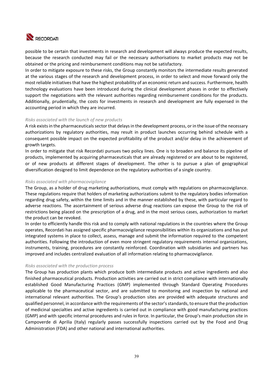

possible to be certain that investments in research and development will always produce the expected results, because the research conducted may fail or the necessary authorisations to market products may not be obtained or the pricing and reimbursement conditions may not be satisfactory.

In order to mitigate exposure to these risks, the Group constantly monitors the intermediate results generated at the various stages of the research and development process, in order to select and move forward only the most reliable initiatives that have the highest probability of an economic return and success. Furthermore, health technology evaluations have been introduced during the clinical development phases in order to effectively support the negotiations with the relevant authorities regarding reimbursement conditions for the products. Additionally, prudentially, the costs for investments in research and development are fully expensed in the accounting period in which they are incurred.

### *Risks associated with the launch of new products*

A risk exists in the pharmaceuticals sector that delays in the development process, or in the issue of the necessary authorizations by regulatory authorities, may result in product launches occurring behind schedule with a consequent possible impact on the expected profitability of the product and/or delay in the achievement of growth targets.

In order to mitigate that risk Recordati pursues two policy lines. One is to broaden and balance its pipeline of products, implemented by acquiring pharmaceuticals that are already registered or are about to be registered, or of new products at different stages of development. The other is to pursue a plan of geographical diversification designed to limit dependence on the regulatory authorities of a single country.

#### *Risks associated with pharmacovigilance*

The Group, as a holder of drug marketing authorizations, must comply with regulations on pharmacovigilance. These regulations require that holders of marketing authorizations submit to the regulatory bodies information regarding drug safety, within the time limits and in the manner established by these, with particular regard to adverse reactions. The ascertainment of serious adverse drug reactions can expose the Group to the risk of restrictions being placed on the prescription of a drug, and in the most serious cases, authorization to market the product can be revoked.

In order to efficiently handle this risk and to comply with national regulations in the countries where the Group operates, Recordati has assigned specific pharmacovigilance responsibilities within its organizations and has put integrated systems in place to collect, assess, manage and submit the information required to the competent authorities. Following the introduction of even more stringent regulatory requirements internal organizations, instruments, training, procedures are constantly reinforced. Coordination with subsidiaries and partners has improved and includes centralized evaluation of all information relating to pharmacovigilance.

#### *Risks associated with the production process*

The Group has production plants which produce both intermediate products and active ingredients and also finished pharmaceutical products. Production activities are carried out in strict compliance with internationally established Good Manufacturing Practices (GMP) implemented through Standard Operating Procedures applicable to the pharmaceutical sector, and are submitted to monitoring and inspection by national and international relevant authorities. The Group's production sites are provided with adequate structures and qualified personnel, in accordance with the requirements of the sector's standards, to ensure that the production of medicinal specialties and active ingredients is carried out in compliance with good manufacturing practices (GMP) and with specific internal procedures and rules in force. In particular, the Group's main production site in Campoverde di Aprilia (Italy) regularly passes successfully inspections carried out by the Food and Drug Administration (FDA) and other national and international authorities.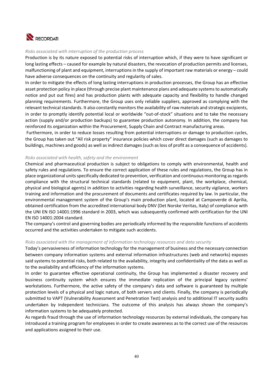

#### *Risks associated with interruption of the production process*

Production is by its nature exposed to potential risks of interruption which, if they were to have significant or long lasting effects – caused for example by natural disasters, the revocation of production permits and licenses, malfunctioning of plant and equipment, interruptions in the supply of important raw materials or energy – could have adverse consequences on the continuity and regularity of sales.

In order to mitigate the effects of long lasting interruptions in production processes, the Group has an effective asset protection policy in place (through precise plant maintenance plans and adequate systems to automatically notice and put out fires) and has production plants with adequate capacity and flexibility to handle changed planning requirements. Furthermore, the Group uses only reliable suppliers, approved as complying with the relevant technical standards. It also constantly monitors the availability of raw materials and strategic excipients, in order to promptly identify potential local or worldwide "out‐of‐stock" situations and to take the necessary action (supply and/or production backups) to guarantee production autonomy. In addition, the company has reinforced its organization within the Procurement, Supply Chain and Contract manufacturing areas.

 Furthermore, in order to reduce losses resulting from potential interruptions or damage to production cycles, the Group has taken out "All risk property" insurance policies which cover direct damages (such as damages to buildings, machines and goods) as well as indirect damages (such as loss of profit as a consequence of accidents).

#### *Risks associated with health, safety and the environment*

Chemical and pharmaceutical production is subject to obligations to comply with environmental, health and safety rules and regulations. To ensure the correct application of these rules and regulations, the Group has in place organizational units specifically dedicated to prevention, verification and continuous monitoring as regards compliance with the structural technical standards (related to equipment, plant, the workplace, chemical, physical and biological agents) in addition to activities regarding health surveillance, security vigilance, workers training and information and the procurement of documents and certificates required by law. In particular, the environmental management system of the Group's main production plant, located at Campoverde di Aprilia, obtained certification from the accredited international body DNV (Det Norske Veritas, Italy) of compliance with the UNI EN ISO 14001:1996 standard in 2003, which was subsequently confirmed with certification for the UNI EN ISO 14001:2004 standard.

The company's control and governing bodies are periodically informed by the responsible functions of accidents occurred and the activities undertaken to mitigate such accidents.

#### *Risks associated with the management of information technology resources and data security*

Today's pervasiveness of information technology for the management of business and the necessary connection between company information systems and external information infrastructures (web and networks) exposes said systems to potential risks, both related to the availability, integrity and confidentiality of the data as well as to the availability and efficiency of the information systems.

In order to guarantee effective operational continuity, the Group has implemented a disaster recovery and business continuity system which ensures the immediate replication of the principal legacy systems' workstations. Furthermore, the active safety of the company's data and software is guaranteed by multiple protection levels of a physical and logic nature, of both servers and clients. Finally, the company is periodically submitted to VAPT (Vulnerability Assessment and Penetration Test) analysis and to additional IT security audits undertaken by independent technicians. The outcome of this analysis has always shown the company's information systems to be adequately protected.

As regards fraud through the use of information technology resources by external individuals, the company has introduced a training program for employees in order to create awareness as to the correct use of the resources and applications assigned to their use.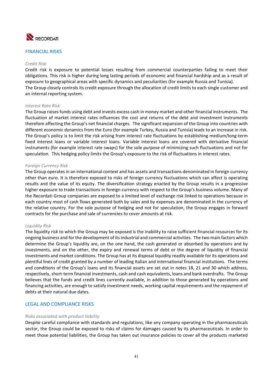

### FINANCIAL RISKS

#### *Credit Risk*

Credit risk is exposure to potential losses resulting from commercial counterparties failing to meet their obligations. This risk is higher during long lasting periods of economic and financial hardship and as a result of exposure to geographical areas with specific dynamics and peculiarities (for example Russia and Tunisia). The Group closely controls its credit exposure through the allocation of credit limits to each single customer and an internal reporting system.

#### *Interest Rate Risk*

The Group raises funds using debt and invests excess cash in money market and other financial instruments. The fluctuation of market interest rates influences the cost and returns of the debt and investment instruments therefore affecting the Group's net financial charges. The significant expansion of the Group into countries with different economic dynamics from the Euro (for example Turkey, Russia and Tunisia) leads to an increase in risk. The Group's policy is to limit the risk arising from interest rate fluctuations by establishing medium/long‐term fixed interest loans or variable interest loans. Variable interest loans are covered with derivative financial instruments (for example interest rate swaps) for the sole purpose of minimizing such fluctuations and not for speculation. This hedging policy limits the Group's exposure to the risk of fluctuations in interest rates.

#### *Foreign Currency Risk*

The Group operates in an international context and has assets and transactions denominated in foreign currency other than euro. It is therefore exposed to risks of foreign currency fluctuations which can affect is operating results and the value of its equity. The diversification strategy enacted by the Group results in a progressive higher exposure to trade transactions in foreign currency with respect to the Group's business volume. Many of the Recordati Group companies are exposed to a limited level of exchange risk linked to operations because in each country most of cash flows generated both by sales and by expenses are denominated in the currency of the relative country. For the sole purpose of hedging and not for speculation, the Group engages in forward contracts for the purchase and sale of currencies to cover amounts at risk.

#### *Liquidity Risk*

The liquidity risk to which the Group may be exposed is the inability to raise sufficient financial resources for its ongoing business and for the development of its industrial and commercial activities. The two main factors which determine the Group's liquidity are, on the one hand, the cash generated or absorbed by operations and by investments, and on the other, the expiry and renewal terms of debt or the degree of liquidity of financial investments and market conditions. The Group has at its disposal liquidity readily available for its operations and plentiful lines of credit granted by a number of leading Italian and international financial institutions. The terms and conditions of the Group's loans and its financial assets are set out in notes 18, 21 and 30 which address, respectively, short-term financial investments, cash and cash equivalents, loans and bank overdrafts. The Group believes that the funds and credit lines currently available, in addition to those generated by operations and financing activities, are enough to satisfy investment needs, working capital requirements and the repayment of debts at their natural due dates.

#### LEGAL AND COMPLIANCE RISKS

#### *Risks associated with product liability*

Despite careful compliance with standards and regulations, like any company operating in the pharmaceuticals sector, the Group could be exposed to risks of claims for damages caused by its pharmaceuticals. In order to meet those potential liabilities, the Group has taken out insurance policies to cover all the products marketed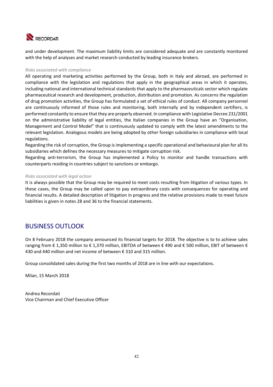

and under development. The maximum liability limits are considered adequate and are constantly monitored with the help of analyses and market research conducted by leading insurance brokers.

### *Risks associated with compliance*

All operating and marketing activities performed by the Group, both in Italy and abroad, are performed in compliance with the legislation and regulations that apply in the geographical areas in which it operates, including national and international technical standards that apply to the pharmaceuticals sector which regulate pharmaceutical research and development, production, distribution and promotion. As concerns the regulation of drug promotion activities, the Group has formulated a set of ethical rules of conduct. All company personnel are continuously informed of those rules and monitoring, both internally and by independent certifiers, is performed constantly to ensure that they are properly observed. In compliance with Legislative Decree 231/2001 on the administrative liability of legal entities, the Italian companies in the Group have an "Organisation, Management and Control Model" that is continuously updated to comply with the latest amendments to the relevant legislation. Analogous models are being adopted by other foreign subsidiaries in compliance with local regulations.

Regarding the risk of corruption, the Group is implementing a specific operational and behavioural plan for all its subsidiaries which defines the necessary measures to mitigate corruption risk.

Regarding anti-terrorism, the Group has implemented a Policy to monitor and handle transactions with counterparts residing in countries subject to sanctions or embargo.

#### *Risks associated with legal action*

It is always possible that the Group may be required to meet costs resulting from litigation of various types. In these cases, the Group may be called upon to pay extraordinary costs with consequences for operating and financial results. A detailed description of litigation in progress and the relative provisions made to meet future liabilities is given in notes 28 and 36 to the financial statements.

## BUSINESS OUTLOOK

On 8 February 2018 the company announced its financial targets for 2018. The objective is to to achieve sales ranging from € 1,350 million to € 1,370 million, EBITDA of between € 490 and € 500 million, EBIT of between € 430 and 440 million and net income of between € 310 and 315 million.

Group consolidated sales during the first two months of 2018 are in line with our expectations.

Milan, 15 March 2018

Andrea Recordati Vice Chairman and Chief Executive Officer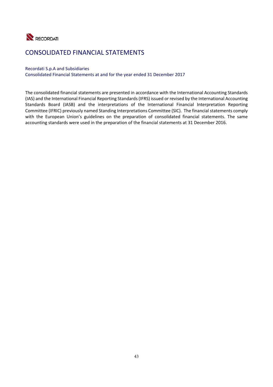

## CONSOLIDATED FINANCIAL STATEMENTS

### Recordati S.p.A and Subsidiaries

Consolidated Financial Statements at and for the year ended 31 December 2017

The consolidated financial statements are presented in accordance with the International Accounting Standards (IAS) and the International Financial Reporting Standards (IFRS) issued or revised by the International Accounting Standards Board (IASB) and the interpretations of the International Financial Interpretation Reporting Committee (IFRIC) previously named Standing Interpretations Committee (SIC). The financial statements comply with the European Union's guidelines on the preparation of consolidated financial statements. The same accounting standards were used in the preparation of the financial statements at 31 December 2016.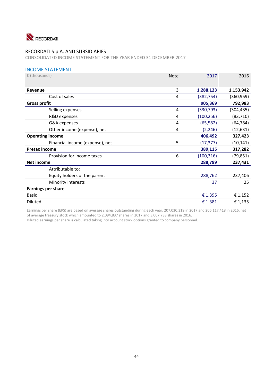

CONSOLIDATED INCOME STATEMENT FOR THE YEAR ENDED 31 DECEMBER 2017

## INCOME STATEMENT

| $\epsilon$ (thousands)          | <b>Note</b>    | 2017       | 2016       |
|---------------------------------|----------------|------------|------------|
|                                 |                |            |            |
| Revenue                         | 3              | 1,288,123  | 1,153,942  |
| Cost of sales                   | 4              | (382, 754) | (360, 959) |
| <b>Gross profit</b>             |                | 905,369    | 792,983    |
| Selling expenses                | $\overline{A}$ | (330, 793) | (304, 435) |
| R&D expenses                    | 4              | (100, 256) | (83, 710)  |
| G&A expenses                    | 4              | (65, 582)  | (64, 784)  |
| Other income (expense), net     | 4              | (2, 246)   | (12, 631)  |
| <b>Operating income</b>         |                | 406,492    | 327,423    |
| Financial income (expense), net | 5              | (17, 377)  | (10, 141)  |
| <b>Pretax income</b>            |                | 389,115    | 317,282    |
| Provision for income taxes      | 6              | (100, 316) | (79, 851)  |
| Net income                      |                | 288,799    | 237,431    |
| Attributable to:                |                |            |            |
| Equity holders of the parent    |                | 288,762    | 237,406    |
| Minority interests              |                | 37         | 25         |
| <b>Earnings per share</b>       |                |            |            |
| <b>Basic</b>                    |                | € 1.395    | € 1,152    |
| <b>Diluted</b>                  |                | € 1.381    | € 1,135    |

Earnings per share (EPS) are based on average shares outstanding during each year, 207,030,319 in 2017 and 206,117,418 in 2016, net of average treasury stock which amounted to 2,094,837 shares in 2017 and 3,007,738 shares in 2016.

Diluted earnings per share is calculated taking into account stock options granted to company personnel.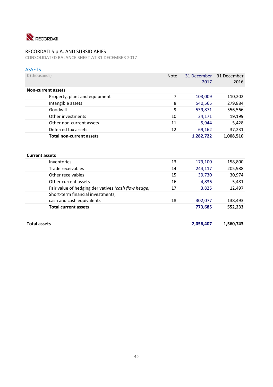

CONSOLIDATED BALANCE SHEET AT 31 DECEMBER 2017

## ASSETS

| $\epsilon$ (thousands)          | <b>Note</b> | 31 December | 31 December |
|---------------------------------|-------------|-------------|-------------|
|                                 |             | 2017        | 2016        |
| <b>Non-current assets</b>       |             |             |             |
| Property, plant and equipment   | 7           | 103,009     | 110,202     |
| Intangible assets               | 8           | 540,565     | 279,884     |
| Goodwill                        | 9           | 539,871     | 556,566     |
| Other investments               | 10          | 24,171      | 19,199      |
| Other non-current assets        | 11          | 5,944       | 5,428       |
| Deferred tax assets             | 12          | 69,162      | 37,231      |
| <b>Total non-current assets</b> |             | 1,282,722   | 1,008,510   |
|                                 |             |             |             |

## **Current assets**

| <b>Inventories</b>                                  | 13 | 179,100 | 158,800 |
|-----------------------------------------------------|----|---------|---------|
| Trade receivables                                   | 14 | 244,117 | 205,988 |
| Other receivables                                   | 15 | 39,730  | 30,974  |
| Other current assets                                | 16 | 4,836   | 5,481   |
| Fair value of hedging derivatives (cash flow hedge) | 17 | 3.825   | 12,497  |
| Short-term financial investments,                   |    |         |         |
| cash and cash equivalents                           | 18 | 302,077 | 138,493 |
| <b>Total current assets</b>                         |    | 773,685 | 552,233 |
|                                                     |    |         |         |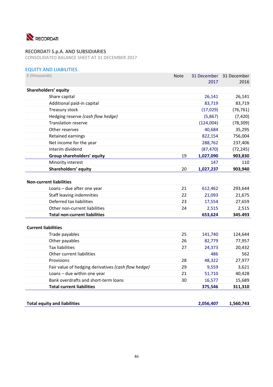

CONSOLIDATED BALANCE SHEET AT 31 DECEMBER 2017

## EQUITY AND LIABILITIES

| $E$ (thousands)                                     | Note | 31 December | 31 December |
|-----------------------------------------------------|------|-------------|-------------|
|                                                     |      | 2017        | 2016        |
| Shareholders' equity                                |      |             |             |
| Share capital                                       |      | 26,141      | 26,141      |
| Additional paid-in capital                          |      | 83,719      | 83,719      |
| Treasury stock                                      |      | (17, 029)   | (76, 761)   |
| Hedging reserve (cash flow hedge)                   |      | (5,867)     | (7, 420)    |
| <b>Translation reserve</b>                          |      | (124,004)   | (78, 309)   |
| Other reserves                                      |      | 40,684      | 35,295      |
| Retained earnings                                   |      | 822,154     | 756,004     |
| Net income for the year                             |      | 288,762     | 237,406     |
| Interim dividend                                    |      | (87, 470)   | (72, 245)   |
| Group shareholders' equity                          | 19   | 1,027,090   | 903,830     |
| Minority interest                                   |      | 147         | 110         |
| Shareholders' equity                                | 20   | 1,027,237   | 903,940     |
|                                                     |      |             |             |
| <b>Non-current liabilities</b>                      |      |             |             |
| Loans - due after one year                          | 21   | 612,462     | 293,644     |
| <b>Staff leaving indemnities</b>                    | 22   | 21,093      | 21,675      |
| Deferred tax liabilities                            | 23   | 17,554      | 27,659      |
| Other non-current liabilities                       | 24   | 2,515       | 2,515       |
| <b>Total non-current liabilities</b>                |      | 653,624     | 345.493     |
|                                                     |      |             |             |
| <b>Current liabilities</b>                          |      |             |             |
| Trade payables                                      | 25   | 141,740     | 124,644     |
| Other payables                                      | 26   | 82,779      | 77,957      |
| <b>Tax liabilities</b>                              | 27   | 24,373      | 20,432      |
| Other current liabilities                           |      | 486         | 562         |
| Provisions                                          | 28   | 48,322      | 27,977      |
| Fair value of hedging derivatives (cash flow hedge) | 29   | 9,559       | 3,621       |
| Loans - due within one year                         | 21   | 51,710      | 40,428      |
| Bank overdrafts and short-term loans                | 30   | 16,577      | 15,689      |
| <b>Total current liabilities</b>                    |      | 375,546     | 311,310     |
|                                                     |      |             |             |
| <b>Total equity and liabilities</b>                 |      | 2,056,407   | 1,560,743   |
|                                                     |      |             |             |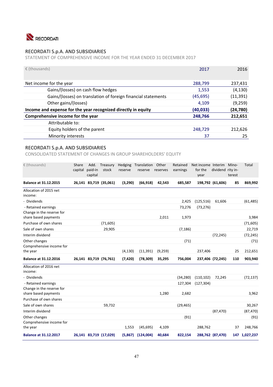

STATEMENT OF COMPREHENSIVE INCOME FOR THE YEAR ENDED 31 DECEMBER 2017

| $\epsilon$ (thousands)                                        | 2017     | 2016      |
|---------------------------------------------------------------|----------|-----------|
| Net income for the year                                       | 288,799  | 237,431   |
| Gains/(losses) on cash flow hedges                            | 1,553    | (4, 130)  |
| Gains/(losses) on translation of foreign financial statements | (45,695) | (11,391)  |
| Other gains/(losses)                                          | 4,109    | (9, 259)  |
| Income and expense for the year recognized directly in equity | (40,033) | (24, 780) |
| Comprehensive income for the year                             | 248,766  | 212,651   |
| Attributable to:                                              |          |           |
| Equity holders of the parent                                  | 248,729  | 212,626   |
| Minority interests                                            | 37       | 25        |

## RECORDATI S.p.A. AND SUBSIDIARIES

CONSOLIDATED STATEMENT OF CHANGES IN GROUP SHAREHOLDERS' EQUITY

| € (thousands)                                     | Share<br>capital | Add.<br>paid-in<br>capital | Treasury<br>stock      | Hedging<br>reserve | Translation<br>reserve | Other<br>reserves | Retained<br>earnings | Net income Interim<br>for the<br>year | dividend rity in- | Mino-<br>terest | <b>Total</b>  |
|---------------------------------------------------|------------------|----------------------------|------------------------|--------------------|------------------------|-------------------|----------------------|---------------------------------------|-------------------|-----------------|---------------|
| <b>Balance at 31.12.2015</b>                      |                  |                            | 26,141 83,719 (35,061) | (3,290)            | (66, 918)              | 42,543            | 685,587              |                                       | 198,792 (61,606)  | 85              | 869,992       |
| Allocation of 2015 net<br>income:                 |                  |                            |                        |                    |                        |                   |                      |                                       |                   |                 |               |
| - Dividends                                       |                  |                            |                        |                    |                        |                   | 2,425                | (125, 516)                            | 61,606            |                 | (61, 485)     |
| - Retained earnings                               |                  |                            |                        |                    |                        |                   | 73,276               | (73, 276)                             |                   |                 |               |
| Change in the reserve for<br>share based payments |                  |                            |                        |                    |                        | 2,011             | 1,973                |                                       |                   |                 | 3,984         |
| Purchase of own shares                            |                  |                            | (71, 605)              |                    |                        |                   |                      |                                       |                   |                 | (71, 605)     |
| Sale of own shares                                |                  |                            | 29,905                 |                    |                        |                   | (7, 186)             |                                       |                   |                 | 22,719        |
| Interim dividend                                  |                  |                            |                        |                    |                        |                   |                      |                                       | (72, 245)         |                 | (72, 245)     |
| Other changes                                     |                  |                            |                        |                    |                        |                   | (71)                 |                                       |                   |                 | (71)          |
| Comprehensive income for<br>the year              |                  |                            |                        | (4, 130)           | (11, 391)              | (9,259)           |                      | 237,406                               |                   | 25              | 212,651       |
| <b>Balance at 31.12.2016</b>                      |                  |                            | 26,141 83,719 (76,761) | (7, 420)           | (78, 309)              | 35,295            | 756,004              |                                       | 237,406 (72,245)  | 110             | 903,940       |
| Allocation of 2016 net<br>income:                 |                  |                            |                        |                    |                        |                   |                      |                                       |                   |                 |               |
| - Dividends                                       |                  |                            |                        |                    |                        |                   | (34, 280)            | (110, 102)                            | 72,245            |                 | (72, 137)     |
| - Retained earnings                               |                  |                            |                        |                    |                        |                   | 127,304              | (127, 304)                            |                   |                 |               |
| Change in the reserve for<br>share based payments |                  |                            |                        |                    |                        | 1,280             | 2,682                |                                       |                   |                 | 3,962         |
| Purchase of own shares                            |                  |                            |                        |                    |                        |                   |                      |                                       |                   |                 |               |
| Sale of own shares                                |                  |                            | 59,732                 |                    |                        |                   | (29, 465)            |                                       |                   |                 | 30,267        |
| Interim dividend                                  |                  |                            |                        |                    |                        |                   |                      |                                       | (87, 470)         |                 | (87, 470)     |
| Other changes                                     |                  |                            |                        |                    |                        |                   | (91)                 |                                       |                   |                 | (91)          |
| Comprehensive income for<br>the year              |                  |                            |                        | 1,553              | (45, 695)              | 4,109             |                      | 288,762                               |                   | 37              | 248,766       |
| <b>Balance at 31.12.2017</b>                      |                  |                            | 26,141 83,719 (17,029) | (5,867)            | (124,004)              | 40,684            | 822,154              |                                       | 288,762 (87,470)  |                 | 147 1,027,237 |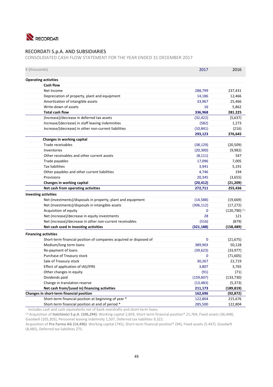

CONSOLIDATED CASH FLOW STATEMENT FOR THE YEAR ENDED 31 DECEMBER 2017

| € (thousands)                                                      | 2017        | 2016                        |
|--------------------------------------------------------------------|-------------|-----------------------------|
|                                                                    |             |                             |
| <b>Operating activities</b>                                        |             |                             |
| <b>Cash flow</b>                                                   |             |                             |
| Net Income                                                         | 288,799     | 237,431                     |
| Depreciation of property, plant and equipment                      | 14,186      | 12,466                      |
| Amortization of intangible assets                                  | 33,967      | 25,466                      |
| Write-down of assets                                               | 16          | 5,862                       |
| <b>Total cash flow</b>                                             | 336,968     | 281.225                     |
| (Increase)/decrease in deferred tax assets                         | (32, 422)   | (5,637)                     |
| Increase/(decrease) in staff leaving indemnities                   | (582)       | 1,273                       |
| Increase/(decrease) in other non-current liabilities               | (10, 841)   | (216)                       |
|                                                                    | 293,123     | 276,645                     |
| Changes in working capital                                         |             |                             |
| Trade receivables                                                  | (38, 129)   | (20, 509)                   |
| Inventories                                                        | (20, 300)   | (9,982)                     |
| Other receivables and other current assets                         | (8, 111)    | 547                         |
| Trade payables                                                     | 17,096      | 7,005                       |
| <b>Tax liabilities</b>                                             | 3,941       | 5,191                       |
| Other payables and other current liabilities                       | 4,746       | 194                         |
| Provisions                                                         | 20,345      | (3,655)                     |
| Changes in working capital                                         | (20, 412)   | (21, 209)                   |
| Net cash from operating activities                                 | 272,711     | 255,436                     |
| <b>Investing activities</b>                                        |             |                             |
| Net (investments)/disposals in property, plant and equipment       | (14, 588)   | (19,669)                    |
| Net (investments)/disposals in intangible assets                   | (306, 112)  | (17, 272)                   |
| Acquisition of equity                                              | $\mathbf 0$ | $(120, 790)$ <sup>(1)</sup> |
| Net (increase)/decrease in equity investments                      | 28          | 121                         |
| Net (increase)/decrease in other non-current receivables           | (516)       | (879)                       |
| Net cash used in investing activities                              | (321, 188)  | (158, 489)                  |
| <b>Financing activities</b>                                        |             |                             |
| Short-term financial position of companies acquired or disposed of | $\mathbf 0$ | (21, 675)                   |
| Medium/long term loans                                             | 389,903     | 50,128                      |
| Re-payment of loans                                                | (39, 623)   | (33, 977)                   |
| Purchase of Treasury stock                                         | 0           | (71, 605)                   |
| Sale of Treasury stock                                             | 30,267      | 22,719                      |
| Effect of application of IAS/IFRS                                  | 3,807       | 3,765                       |
| Other changes in equity                                            | (91)        | (71)                        |
| Dividends paid                                                     | (159, 607)  | (133, 730)                  |
| Change in translation reserve                                      | (13, 483)   | (5, 373)                    |
| Net cash from/(used in) financing activities                       | 211,173     | (189, 819)                  |
| Changes in short-term financial position                           | 162,696     | (92, 872)                   |
| Short-term financial position at beginning of year *               | 122,804     | 215,676                     |
|                                                                    |             |                             |

Includes cash and cash equivalents net of bank overdrafts and short-term loans.

(1) Acquisition of **Italchimici S.p.A**. **(106,294)**: Working capital 2,859, Short‐term financial position\* 21,769, Fixed assets (36,448), Goodwill (105,303), Personnel leaving indemnity 1,507, Deferred tax liabilities 9,322.

Acquisition of **Pro Farma AG (14,496)**: Working capital (745), Short‐term financial position\* (94), Fixed assets (5.447), Goodwill (8,485), Deferred tax liabilities 275.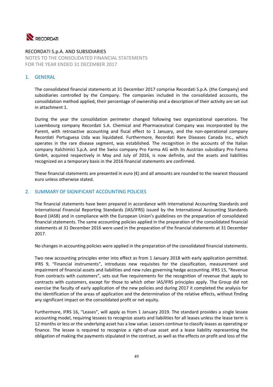

RECORDATI S.p.A. AND SUBSIDIARIES NOTES TO THE CONSOLIDATED FINANCIAL STATEMENTS FOR THE YEAR ENDED 31 DECEMBER 2017

## 1. GENERAL

The consolidated financial statements at 31 December 2017 comprise Recordati S.p.A. (the Company) and subsidiaries controlled by the Company. The companies included in the consolidated accounts, the consolidation method applied, their percentage of ownership and a description of their activity are set out in attachment 1.

During the year the consolidation perimeter changed following two organizational operations. The Luxembourg company Recordati S.A. Chemical and Pharmaceutical Company was incorporated by the Parent, with retroactive accounting and fiscal effect to 1 January, and the non-operational company Recordati Portuguesa Ltda was liquidated. Furthermore, Recordati Rare Diseases Canada Inc., which operates in the rare disease segment, was established. The recognition in the accounts of the Italian company Italchimici S.p.A. and the Swiss company Pro Farma AG with its Austrian subsidiary Pro Farma GmbH, acquired respectively in May and July of 2016, is now definite, and the assets and liabilities recognized on a temporary basis in the 2016 financial statements are confirmed.

These financial statements are presented in euro  $(\epsilon)$  and all amounts are rounded to the nearest thousand euro unless otherwise stated.

## 2. SUMMARY OF SIGNIFICANT ACCOUNTING POLICIES

The financial statements have been prepared in accordance with International Accounting Standards and International Financial Reporting Standards (IAS/IFRS) issued by the International Accounting Standards Board (IASB) and in compliance with the European Union's guidelines on the preparation of consolidated financial statements. The same accounting policies applied in the preparation of the consolidated financial statements at 31 December 2016 were used in the preparation of the financial statements at 31 December 2017.

No changes in accounting policies were applied in the preparation of the consolidated financial statements.

Two new accounting principles enter into effect as from 1 January 2018 with early application permitted. IFRS 9, "Financial instruments", introduces new requisites for the classification, measurement and impairment of financial assets and liabilities and new rules governing hedge accounting. IFRS 15, "Revenue from contracts with customers", sets out five requirements for the recognition of revenue that apply to contracts with customers, except for those to which other IAS/IFRS principles apply. The Group did not exercise the faculty of early application of the new policies and during 2017 it completed the analysis for the identification of the areas of application and the determination of the relative effects, without finding any significant impact on the consolidated profit or net equity.

Furthermore, IFRS 16, "Leases", will apply as from 1 January 2019. The standard provides a single lessee accounting model, requiring lessees to recognize assets and liabilities for all leases unless the lease term is 12 months or less or the underlying asset has a low value. Lessors continue to classify leases as operating or finance. The lessee is required to recognize a right-of-use asset and a lease liability representing the obligation of making the payments stipulated in the contract, as well as the effects on profit and loss of the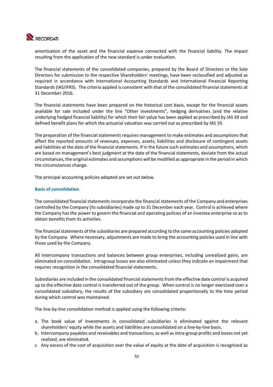

amortization of the asset and the financial expense connected with the financial liability. The impact resulting from the application of the new standard is under evaluation.

The financial statements of the consolidated companies, prepared by the Board of Directors or the Sole Directors for submission to the respective Shareholders' meetings, have been reclassified and adjusted as required in accordance with International Accounting Standards and International Financial Reporting Standards (IAS/IFRS). The criteria applied is consistent with that of the consolidated financial statements at 31 December 2016.

The financial statements have been prepared on the historical cost basis, except for the financial assets available for sale included under the line "Other investments", hedging derivatives (and the relative underlying hedged financial liability) for which their fair value has been applied as prescribed by IAS 39 and defined benefit plans for which the actuarial valuation was carried out as prescribed by IAS 19.

The preparation of the financial statements requires management to make estimates and assumptions that affect the reported amounts of revenues, expenses, assets, liabilities and disclosure of contingent assets and liabilities at the date of the financial statements. If in the future such estimates and assumptions, which are based on management's best judgment at the date of the financial statements, deviate from the actual circumstances, the original estimates and assumptions will be modified as appropriate in the period in which the circumstances change.

The principal accounting policies adopted are set out below.

#### **Basis of consolidation**

The consolidated financial statements incorporate the financial statements of the Company and enterprises controlled by the Company (its subsidiaries) made up to 31 December each year. Control is achieved where the Company has the power to govern the financial and operating policies of an investee enterprise so as to obtain benefits from its activities.

The financial statements of the subsidiaries are prepared according to the same accounting policies adopted by the Company. Where necessary, adjustments are made to bring the accounting policies used in line with those used by the Company.

All intercompany transactions and balances between group enterprises, including unrealized gains, are eliminated on consolidation. Intragroup losses are also eliminated unless they indicate an impairment that requires recognition in the consolidated financial statements.

Subsidiaries are included in the consolidated financial statements from the effective date control is acquired up to the effective date control is transferred out of the group. When control is no longer exercised over a consolidated subsidiary, the results of the subsidiary are consolidated proportionally to the time period during which control was maintained.

The line‐by‐line consolidation method is applied using the following criteria:

- a. The book value of investments in consolidated subsidiaries is eliminated against the relevant shareholders' equity while the assets and liabilities are consolidated on a line-by-line basis.
- b. Intercompany payables and receivables and transactions, as well as intra‐group profits and losses not yet realized, are eliminated.
- c. Any excess of the cost of acquisition over the value of equity at the date of acquisition is recognized as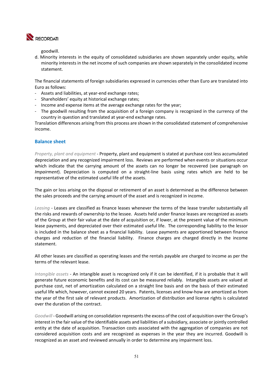

goodwill.

d. Minority interests in the equity of consolidated subsidiaries are shown separately under equity, while minority interests in the net income of such companies are shown separately in the consolidated income statement.

The financial statements of foreign subsidiaries expressed in currencies other than Euro are translated into Euro as follows:

- ‐ Assets and liabilities, at year‐end exchange rates;
- ‐ Shareholders' equity at historical exchange rates;
- ‐ Income and expense items at the average exchange rates for the year;
- ‐ The goodwill resulting from the acquisition of a foreign company is recognized in the currency of the country in question and translated at year‐end exchange rates.

Translation differences arising from this process are shown in the consolidated statement of comprehensive income.

## **Balance sheet**

*Property, plant and equipment* ‐ Property, plant and equipment is stated at purchase cost less accumulated depreciation and any recognized impairment loss. Reviews are performed when events or situations occur which indicate that the carrying amount of the assets can no longer be recovered (see paragraph on *Impairment*). Depreciation is computed on a straight-line basis using rates which are held to be representative of the estimated useful life of the assets.

The gain or loss arising on the disposal or retirement of an asset is determined as the difference between the sales proceeds and the carrying amount of the asset and is recognized in income.

*Leasing* ‐ Leases are classified as finance leases whenever the terms of the lease transfer substantially all the risks and rewards of ownership to the lessee. Assets held under finance leases are recognized as assets of the Group at their fair value at the date of acquisition or, if lower, at the present value of the minimum lease payments, and depreciated over their estimated useful life. The corresponding liability to the lessor is included in the balance sheet as a financial liability. Lease payments are apportioned between finance charges and reduction of the financial liability. Finance charges are charged directly in the income statement.

All other leases are classified as operating leases and the rentals payable are charged to income as per the terms of the relevant lease.

*Intangible assets* ‐ An intangible asset is recognized only if it can be identified, if it is probable that it will generate future economic benefits and its cost can be measured reliably. Intangible assets are valued at purchase cost, net of amortization calculated on a straight line basis and on the basis of their estimated useful life which, however, cannot exceed 20 years. Patents, licenses and know-how are amortized as from the year of the first sale of relevant products. Amortization of distribution and license rights is calculated over the duration of the contract.

*Goodwill* ‐ Goodwill arising on consolidation represents the excess of the cost of acquisition over the Group's interest in the fair value of the identifiable assets and liabilities of a subsidiary, associate or jointly controlled entity at the date of acquisition. Transaction costs associated with the aggregation of companies are not considered acquisition costs and are recognized as expenses in the year they are incurred. Goodwill is recognized as an asset and reviewed annually in order to determine any impairment loss.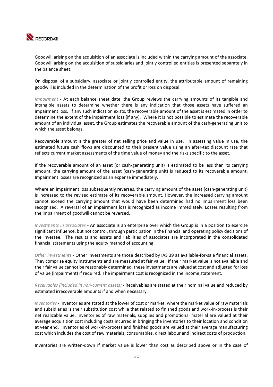

Goodwill arising on the acquisition of an associate is included within the carrying amount of the associate. Goodwill arising on the acquisition of subsidiaries and jointly controlled entities is presented separately in the balance sheet.

On disposal of a subsidiary, associate or jointly controlled entity, the attributable amount of remaining goodwill is included in the determination of the profit or loss on disposal.

*Impairment* - At each balance sheet date, the Group reviews the carrying amounts of its tangible and intangible assets to determine whether there is any indication that those assets have suffered an impairment loss. If any such indication exists, the recoverable amount of the asset is estimated in order to determine the extent of the impairment loss (if any). Where it is not possible to estimate the recoverable amount of an individual asset, the Group estimates the recoverable amount of the cash-generating unit to which the asset belongs.

Recoverable amount is the greater of net selling price and value in use. In assessing value in use, the estimated future cash flows are discounted to their present value using an after-tax discount rate that reflects current market assessments of the time value of money and the risks specific to the asset.

If the recoverable amount of an asset (or cash-generating unit) is estimated to be less than its carrying amount, the carrying amount of the asset (cash-generating unit) is reduced to its recoverable amount. Impairment losses are recognized as an expense immediately.

Where an impairment loss subsequently reverses, the carrying amount of the asset (cash-generating unit) is increased to the revised estimate of its recoverable amount. However, the increased carrying amount cannot exceed the carrying amount that would have been determined had no impairment loss been recognized. A reversal of an impairment loss is recognized as income immediately. Losses resulting from the impairment of goodwill cannot be reversed.

*Investments in associates* ‐ An associate is an enterprise over which the Group is in a position to exercise significant influence, but not control, through participation in the financial and operating policy decisions of the investee. The results and assets and liabilities of associates are incorporated in the consolidated financial statements using the equity method of accounting.

*Other investments* ‐ Other investments are those described by IAS 39 as available‐for‐sale financial assets. They comprise equity instruments and are measured at fair value. If their market value is not available and their fair value cannot be reasonably determined, these investments are valued at cost and adjusted for loss of value (impairment) if required. The impairment cost is recognized in the income statement.

*Receivables (included in non‐current assets)* ‐ Receivables are stated at their nominal value and reduced by estimated irrecoverable amounts if and when necessary.

*Inventories* ‐ Inventories are stated at the lower of cost or market, where the market value of raw materials and subsidiaries is their substitution cost while that related to finished goods and work‐in‐process is their net realizable value. Inventories of raw materials, supplies and promotional material are valued at their average acquisition cost including costs incurred in bringing the inventories to their location and condition at year end. Inventories of work‐in‐process and finished goods are valued at their average manufacturing cost which includes the cost of raw materials, consumables, direct labour and indirect costs of production.

Inventories are written-down if market value is lower than cost as described above or in the case of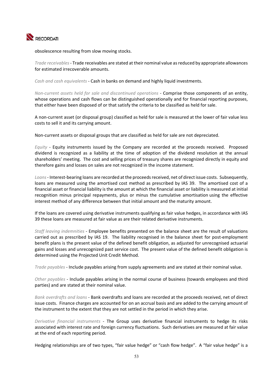

obsolescence resulting from slow moving stocks.

*Trade receivables*‐ Trade receivables are stated at their nominal value as reduced by appropriate allowances for estimated irrecoverable amounts.

*Cash and cash equivalents* ‐ Cash in banks on demand and highly liquid investments.

*Non-current assets held for sale and discontinued operations - Comprise those components of an entity,* whose operations and cash flows can be distinguished operationally and for financial reporting purposes, that either have been disposed of or that satisfy the criteria to be classified as held for sale.

A non‐current asset (or disposal group) classified as held for sale is measured at the lower of fair value less costs to sell it and its carrying amount.

Non-current assets or disposal groups that are classified as held for sale are not depreciated.

*Equity -* Equity instruments issued by the Company are recorded at the proceeds received. Proposed dividend is recognized as a liability at the time of adoption of the dividend resolution at the annual shareholders' meeting. The cost and selling prices of treasury shares are recognized directly in equity and therefore gains and losses on sales are not recognized in the income statement.

*Loans*‐ Interest‐bearing loans are recorded at the proceeds received, net of direct issue costs. Subsequently, loans are measured using the amortised cost method as prescribed by IAS 39. The amortised cost of a financial asset or financial liability is the amount at which the financial asset or liability is measured at initial recognition minus principal repayments, plus or minus the cumulative amortisation using the effective interest method of any difference between that initial amount and the maturity amount.

If the loans are covered using derivative instruments qualifying as fair value hedges, in accordance with IAS 39 these loans are measured at fair value as are their related derivative instruments.

*Staff leaving indemnities* ‐ Employee benefits presented on the balance sheet are the result of valuations carried out as prescribed by IAS 19. The liability recognised in the balance sheet for post-employment benefit plans is the present value of the defined benefit obligation, as adjusted for unrecognised actuarial gains and losses and unrecognized past service cost. The present value of the defined benefit obligation is determined using the Projected Unit Credit Method.

*Trade payables* ‐ Include payables arising from supply agreements and are stated at their nominal value.

*Other payables* ‐ Include payables arising in the normal course of business (towards employees and third parties) and are stated at their nominal value.

*Bank overdrafts and loans* ‐ Bank overdrafts and loans are recorded at the proceeds received, net of direct issue costs. Finance charges are accounted for on an accrual basis and are added to the carrying amount of the instrument to the extent that they are not settled in the period in which they arise.

*Derivative financial instruments* ‐ The Group uses derivative financial instruments to hedge its risks associated with interest rate and foreign currency fluctuations. Such derivatives are measured at fair value at the end of each reporting period.

Hedging relationships are of two types, "fair value hedge" or "cash flow hedge". A "fair value hedge" is a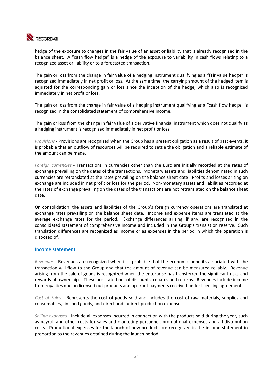

hedge of the exposure to changes in the fair value of an asset or liability that is already recognized in the balance sheet. A "cash flow hedge" is a hedge of the exposure to variability in cash flows relating to a recognized asset or liability or to a forecasted transaction.

The gain or loss from the change in fair value of a hedging instrument qualifying as a "fair value hedge" is recognized immediately in net profit or loss. At the same time, the carrying amount of the hedged item is adjusted for the corresponding gain or loss since the inception of the hedge, which also is recognized immediately in net profit or loss.

The gain or loss from the change in fair value of a hedging instrument qualifying as a "cash flow hedge" is recognized in the consolidated statement of comprehensive income.

The gain or loss from the change in fair value of a derivative financial instrument which does not qualify as a hedging instrument is recognized immediately in net profit or loss.

*Provisions* ‐ Provisions are recognized when the Group has a present obligation as a result of past events, it is probable that an outflow of resources will be required to settle the obligation and a reliable estimate of the amount can be made.

*Foreign currencies* ‐ Transactions in currencies other than the Euro are initially recorded at the rates of exchange prevailing on the dates of the transactions. Monetary assets and liabilities denominated in such currencies are retranslated at the rates prevailing on the balance sheet date. Profits and losses arising on exchange are included in net profit or loss for the period. Non‐monetary assets and liabilities recorded at the rates of exchange prevailing on the dates of the transactions are not retranslated on the balance sheet date.

On consolidation, the assets and liabilities of the Group's foreign currency operations are translated at exchange rates prevailing on the balance sheet date. Income and expense items are translated at the average exchange rates for the period. Exchange differences arising, if any, are recognized in the consolidated statement of comprehensive income and included in the Group's translation reserve. Such translation differences are recognized as income or as expenses in the period in which the operation is disposed of.

## **Income statement**

*Revenues* ‐ Revenues are recognized when it is probable that the economic benefits associated with the transaction will flow to the Group and that the amount of revenue can be measured reliably. Revenue arising from the sale of goods is recognized when the enterprise has transferred the significant risks and rewards of ownership. These are stated net of discounts, rebates and returns. Revenues include income from royalties due on licensed out products and up-front payments received under licensing agreements.

*Cost of Sales* ‐ Represents the cost of goods sold and includes the cost of raw materials, supplies and consumables, finished goods, and direct and indirect production expenses.

*Selling expenses* ‐ Include all expenses incurred in connection with the products sold during the year, such as payroll and other costs for sales and marketing personnel, promotional expenses and all distribution costs. Promotional expenses for the launch of new products are recognized in the income statement in proportion to the revenues obtained during the launch period.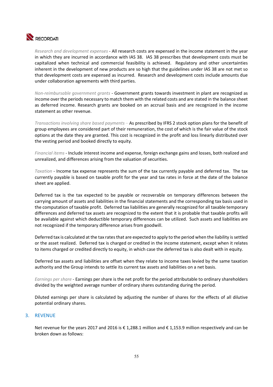

*Research and development expenses* ‐ All research costs are expensed in the income statement in the year in which they are incurred in accordance with IAS 38. IAS 38 prescribes that development costs must be capitalized when technical and commercial feasibility is achieved. Regulatory and other uncertainties inherent in the development of new products are so high that the guidelines under IAS 38 are not met so that development costs are expensed as incurred. Research and development costs include amounts due under collaboration agreements with third parties.

*Non‐reimbursable government grants* ‐ Government grants towards investment in plant are recognized as income over the periods necessary to match them with the related costs and are stated in the balance sheet as deferred income. Research grants are booked on an accrual basis and are recognized in the income statement as other revenue.

*Transactions involving share based payments* – As prescribed by IFRS 2 stock option plans for the benefit of group employees are considered part of their remuneration, the cost of which is the fair value of the stock options at the date they are granted. This cost is recognized in the profit and loss linearly distributed over the vesting period and booked directly to equity.

*Financial items* ‐ Include interest income and expense, foreign exchange gains and losses, both realized and unrealized, and differences arising from the valuation of securities.

*Taxation -* Income tax expense represents the sum of the tax currently payable and deferred tax. The tax currently payable is based on taxable profit for the year and tax rates in force at the date of the balance sheet are applied.

Deferred tax is the tax expected to be payable or recoverable on temporary differences between the carrying amount of assets and liabilities in the financial statements and the corresponding tax basis used in the computation of taxable profit. Deferred tax liabilities are generally recognized for all taxable temporary differences and deferred tax assets are recognized to the extent that it is probable that taxable profits will be available against which deductible temporary differences can be utilized. Such assets and liabilities are not recognized if the temporary difference arises from goodwill.

Deferred tax is calculated at the tax rates that are expected to apply to the period when the liability is settled or the asset realized. Deferred tax is charged or credited in the income statement, except when it relates to items charged or credited directly to equity, in which case the deferred tax is also dealt with in equity.

Deferred tax assets and liabilities are offset when they relate to income taxes levied by the same taxation authority and the Group intends to settle its current tax assets and liabilities on a net basis.

*Earnings per share* ‐ Earnings per share is the net profit for the period attributable to ordinary shareholders divided by the weighted average number of ordinary shares outstanding during the period.

Diluted earnings per share is calculated by adjusting the number of shares for the effects of all dilutive potential ordinary shares.

## 3. REVENUE

Net revenue for the years 2017 and 2016 is € 1,288.1 million and € 1,153.9 million respectively and can be broken down as follows: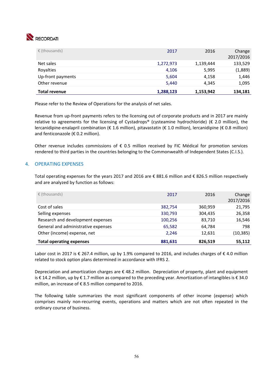# RECORDATI

| $\epsilon$ (thousands) | 2017      | 2016      | Change<br>2017/2016 |
|------------------------|-----------|-----------|---------------------|
| Net sales              | 1,272,973 | 1,139,444 | 133,529             |
| Royalties              | 4,106     | 5,995     | (1,889)             |
| Up-front payments      | 5,604     | 4,158     | 1,446               |
| Other revenue          | 5,440     | 4,345     | 1,095               |
| <b>Total revenue</b>   | 1,288,123 | 1,153,942 | 134,181             |

Please refer to the Review of Operations for the analysis of net sales.

Revenue from up-front payments refers to the licensing out of corporate products and in 2017 are mainly relative to agreements for the licensing of Cystadrops® (cysteamine hydrochloride) ( $\epsilon$  2.0 million), the lercanidipine‐enalapril combination (€ 1.6 million), pitavastatin (€ 1.0 million), lercanidipine (€ 0.8 million) and fenticonazole (€ 0.2 million).

Other revenue includes commissions of  $\epsilon$  0.5 million received by FIC Médical for promotion services rendered to third parties in the countries belonging to the Commonwealth of Independent States (C.I.S.).

## 4. OPERATING EXPENSES

Total operating expenses for the years 2017 and 2016 are € 881.6 million and € 826.5 million respectively and are analyzed by function as follows:

| $\epsilon$ (thousands)              | 2017    | 2016    | Change<br>2017/2016 |
|-------------------------------------|---------|---------|---------------------|
| Cost of sales                       | 382,754 | 360,959 | 21,795              |
| Selling expenses                    | 330,793 | 304,435 | 26,358              |
| Research and development expenses   | 100,256 | 83,710  | 16,546              |
| General and administrative expenses | 65,582  | 64,784  | 798                 |
| Other (income) expense, net         | 2.246   | 12,631  | (10, 385)           |
| <b>Total operating expenses</b>     | 881,631 | 826,519 | 55,112              |

Labor cost in 2017 is € 267.4 million, up by 1.9% compared to 2016, and includes charges of € 4.0 million related to stock option plans determined in accordance with IFRS 2.

Depreciation and amortization charges are  $\epsilon$  48.2 million. Depreciation of property, plant and equipment is € 14.2 million, up by € 1.7 million as compared to the preceding year. Amortization of intangibles is € 34.0 million, an increase of € 8.5 million compared to 2016.

The following table summarizes the most significant components of other income (expense) which comprises mainly non‐recurring events, operations and matters which are not often repeated in the ordinary course of business.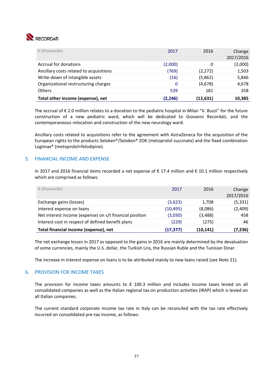

| $\epsilon$ (thousands)                  | 2017    | 2016     | Change<br>2017/2016 |
|-----------------------------------------|---------|----------|---------------------|
| Accrual for donations                   | (2,000) | 0        | (2,000)             |
| Ancillary costs related to acquisitions | (769)   | (2, 272) | 1,503               |
| Write-down of intangible assets         | (16)    | (5,862)  | 5,846               |
| Organizational restructuring charges    | 0       | (4,678)  | 4,678               |
| <b>Others</b>                           | 539     | 181      | 358                 |
| Total other income (expense), net       | (2,246) | (12,631) | 10,385              |

The accrual of € 2.0 million relates to a donation to the pediatric hospital in Milan "V. Buzzi" for the future construction of a new pediatric ward, which will be dedicated to Giovanni Recordati, and the contemporaneous relocation and construction of the new neurology ward.

Ancillary costs related to acquisitions refer to the agreement with AstraZeneca for the acquisition of the European rights to the products Seloken®/Seloken® ZOK (metoprolol succinate) and the fixed combination Logimax® (metoprolol+felodipine).

## 5. FINANCIAL INCOME AND EXPENSE

In 2017 and 2016 financial items recorded a net expense of € 17.4 million and € 10.1 million respectively which are comprised as follows:

| Total financial income (expense), net                   | (17, 377) | (10,141) | (7,236)             |
|---------------------------------------------------------|-----------|----------|---------------------|
| Interest cost in respect of defined benefit plans       | (229)     | (275)    | 46                  |
| Net interest income (expense) on s/t financial position | (3,030)   | (3, 488) | 458                 |
| Interest expense on loans                               | (10, 495) | (8,086)  | (2,409)             |
| Exchange gains (losses)                                 | (3,623)   | 1,708    | (5, 331)            |
| $\epsilon$ (thousands)                                  | 2017      | 2016     | Change<br>2017/2016 |

The net exchange losses in 2017 as opposed to the gains in 2016 are mainly determined by the devaluation of some currencies, mainly the U.S. dollar, the Turkish Lira, the Russian Ruble and the Tunisian Dinar.

The increase in interest expense on loans is to be attributed mainly to new loans raised (see Note 21).

## 6. PROVISION FOR INCOME TAXES

The provision for income taxes amounts to  $\epsilon$  100.3 million and includes income taxes levied on all consolidated companies as well as the Italian regional tax on production activities (IRAP) which is levied on all Italian companies.

The current standard corporate income tax rate in Italy can be reconciled with the tax rate effectively incurred on consolidated pre‐tax income, as follows: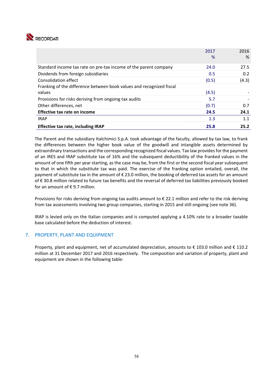

|                                                                      | 2017  | 2016  |
|----------------------------------------------------------------------|-------|-------|
|                                                                      | %     | %     |
| Standard income tax rate on pre-tax income of the parent company     | 24.0  | 27.5  |
| Dividends from foreign subsidiaries                                  | 0.5   | 0.2   |
| Consolidation effect                                                 | (0.5) | (4.3) |
| Franking of the difference between book values and recognized fiscal |       |       |
| values                                                               | (4.5) |       |
| Provisions for risks deriving from ongoing tax audits                | 5.7   |       |
| Other differences, net                                               | (0.7) | 0.7   |
| Effective tax rate on income                                         | 24.5  | 24.1  |
| <b>IRAP</b>                                                          | 1.3   | 1.1   |
| <b>Effective tax rate, including IRAP</b>                            | 25.8  | 25.2  |

The Parent and the subsidiary Italchimici S.p.A. took advantage of the faculty, allowed by tax law, to frank the differences between the higher book value of the goodwill and intangible assets determined by extraordinary transactions and the corresponding recognized fiscal values. Tax law provides for the payment of an IRES and IRAP substitute tax of 16% and the subsequent deductibility of the franked values in the amount of one fifth per year starting, as the case may be, from the first or the second fiscal year subsequent to that in which the substitute tax was paid. The exercise of the franking option entailed, overall, the payment of substitute tax in the amount of € 23.0 million, the booking of deferred tax assets for an amount of € 30.8 million related to future tax benefits and the reversal of deferred tax liabilities previously booked for an amount of  $\epsilon$  9.7 million.

Provisions for risks deriving from ongoing tax audits amount to  $\epsilon$  22.1 million and refer to the risk deriving from tax assessments involving two group companies, starting in 2015 and still ongoing (see note 36).

IRAP is levied only on the Italian companies and is computed applying a 4.10% rate to a broader taxable base calculated before the deduction of interest.

## 7. PROPERTY, PLANT AND EQUIPMENT

Property, plant and equipment, net of accumulated depreciation, amounts to  $\epsilon$  103.0 million and  $\epsilon$  110.2 million at 31 December 2017 and 2016 respectively. The composition and variation of property, plant and equipment are shown in the following table: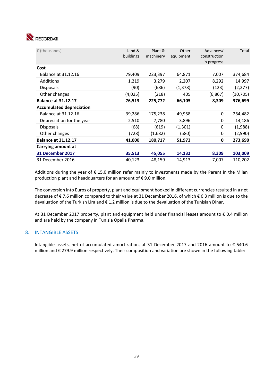

| € (thousands)                   | Land &<br>buildings | Plant &<br>machinery | Other<br>equipment | Advances/<br>construction<br>in progress | Total     |
|---------------------------------|---------------------|----------------------|--------------------|------------------------------------------|-----------|
| Cost                            |                     |                      |                    |                                          |           |
| Balance at 31.12.16             | 79,409              | 223,397              | 64,871             | 7,007                                    | 374,684   |
| Additions                       | 1,219               | 3,279                | 2,207              | 8,292                                    | 14,997    |
| <b>Disposals</b>                | (90)                | (686)                | (1, 378)           | (123)                                    | (2, 277)  |
| Other changes                   | (4,025)             | (218)                | 405                | (6, 867)                                 | (10, 705) |
| <b>Balance at 31.12.17</b>      | 76,513              | 225,772              | 66,105             | 8,309                                    | 376,699   |
| <b>Accumulated depreciation</b> |                     |                      |                    |                                          |           |
| Balance at 31.12.16             | 39,286              | 175,238              | 49,958             | 0                                        | 264,482   |
| Depreciation for the year       | 2,510               | 7,780                | 3,896              | 0                                        | 14,186    |
| <b>Disposals</b>                | (68)                | (619)                | (1,301)            | 0                                        | (1,988)   |
| Other changes                   | (728)               | (1,682)              | (580)              | 0                                        | (2,990)   |
| <b>Balance at 31.12.17</b>      | 41,000              | 180,717              | 51,973             | 0                                        | 273,690   |
| Carrying amount at              |                     |                      |                    |                                          |           |
| 31 December 2017                | 35,513              | 45,055               | 14,132             | 8,309                                    | 103,009   |
| 31 December 2016                | 40,123              | 48,159               | 14,913             | 7,007                                    | 110,202   |

Additions during the year of € 15.0 million refer mainly to investments made by the Parent in the Milan production plant and headquarters for an amount of € 9.0 million.

The conversion into Euros of property, plant and equipment booked in different currencies resulted in a net decrease of € 7.6 million compared to their value at 31 December 2016, of which € 6.3 million is due to the devaluation of the Turkish Lira and € 1.2 million is due to the devaluation of the Tunisian Dinar.

At 31 December 2017 property, plant and equipment held under financial leases amount to € 0.4 million and are held by the company in Tunisia Opalia Pharma.

## 8. INTANGIBLE ASSETS

Intangible assets, net of accumulated amortization, at 31 December 2017 and 2016 amount to € 540.6 million and € 279.9 million respectively. Their composition and variation are shown in the following table: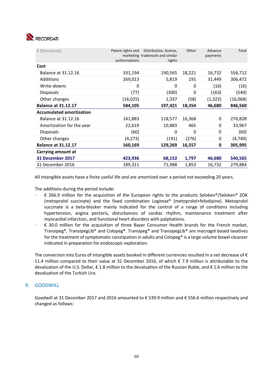

| € (thousands)                   | Patent rights and | Distribution, license,                    | Other  | Advance  | Total    |
|---------------------------------|-------------------|-------------------------------------------|--------|----------|----------|
|                                 | authorizations    | marketing trademark and similar<br>rights |        | payments |          |
| Cost                            |                   |                                           |        |          |          |
| Balance at 31.12.16             | 331,194           | 190,565                                   | 18,221 | 16,732   | 556,712  |
| Additions                       | 269,013           | 5,819                                     | 191    | 31,449   | 306,472  |
| Write-downs                     | 0                 | 0                                         | 0      | (16)     | (16)     |
| <b>Disposals</b>                | (77)              | (300)                                     | 0      | (163)    | (540)    |
| Other changes                   | (16, 025)         | 1,337                                     | (58)   | (1, 322) | (16,068) |
| <b>Balance at 31.12.17</b>      | 584,105           | 197,421                                   | 18,354 | 46,680   | 846,560  |
| <b>Accumulated amortization</b> |                   |                                           |        |          |          |
| Balance at 31.12.16             | 141,883           | 118,577                                   | 16,368 | 0        | 276,828  |
| Amortization for the year       | 22,619            | 10,883                                    | 465    | 0        | 33,967   |
| <b>Disposals</b>                | (60)              | 0                                         | 0      | 0        | (60)     |
| Other changes                   | (4,273)           | (191)                                     | (276)  | 0        | (4,740)  |
| <b>Balance at 31.12.17</b>      | 160,169           | 129,269                                   | 16,557 | 0        | 305,995  |
| Carrying amount at              |                   |                                           |        |          |          |
| 31 December 2017                | 423,936           | 68,152                                    | 1,797  | 46,680   | 540,565  |
| 31 December 2016                | 189,311           | 71,988                                    | 1,853  | 16,732   | 279,884  |

All intangible assets have a finite useful life and are amortized over a period not exceeding 20 years.

The additions during the period include:

- € 266.9 million for the acquisition of the European rights to the products Seloken®/Seloken® ZOK (metoprolol succinate) and the fixed combination Logimax® (metoprolol+felodipine). Metoprolol succinate is a beta-blocker mainly indicated for the control of a range of conditions including hypertension, angina pectoris, disturbances of cardiac rhythm, maintenance treatment after myocardial infarction, and functional heart disorders with palpitations.
- € 30.0 million for the acquisition of three Bayer Consumer Health brands for the French market, Transipeg®, TransipegLib® and Colopeg®. Transipeg® and TransipegLib® are macrogol based laxatives for the treatment of symptomatic constipation in adults and Colopeg® is a large volume bowel cleanser indicated in preparation for endoscopic exploration.

The conversion into Euros of intangible assets booked in different currencies resulted in a net decrease of  $\epsilon$ 11.4 million compared to their value at 31 December 2016, of which € 7.9 million is attributable to the devaluation of the U.S. Dollar, € 1.8 million to the devaluation of the Russian Ruble, and € 1.6 million to the devaluation of the Turkish Lira.

## 9. GOODWILL

Goodwill at 31 December 2017 and 2016 amounted to € 539.9 million and € 556.6 million respectively and changed as follows: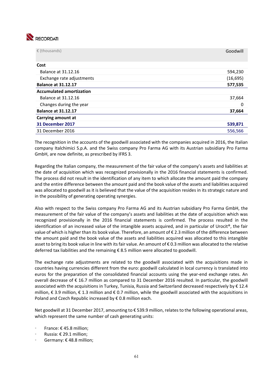

| $\epsilon$ (thousands)          | Goodwill  |
|---------------------------------|-----------|
| Cost                            |           |
| Balance at 31.12.16             | 594,230   |
| Exchange rate adjustments       | (16, 695) |
| <b>Balance at 31.12.17</b>      | 577,535   |
| <b>Accumulated amortization</b> |           |
| Balance at 31.12.16             | 37,664    |
| Changes during the year         | 0         |
| <b>Balance at 31.12.17</b>      | 37,664    |
| Carrying amount at              |           |
| 31 December 2017                | 539,871   |
| 31 December 2016                | 556,566   |

The recognition in the accounts of the goodwill associated with the companies acquired in 2016, the Italian company Italchimici S.p.A. and the Swiss company Pro Farma AG with its Austrian subsidiary Pro Farma GmbH, are now definite, as prescribed by IFRS 3.

Regarding the Italian company, the measurement of the fair value of the company's assets and liabilities at the date of acquisition which was recognized provisionally in the 2016 financial statements is confirmed. The process did not result in the identification of any item to which allocate the amount paid the company and the entire difference between the amount paid and the book value of the assets and liabilities acquired was allocated to goodwill as it is believed that the value of the acquisition resides in its strategic nature and in the possibility of generating operating synergies.

Also with respect to the Swiss company Pro Farma AG and its Austrian subsidiary Pro Farma GmbH, the measurement of the fair value of the company's assets and liabilities at the date of acquisition which was recognized provisionally in the 2016 financial statements is confirmed. The process resulted in the identification of an increased value of the intangible assets acquired, and in particular of Urocit®, the fair value of which is higher than its book value. Therefore, an amount of € 2.3 million of the difference between the amount paid and the book value of the assets and liabilities acquired was allocated to this intangible asset to bring its book value in line with its fair value. An amount of € 0.3 million was allocated to the relative deferred tax liabilities and the remaining  $\epsilon$  8.5 million were allocated to goodwill.

The exchange rate adjustments are related to the goodwill associated with the acquisitions made in countries having currencies different from the euro: goodwill calculated in local currency is translated into euros for the preparation of the consolidated financial accounts using the year-end exchange rates. An overall decrease of € 16.7 million as compared to 31 December 2016 resulted. In particular, the goodwill associated with the acquisitions in Turkey, Tunisia, Russia and Switzerland decreased respectively by € 12.4 million, € 3.9 million, € 1.3 million and € 0.7 million, while the goodwill associated with the acquisitions in Poland and Czech Republic increased by  $\epsilon$  0.8 million each.

Net goodwill at 31 December 2017, amounting to € 539.9 million, relates to the following operational areas, which represent the same number of cash generating units:

- France: € 45.8 million;
- Russia: € 29.1 million;
- Germany: € 48.8 million;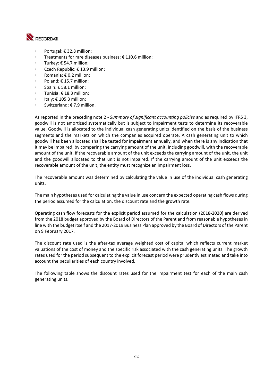

- Portugal: € 32.8 million;
- Treatments for rare diseases business:  $\epsilon$  110.6 million;
- Turkey: € 54.7 million;
- Czech Republic: € 13.9 million;
- Romania: € 0.2 million;
- Poland: € 15.7 million;
- Spain: € 58.1 million;
- Tunisia: € 18.3 million;
- Italy:  $\epsilon$  105.3 million:
- Switzerland: € 7.9 million.

As reported in the preceding note 2 ‐ *Summary of significant accounting policies* and as required by IFRS 3, goodwill is not amortized systematically but is subject to impairment tests to determine its recoverable value. Goodwill is allocated to the individual cash generating units identified on the basis of the business segments and the markets on which the companies acquired operate. A cash generating unit to which goodwill has been allocated shall be tested for impairment annually, and when there is any indication that it may be impaired, by comparing the carrying amount of the unit, including goodwill, with the recoverable amount of the unit. If the recoverable amount of the unit exceeds the carrying amount of the unit, the unit and the goodwill allocated to that unit is not impaired. If the carrying amount of the unit exceeds the recoverable amount of the unit, the entity must recognize an impairment loss.

The recoverable amount was determined by calculating the value in use of the individual cash generating units.

The main hypotheses used for calculating the value in use concern the expected operating cash flows during the period assumed for the calculation, the discount rate and the growth rate.

Operating cash flow forecasts for the explicit period assumed for the calculation (2018‐2020) are derived from the 2018 budget approved by the Board of Directors of the Parent and from reasonable hypotheses in line with the budget itself and the 2017‐2019 Business Plan approved by the Board of Directors of the Parent on 9 February 2017.

The discount rate used is the after-tax average weighted cost of capital which reflects current market valuations of the cost of money and the specific risk associated with the cash generating units. The growth rates used for the period subsequent to the explicit forecast period were prudently estimated and take into account the peculiarities of each country involved.

The following table shows the discount rates used for the impairment test for each of the main cash generating units.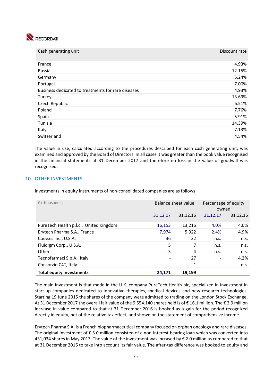

| Cash generating unit                               | Discount rate |
|----------------------------------------------------|---------------|
| France                                             | 4.93%         |
| Russia                                             | 12.15%        |
| Germany                                            | 5.24%         |
| Portugal                                           | 7.00%         |
| Business dedicated to treatments for rare diseases | 4.93%         |
| Turkey                                             | 13.69%        |
| Czech Republic                                     | 6.51%         |
| Poland                                             | 7.76%         |
| Spain                                              | 5.91%         |
| Tunisia                                            | 14.39%        |
| Italy                                              | 7.13%         |
| Switzerland                                        | 4.54%         |

The value in use, calculated according to the procedures described for each cash generating unit, was examined and approved by the Board of Directors. In all cases it was greater than the book value recognised in the financial statements at 31 December 2017 and therefore no loss in the value of goodwill was recognised.

## 10. OTHER INVESTMENTS

Investments in equity instruments of non-consolidated companies are as follows:

| $\epsilon$ (thousands)                 | Balance sheet value |          | Percentage of equity<br>owned |          |
|----------------------------------------|---------------------|----------|-------------------------------|----------|
|                                        | 31.12.17            | 31.12.16 | 31.12.17                      | 31.12.16 |
| PureTech Health p.l.c., United Kingdom | 16,153              | 13,216   | 4.0%                          | 4.0%     |
| Erytech Pharma S.A., France            | 7,974               | 5,922    | 2.4%                          | 4.9%     |
| Codexis Inc., U.S.A.                   | 36                  | 22       | n.s.                          | n.s.     |
| Fluidigm Corp., U.S.A.                 | 5                   | 7        | n.s.                          | n.s.     |
| <b>Others</b>                          | 3                   | 4        | n.s.                          | n.s.     |
| Tecnofarmaci S.p.A., Italy             |                     | 27       |                               | 4.2%     |
| Consorzio C4T, Italy                   |                     | 1        |                               | n.s.     |
| <b>Total equity investments</b>        | 24,171              | 19,199   |                               |          |

The main investment is that made in the U.K. company PureTech Health plc, specialized in investment in start-up companies dedicated to innovative therapies, medical devices and new research technologies. Starting 19 June 2015 the shares of the company were admitted to trading on the London Stock Exchange. At 31 December 2017 the overall fair value of the 9.554.140 shares held is of € 16.1 million. The € 2.9 million increase in value compared to that at 31 December 2016 is booked as a gain for the period recognized directly in equity, net of the relative tax effect, and shown on the statement of comprehensive income.

Erytech Pharma S.A. is a French biopharmaceutical company focused on orphan oncology and rare diseases. The original investment of  $\epsilon$  5.0 million consisted of a non-interest bearing loan which was converted into 431,034 shares in May 2013. The value of the investment was incrased by € 2.0 million as compared to that at 31 December 2016 to take into account its fair value. The after-tax difference was booked to equity and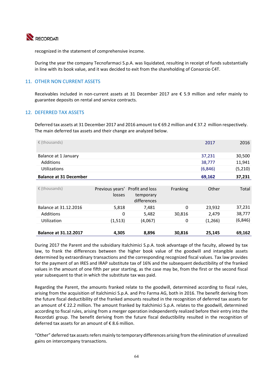

recognized in the statement of comprehensive income.

During the year the company Tecnofarmaci S.p.A. was liquidated, resulting in receipt of funds substantially in line with its book value, and it was decided to exit from the shareholding of Consorzio C4T.

## 11. OTHER NON CURRENT ASSETS

Receivables included in non-current assets at 31 December 2017 are € 5.9 million and refer mainly to guarantee deposits on rental and service contracts.

## 12. DEFERRED TAX ASSETS

Deferred tax assets at 31 December 2017 and 2016 amount to € 69.2 million and € 37.2 million respectively. The main deferred tax assets and their change are analyzed below.

| $\epsilon$ (thousands)        |                                           |                          |          | 2017    | 2016     |
|-------------------------------|-------------------------------------------|--------------------------|----------|---------|----------|
| Balance at 1 January          |                                           |                          |          | 37,231  | 30,500   |
| <b>Additions</b>              |                                           |                          |          | 38,777  | 11,941   |
| Utilizations                  |                                           |                          |          | (6,846) | (5, 210) |
| <b>Balance at 31 December</b> |                                           |                          |          | 69,162  | 37,231   |
|                               |                                           |                          |          |         |          |
| € (thousands)                 | Previous years' Profit and loss<br>losses | temporary<br>differences | Franking | Other   | Total    |
| Balance at 31.12.2016         | 5,818                                     | 7,481                    | $\Omega$ | 23,932  | 37,231   |
| <b>Additions</b>              | $\mathbf 0$                               | 5,482                    | 30,816   | 2,479   | 38,777   |
| Utilization                   | (1, 513)                                  | (4,067)                  | 0        | (1,266) | (6, 846) |
|                               |                                           |                          |          |         |          |
| <b>Balance at 31.12.2017</b>  | 4,305                                     | 8,896                    | 30,816   | 25,145  | 69,162   |

During 2017 the Parent and the subsidiary Italchimici S.p.A. took advantage of the faculty, allowed by tax law, to frank the differences between the higher book value of the goodwill and intangible assets determined by extraordinary transactions and the corresponding recognized fiscal values. Tax law provides for the payment of an IRES and IRAP substitute tax of 16% and the subsequent deductibility of the franked values in the amount of one fifth per year starting, as the case may be, from the first or the second fiscal year subsequent to that in which the substitute tax was paid.

Regarding the Parent, the amounts franked relate to the goodwill, determined according to fiscal rules, arising from the acquisition of Italchimici S.p.A. and Pro Farma AG, both in 2016. The benefit deriving from the future fiscal deductibility of the franked amounts resulted in the recognition of deferred tax assets for an amount of € 22.2 million. The amount franked by Italchimici S.p.A. relates to the goodwill, determined according to fiscal rules, arising from a merger operation independently realized before their entry into the Recordati group. The benefit deriving from the future fiscal deductibility resulted in the recognition of deferred tax assets for an amount of  $\epsilon$  8.6 million.

"Other" deferred tax assets refers mainly to temporary differences arising from the elimination of unrealized gains on intercompany transactions.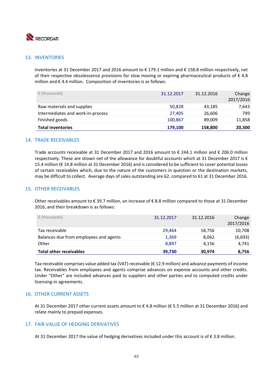

## 13. INVENTORIES

Inventories at 31 December 2017 and 2016 amount to € 179.1 million and € 158.8 million respectively, net of their respective obsolescence provisions for slow moving or expiring pharmaceutical products of  $\epsilon$  4.8 million and  $\epsilon$  4.4 million. Composition of inventories is as follows:

| <b>Total inventories</b>          | 179,100    | 158,800    | 20,300              |
|-----------------------------------|------------|------------|---------------------|
| Finished goods                    | 100,867    | 89.009     | 11,858              |
| Intermediates and work-in-process | 27.405     | 26,606     | 799                 |
| Raw materials and supplies        | 50,828     | 43,185     | 7,643               |
| $\epsilon$ (thousands)            | 31.12.2017 | 31.12.2016 | Change<br>2017/2016 |

## 14. TRADE RECEIVABLES

Trade accounts receivable at 31 December 2017 and 2016 amount to € 244.1 million and € 206.0 million respectively. These are shown net of the allowance for doubtful accounts which at 31 December 2017 is € 15.4 million (€ 14.8 million at 31 December 2016) and is considered to be sufficient to cover potential losses of certain receivables which, due to the nature of the customers in question or the destination markets, may be difficult to collect. Average days of sales outstanding are 62, compared to 61 at 31 December 2016.

## 15. OTHER RECEIVABLES

Other receivables amount to € 39.7 million, an increase of € 8.8 million compared to those at 31 December 2016, and their breakdown is as follows:

| $\epsilon$ (thousands)                 | 31.12.2017 | 31.12.2016 | Change<br>2017/2016 |
|----------------------------------------|------------|------------|---------------------|
| Tax receivable                         | 29,464     | 18,756     | 10,708              |
| Balances due from employees and agents | 1,369      | 8,062      | (6,693)             |
| Other                                  | 8.897      | 4,156      | 4,741               |
| <b>Total other receivables</b>         | 39,730     | 30,974     | 8,756               |

Tax receivable comprises value added tax (VAT) receivable (€ 12.9 million) and advance payments of income tax. Receivables from employees and agents comprise advances on expense accounts and other credits. Under "Other" are included advances paid to suppliers and other parties and to computed credits under licensing‐in agreements.

## 16. OTHER CURRENT ASSETS

At 31 December 2017 other current assets amount to € 4.8 million (€ 5.5 million at 31 December 2016) and relate mainly to prepaid expenses.

## 17. FAIR VALUE OF HEDGING DERIVATIVES

At 31 December 2017 the value of hedging derivatives included under this account is of € 3.8 million.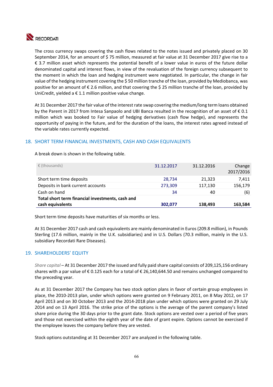

The cross currency swaps covering the cash flows related to the notes issued and privately placed on 30 September 2014, for an amount of \$75 million, measured at fair value at 31 December 2017 give rise to a € 3.7 million asset which represents the potential benefit of a lower value in euros of the future dollar denominated capital and interest flows, in view of the revaluation of the foreign currency subsequent to the moment in which the loan and hedging instrument were negotiated. In particular, the change in fair value of the hedging instrument covering the \$ 50 million tranche of the loan, provided by Mediobanca, was positive for an amount of € 2.6 million, and that covering the \$ 25 million tranche of the loan, provided by UniCredit, yielded a  $\epsilon$  1.1 million positive value change.

At 31 December 2017 the fair value of the interest rate swap covering the medium/long term loans obtained by the Parent in 2017 from Intesa Sanpaolo and UBI Banca resulted in the recognition of an asset of  $\epsilon$  0.1 million which was booked to Fair value of hedging derivatives (cash flow hedge), and represents the opportunity of paying in the future, and for the duration of the loans, the interest rates agreed instead of the variable rates currently expected.

## 18. SHORT TERM FINANCIAL INVESTMENTS, CASH AND CASH EQUIVALENTS

A break down is shown in the following table.

| $\epsilon$ (thousands)                           | 31.12.2017 | 31.12.2016 | Change<br>2017/2016 |
|--------------------------------------------------|------------|------------|---------------------|
| Short term time deposits                         | 28,734     | 21,323     | 7,411               |
| Deposits in bank current accounts                | 273,309    | 117,130    | 156,179             |
| Cash on hand                                     | 34         | 40         | (6)                 |
| Total short term financial investments, cash and |            |            |                     |
| cash equivalents                                 | 302,077    | 138,493    | 163,584             |

Short term time deposits have maturities of six months or less.

At 31 December 2017 cash and cash equivalents are mainly denominated in Euros (209.8 million), in Pounds Sterling (17.6 million, mainly in the U.K. subsidiaries) and in U.S. Dollars (70.3 million, mainly in the U.S. subsidiary Recordati Rare Diseases).

## 19. SHAREHOLDERS' EQUITY

*Share capital* – At 31 December 2017 the issued and fully paid share capital consists of 209,125,156 ordinary shares with a par value of € 0.125 each for a total of € 26,140,644.50 and remains unchanged compared to the preceding year.

As at 31 December 2017 the Company has two stock option plans in favor of certain group employees in place, the 2010‐2013 plan, under which options were granted on 9 February 2011, on 8 May 2012, on 17 April 2013 and on 30 October 2013 and the 2014‐2018 plan under which options were granted on 29 July 2014 and on 13 April 2016. The strike price of the options is the average of the parent company's listed share price during the 30 days prior to the grant date. Stock options are vested over a period of five years and those not exercised within the eighth year of the date of grant expire. Options cannot be exercised if the employee leaves the company before they are vested.

Stock options outstanding at 31 December 2017 are analyzed in the following table.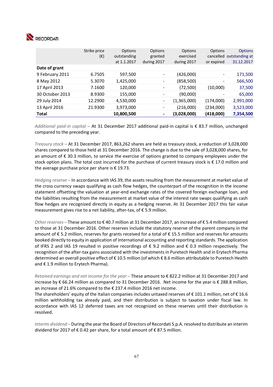

|                 | Strike price<br>$(\epsilon)$ | Options<br>outstanding<br>at 1.1.2017 | Options<br>granted<br>during 2017 | Options<br>exercised<br>during 2017 | Options<br>or expired    | <b>Options</b><br>cancelled outstanding at<br>31.12.2017 |
|-----------------|------------------------------|---------------------------------------|-----------------------------------|-------------------------------------|--------------------------|----------------------------------------------------------|
| Date of grant   |                              |                                       |                                   |                                     |                          |                                                          |
| 9 February 2011 | 6.7505                       | 597,500                               |                                   | (426,000)                           | $\overline{\phantom{a}}$ | 171,500                                                  |
| 8 May 2012      | 5.3070                       | 1,425,000                             | -                                 | (858, 500)                          | -                        | 566,500                                                  |
| 17 April 2013   | 7.1600                       | 120,000                               |                                   | (72, 500)                           | (10,000)                 | 37,500                                                   |
| 30 October 2013 | 8.9300                       | 155,000                               |                                   | (90,000)                            |                          | 65,000                                                   |
| 29 July 2014    | 12.2900                      | 4,530,000                             | $\overline{\phantom{a}}$          | (1,365,000)                         | (174,000)                | 2,991,000                                                |
| 13 April 2016   | 21.9300                      | 3,973,000                             | $\overline{\phantom{a}}$          | (216,000)                           | (234,000)                | 3,523,000                                                |
| <b>Total</b>    |                              | 10,800,500                            | $\,$                              | (3,028,000)                         | (418,000)                | 7,354,500                                                |

*Additional paid‐in capital* – At 31 December 2017 additional paid‐in capital is € 83.7 million, unchanged compared to the preceding year.

*Treasury stock* – At 31 December 2017, 863,262 shares are held as treasury stock, a reduction of 3,028,000 shares compared to those held at 31 December 2016. The change is due to the sale of 3,028,000 shares, for an amount of € 30.3 million, to service the exercise of options granted to company employees under the stock option plans. The total cost incurred for the purchase of current treasury stock is € 17.0 million and the average purchase price per share is € 19.73.

*Hedging reserve –* In accordance with IAS 39, the assets resulting from the measurement at market value of the cross currency swaps qualifying as cash flow hedges, the counterpart of the recognition in the income statement offsetting the valuation at year-end exchange rates of the covered foreign exchange loan, and the liabilities resulting from the measurement at market value of the interest rate swaps qualifying as cash flow hedges are recognized directly in equity as a hedging reserve. At 31 December 2017 this fair value measurement gives rise to a net liability, after‐tax, of € 5.9 million.

*Other reserves –* These amount to € 40.7 million at 31 December 2017, an increase of € 5.4 million compared to those at 31 December 2016. Other reserves include the statutory reserve of the parent company in the amount of € 5.2 million, reserves for grants received for a total of € 15.5 million and reserves for amounts booked directly to equity in application of international accounting and reporting standards. The application of IFRS 2 and IAS 19 resulted in positive recordings of  $\epsilon$  9.2 million and  $\epsilon$  0.3 million respectively. The recognition of the after‐tax gains associated with the investments in Puretech Health and in Erytech Pharma determined an overall positive effect of € 10.5 million (of which € 8.6 million attributable to Puretech Health and € 1.9 million to Erytech Pharma).

*Retained earnings and net income for the year* – These amount to € 822.2 million at 31 December 2017 and increase by € 66.24 million as compared to 31 December 2016. Net income for the year is € 288.8 million, an increase of 21.6% compared to the € 237.4 million 2016 net income.

The shareholders' equity of the Italian companies includes untaxed reserves of € 101.1 million, net of € 16.6 million withholding tax already paid, and their distribution is subject to taxation under fiscal law. In accordance with IAS 12 deferred taxes are not recognized on these reserves until their distribution is resolved.

*Interim dividend* – During the year the Board of Directors of Recordati S.p.A. resolved to distribute an interim dividend for 2017 of € 0.42 per share, for a total amount of  $€ 87.5$  million.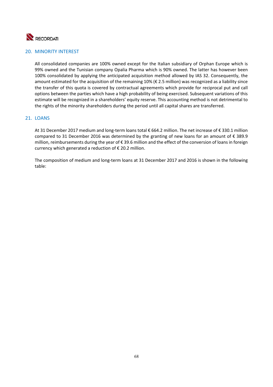

## 20. MINORITY INTEREST

All consolidated companies are 100% owned except for the Italian subsidiary of Orphan Europe which is 99% owned and the Tunisian company Opalia Pharma which is 90% owned. The latter has however been 100% consolidated by applying the anticipated acquisition method allowed by IAS 32. Consequently, the amount estimated for the acquisition of the remaining 10% (€ 2.5 million) was recognized as a liability since the transfer of this quota is covered by contractual agreements which provide for reciprocal put and call options between the parties which have a high probability of being exercised. Subsequent variations of this estimate will be recognized in a shareholders' equity reserve. This accounting method is not detrimental to the rights of the minority shareholders during the period until all capital shares are transferred.

## 21. LOANS

At 31 December 2017 medium and long‐term loans total € 664.2 million. The net increase of € 330.1 million compared to 31 December 2016 was determined by the granting of new loans for an amount of  $\epsilon$  389.9 million, reimbursements during the year of € 39.6 million and the effect of the conversion of loans in foreign currency which generated a reduction of € 20.2 million.

The composition of medium and long-term loans at 31 December 2017 and 2016 is shown in the following table: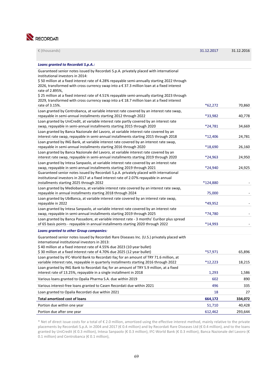

| Loans granted to Recordati S.p.A.:                                                                                                                           |           |         |
|--------------------------------------------------------------------------------------------------------------------------------------------------------------|-----------|---------|
| Guaranteed senior notes issued by Recordati S.p.A. privately placed with international                                                                       |           |         |
| institutional investors in 2014:<br>\$50 million at a fixed interest rate of 4.28% repayable semi-annually starting 2022 through                             |           |         |
| 2026, transformed with cross currency swap into a € 37.3 million loan at a fixed interest                                                                    |           |         |
| rate of 2.895%,                                                                                                                                              |           |         |
| \$25 million at a fixed interest rate of 4.51% repayable semi-annually starting 2023 through                                                                 |           |         |
| 2029, transformed with cross currency swap into a $\epsilon$ 18.7 million loan at a fixed interest                                                           |           |         |
| rate of 3.15%.                                                                                                                                               | $*62,272$ | 70,860  |
| Loan granted by Centrobanca, at variable interest rate covered by an interest rate swap,<br>repayable in semi-annual installments starting 2012 through 2022 | *33,982   | 40,778  |
| Loan granted by UniCredit, at variable interest rate partly covered by an interest rate                                                                      |           |         |
| swap, repayable in semi-annual installments starting 2015 through 2020                                                                                       | *24,781   | 34,669  |
| Loan granted by Banca Nazionale del Lavoro, at variable interest rate covered by an                                                                          |           |         |
| interest rate swap, repayable in semi-annual installments starting 2015 through 2018                                                                         | $*12,406$ | 24,781  |
| Loan granted by ING Bank, at variable interest rate covered by an interest rate swap,                                                                        | *18,690   |         |
| repayable in semi-annual installments starting 2016 through 2020<br>Loan granted by Banca Nazionale del Lavoro, at variable interest rate covered by an      |           | 26,160  |
| interest rate swap, repayable in semi-annual installments starting 2019 through 2020                                                                         | *24,963   | 24,950  |
| Loan granted by Intesa Sanpaolo, at variable interest rate covered by an interest rate                                                                       |           |         |
| swap, repayable in semi-annual installments starting 2019 through 2021                                                                                       | *24,940   | 24,925  |
| Guaranteed senior notes issued by Recordati S.p.A. privately placed with international                                                                       |           |         |
| institutional investors in 2017 at a fixed interest rate of 2.07% repayable in annual                                                                        |           |         |
| installments starting 2025 through 2032<br>Loan granted by Mediobanca, at variable interest rate covered by an interest rate swap,                           | *124,880  |         |
| repayable in annual installments starting 2018 through 2024                                                                                                  | 75,000    |         |
| Loan granted by UbiBanca, at variable interest rate covered by an interest rate swap,                                                                        |           |         |
| repayable in 2022                                                                                                                                            | *49,952   |         |
| Loan granted by Intesa Sanpaolo, at variable interest rate covered by an interest rate                                                                       |           |         |
| swap, repayable in semi-annual installments starting 2019 through 2025                                                                                       | *74,780   |         |
| Loan granted by Banca Passadore, at variable interest rate - 3 months' Euribor plus spread                                                                   | *14,993   |         |
| of 65 basis points - repayable in annual installments starting 2020 through 2022                                                                             |           |         |
| <b>Loans granted to other Group companies:</b>                                                                                                               |           |         |
| Guaranteed senior notes issued by Recordati Rare Diseases Inc. (U.S.) privately placed with<br>international institutional investors in 2013:                |           |         |
| \$40 million at a fixed interest rate of 4.55% due 2023 (10 year bullet)                                                                                     |           |         |
| \$30 million at a fixed interest rate of 4.70% due 2025 (12 year bullet)                                                                                     | *57,971   | 65,896  |
| Loan granted by IFC-World Bank to Recordati Ilaç for an amount of TRY 71.6 million, at                                                                       |           |         |
| variable interest rate, repayable in quarterly installments starting 2016 through 2022                                                                       | $*12,223$ | 18,215  |
| Loan granted by ING Bank to Recordati Ilaç for an amount of TRY 5.9 million, at a fixed                                                                      |           |         |
| interest rate of 13.25%, repayable in a single installment in 2018                                                                                           | 1,293     | 1,586   |
| Various loans granted to Opalia Pharma S.A. due within 2019                                                                                                  | 602       | 890     |
| Various interest-free loans granted to Casen Recordati due within 2021                                                                                       | 496       | 335     |
| Loan granted to Opalia Recordati due within 2021                                                                                                             | 18        | 27      |
| <b>Total amortized cost of loans</b>                                                                                                                         | 664,172   | 334,072 |
| Portion due within one year                                                                                                                                  | 51,710    | 40,428  |
| Portion due after one year                                                                                                                                   | 612,462   | 293,644 |

 $\epsilon$  (thousands) 31.12.2016

\* Net of direct issue costs for a total of € 2.0 million, amortized using the effective interest method, mainly relative to the private placements by Recordati S.p.A. in 2004 and 2017 (€ 0.4 million) and by Recordati Rare Diseases Ltd (€ 0.4 million), and to the loans granted by UniCredit (€ 0.3 million), Intesa Sanpaolo (€ 0.3 million), IFC‐World Bank (€ 0.3 million), Banca Nazionale del Lavoro (€ 0.1 million) and Centrobanca (€ 0.1 million),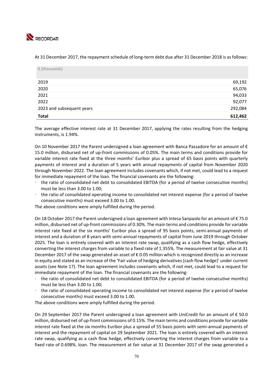

At 31 December 2017, the repayment schedule of long-term debt due after 31 December 2018 is as follows:

| $\epsilon$ (thousands)    |         |
|---------------------------|---------|
| 2019                      | 69,192  |
| 2020                      | 65,076  |
| 2021                      | 94,033  |
| 2022                      | 92,077  |
| 2023 and subsequent years | 292,084 |
| <b>Total</b>              | 612,462 |

The average effective interest rate at 31 December 2017, applying the rates resulting from the hedging instruments, is 1.94%.

On 10 November 2017 the Parent undersigned a loan agreement with Banca Passadore for an amount of € 15.0 million, disbursed net of up‐front commissions of 0.05%. The main terms and conditions provide for variable interest rate fixed at the three months' Euribor plus a spread of 65 basis points with quarterly payments of interest and a duration of 5 years with annual repayments of capital from November 2020 through November 2022. The loan agreement includes covenants which, if not met, could lead to a request for immediate repayment of the loan. The financial covenants are the following:

- the ratio of consolidated net debt to consolidated EBITDA (for a period of twelve consecutive months) must be less than 3.00 to 1.00;
- the ratio of consolidated operating income to consolidated net interest expense (for a period of twelve consecutive months) must exceed 3.00 to 1.00.

The above conditions were amply fulfilled during the period.

On 18 October 2017 the Parent undersigned a loan agreement with Intesa Sanpaolo for an amount of € 75.0 million, disbursed net of up‐front commissions of 0.30%. The main terms and conditions provide for variable interest rate fixed at the six months' Euribor plus a spread of 95 basis points, semi-annual payments of interest and a duration of 8 years with semi‐annual repayments of capital from June 2019 through October 2025. The loan is entirely covered with an interest rate swap, qualifying as a cash flow hedge, effectively converting the interest charges from variable to a fixed rate of 1.355%. The measurement at fair value at 31 December 2017 of the swap generated an asset of € 0.05 million which is recognized directly as an increase in equity and stated as an increase of the 'Fair value of hedging derivatives (cash flow hedge)' under current assets (see Note 17). The loan agreement includes covenants which, if not met, could lead to a request for immediate repayment of the loan. The financial covenants are the following:

- the ratio of consolidated net debt to consolidated EBITDA (for a period of twelve consecutive months) must be less than 3.00 to 1.00;
- the ratio of consolidated operating income to consolidated net interest expense (for a period of twelve consecutive months) must exceed 3.00 to 1.00.

The above conditions were amply fulfilled during the period.

On 29 September 2017 the Parent undersigned a loan agreement with UniCredit for an amount of € 50.0 million, disbursed net of up‐front commissions of 0.15%. The main terms and conditions provide for variable interest rate fixed at the six months Euribor plus a spread of 55 basis points with semi‐annual payments of interest and the repayment of capital on 29 September 2021. The loan is entirely covered with an interest rate swap, qualifying as a cash flow hedge, effectively converting the interest charges from variable to a fixed rate of 0.698%. loan. The measurement at fair value at 31 December 2017 of the swap generated a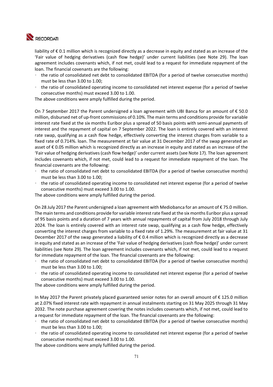

liability of € 0.1 million which is recognized directly as a decrease in equity and stated as an increase of the 'Fair value of hedging derivatives (cash flow hedge)' under current liabilities (see Note 29). The loan agreement includes covenants which, if not met, could lead to a request for immediate repayment of the loan. The financial covenants are the following:

- the ratio of consolidated net debt to consolidated EBITDA (for a period of twelve consecutive months) must be less than 3.00 to 1.00;
- the ratio of consolidated operating income to consolidated net interest expense (for a period of twelve consecutive months) must exceed 3.00 to 1.00.

The above conditions were amply fulfilled during the period.

On 7 September 2017 the Parent undersigned a loan agreement with UBI Banca for an amount of € 50.0 million, disbursed net of up‐front commissions of 0.10%. The main terms and conditions provide for variable interest rate fixed at the six months Euribor plus a spread of 50 basis points with semi‐annual payments of interest and the repayment of capital on 7 September 2022. The loan is entirely covered with an interest rate swap, qualifying as a cash flow hedge, effectively converting the interest charges from variable to a fixed rate of 0.714%. loan. The measurement at fair value at 31 December 2017 of the swap generated an asset of € 0.05 million which is recognized directly as an increase in equity and stated as an increase of the 'Fair value of hedging derivatives (cash flow hedge)' under current assets (see Note 17). The loan agreement includes covenants which, if not met, could lead to a request for immediate repayment of the loan. The financial covenants are the following:

- the ratio of consolidated net debt to consolidated EBITDA (for a period of twelve consecutive months) must be less than 3.00 to 1.00;
- the ratio of consolidated operating income to consolidated net interest expense (for a period of twelve consecutive months) must exceed 3.00 to 1.00.

The above conditions were amply fulfilled during the period.

On 28 July 2017 the Parent undersigned a loan agreement with Mediobanca for an amount of € 75.0 million. The main terms and conditions provide for variable interest rate fixed at the six months Euribor plus a spread of 95 basis points and a duration of 7 years with annual repayments of capital from July 2018 through July 2024. The loan is entirely covered with an interest rate swap, qualifying as a cash flow hedge, effectively converting the interest charges from variable to a fixed rate of 1.29%. The measurement at fair value at 31 December 2017 of the swap generated a liability of € 0.4 million which is recognized directly as a decrease in equity and stated as an increase of the 'Fair value of hedging derivatives (cash flow hedge)' under current liabilities (see Note 29). The loan agreement includes covenants which, if not met, could lead to a request for immediate repayment of the loan. The financial covenants are the following:

- the ratio of consolidated net debt to consolidated EBITDA (for a period of twelve consecutive months) must be less than 3.00 to 1.00;
- the ratio of consolidated operating income to consolidated net interest expense (for a period of twelve consecutive months) must exceed 3.00 to 1.00.

The above conditions were amply fulfilled during the period.

In May 2017 the Parent privately placed guaranteed senior notes for an overall amount of € 125.0 million at 2.07% fixed interest rate with repayment in annual instalments starting on 31 May 2025 through 31 May 2032. The note purchase agreement covering the notes includes covenants which, if not met, could lead to a request for immediate repayment of the loan. The financial covenants are the following:

- the ratio of consolidated net debt to consolidated EBITDA (for a period of twelve consecutive months) must be less than 3.00 to 1.00;
- the ratio of consolidated operating income to consolidated net interest expense (for a period of twelve consecutive months) must exceed 3.00 to 1.00.

The above conditions were amply fulfilled during the period.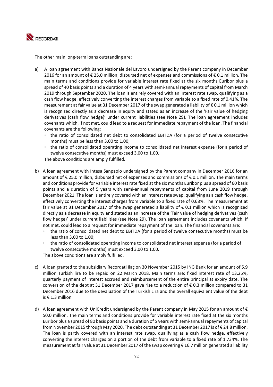

The other main long‐term loans outstanding are:

- a) A loan agreement with Banca Nazionale del Lavoro undersigned by the Parent company in December 2016 for an amount of € 25.0 million, disbursed net of expenses and commissions of € 0.1 million. The main terms and conditions provide for variable interest rate fixed at the six months Euribor plus a spread of 40 basis points and a duration of 4 years with semi-annual repayments of capital from March 2019 through September 2020. The loan is entirely covered with an interest rate swap, qualifying as a cash flow hedge, effectively converting the interest charges from variable to a fixed rate of 0.41%. The measurement at fair value at 31 December 2017 of the swap generated a liability of € 0.1 million which is recognized directly as a decrease in equity and stated as an increase of the 'Fair value of hedging derivatives (cash flow hedge)' under current liabilities (see Note 29). The loan agreement includes covenants which, if not met, could lead to a request for immediate repayment of the loan. The financial covenants are the following:
	- the ratio of consolidated net debt to consolidated EBITDA (for a period of twelve consecutive months) must be less than 3.00 to 1.00;
	- the ratio of consolidated operating income to consolidated net interest expense (for a period of twelve consecutive months) must exceed 3.00 to 1.00.

The above conditions are amply fulfilled.

- b) A loan agreement with Intesa Sanpaolo undersigned by the Parent company in December 2016 for an amount of € 25.0 million, disbursed net of expenses and commissions of € 0.1 million. The main terms and conditions provide for variable interest rate fixed at the six months Euribor plus a spread of 60 basis points and a duration of 5 years with semi-annual repayments of capital from June 2019 through December 2021. The loan is entirely covered with an interest rate swap, qualifying as a cash flow hedge, effectively converting the interest charges from variable to a fixed rate of 0.68%. The measurement at fair value at 31 December 2017 of the swap generated a liability of  $\epsilon$  0.1 million which is recognized directly as a decrease in equity and stated as an increase of the 'Fair value of hedging derivatives (cash flow hedge)' under current liabilities (see Note 29). The loan agreement includes covenants which, if not met, could lead to a request for immediate repayment of the loan. The financial covenants are:
	- the ratio of consolidated net debt to EBITDA (for a period of twelve consecutive months) must be less than 3.00 to 1.00;
	- the ratio of consolidated operating income to consolidated net interest expense (for a period of twelve consecutive months) must exceed 3.00 to 1.00.

The above conditions are amply fulfilled.

- c) A loan granted to the subsidiary Recordati Ilaç on 30 November 2015 by ING Bank for an amount of 5.9 million Turkish lira to be repaid on 22 March 2018. Main terms are: fixed interest rate of 13.25%, quarterly payment of interest accrued and reimbursement of the entire principal at expiry date. The conversion of the debt at 31 December 2017 gave rise to a reduction of  $\epsilon$  0.3 million compared to 31 December 2016 due to the devaluation of the Turkish Lira and the overall equivalent value of the debt is € 1.3 million.
- d) A loan agreement with UniCredit undersigned by the Parent company in May 2015 for an amount of  $\epsilon$ 50.0 million. The main terms and conditions provide for variable interest rate fixed at the six months Euribor plus a spread of 80 basis points and a duration of 5 years with semi‐annual repayments of capital from November 2015 through May 2020. The debt outstanding at 31 December 2017 is of € 24.8 million. The loan is partly covered with an interest rate swap, qualifying as a cash flow hedge, effectively converting the interest charges on a portion of the debt from variable to a fixed rate of 1.734%. The measurement at fair value at 31 December 2017 of the swap covering € 16.7 million generated a liability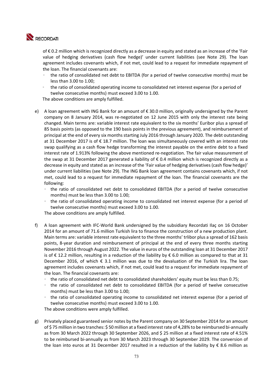

of € 0.2 million which is recognized directly as a decrease in equity and stated as an increase of the 'Fair value of hedging derivatives (cash flow hedge)' under current liabilities (see Note 29). The loan agreement includes covenants which, if not met, could lead to a request for immediate repayment of the loan. The financial covenants are:

- the ratio of consolidated net debt to EBITDA (for a period of twelve consecutive months) must be less than 3.00 to 1.00;
- the ratio of consolidated operating income to consolidated net interest expense (for a period of twelve consecutive months) must exceed 3.00 to 1.00.

The above conditions are amply fulfilled.

- e) A loan agreement with ING Bank for an amount of € 30.0 million, originally undersigned by the Parent company on 8 January 2014, was re‐negotiated on 12 June 2015 with only the interest rate being changed. Main terms are: variable interest rate equivalent to the six months' Euribor plus a spread of 85 basis points (as opposed to the 190 basis points in the previous agreement), and reimbursement of principal at the end of every six months starting July 2016 through January 2020. The debt outstanding at 31 December 2017 is of € 18.7 million. The loan was simultaneously covered with an interest rate swap qualifying as a cash flow hedge transforming the interest payable on the entire debt to a fixed interest rate of 1.913% following the above mentioned re-negotiation. The fair value measurement of the swap at 31 December 2017 generated a liability of  $\epsilon$  0.4 million which is recognized directly as a decrease in equity and stated as an increase of the 'Fair value of hedging derivatives (cash flow hedge)' under current liabilities (see Note 29). The ING Bank loan agreement contains covenants which, if not met, could lead to a request for immediate repayment of the loan. The financial covenants are the following:
	- the ratio of consolidated net debt to consolidated EBITDA (for a period of twelve consecutive months) must be less than 3.00 to 1.00;
	- the ratio of consolidated operating income to consolidated net interest expense (for a period of twelve consecutive months) must exceed 3.00 to 1.00. The above conditions are amply fulfilled.
- f) A loan agreement with IFC‐World Bank undersigned by the subsidiary Recordati Ilaç on 16 October 2014 for an amount of 71.6 million Turkish lira to finance the construction of a new production plant. Main terms are: variable interest rate equivalent to the three months' trlibor plus a spread of 162 basis points, 8-year duration and reimbursement of principal at the end of every three months starting November 2016 through August 2022. The value in euros of the outstanding loan at 31 December 2017 is of € 12.2 million, resulting in a reduction of the liability by € 6.0 million as compared to that at 31 December 2016, of which  $\epsilon$  3.1 million was due to the devaluation of the Turkish lira. The loan agreement includes covenants which, if not met, could lead to a request for immediate repayment of the loan. The financial covenants are:
	- the ratio of consolidated net debt to consolidated shareholders' equity must be less than 0.75;
	- the ratio of consolidated net debt to consolidated EBITDA (for a period of twelve consecutive months) must be less than 3.00 to 1.00;
	- the ratio of consolidated operating income to consolidated net interest expense (for a period of twelve consecutive months) must exceed 3.00 to 1.00.

The above conditions were amply fulfilled.

g) Privately placed guaranteed senior notes by the Parent company on 30 September 2014 for an amount of \$ 75 million in two tranches: \$ 50 million at a fixed interest rate of 4,28% to be reimbursed bi‐annually as from 30 March 2022 through 30 September 2026, and \$ 25 million at a fixed interest rate of 4.51% to be reimbursed bi-annually as from 30 March 2023 through 30 September 2029. The conversion of the loan into euros at 31 December 2017 resulted in a reduction of the liability by  $\epsilon$  8.6 million as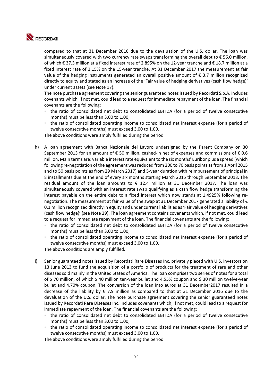

compared to that at 31 December 2016 due to the devaluation of the U.S. dollar. The loan was simultaneously covered with two currency rate swaps transforming the overall debt to € 56.0 million, of which € 37.3 million at a fixed interest rate of 2.895% on the 12‐year tranche and € 18.7 million at a fixed interest rate of 3.15% on the 15-year tranche. At 31 December 2017 the measurement at fair value of the hedging instruments generated an overall positive amount of  $\epsilon$  3.7 million recognized directly to equity and stated as an increase of the 'Fair value of hedging derivatives (cash flow hedge)' under current assets (see Note 17).

The note purchase agreement covering the senior guaranteed notes issued by Recordati S.p.A. includes covenants which, if not met, could lead to a request for immediate repayment of the loan. The financial covenants are the following:

- the ratio of consolidated net debt to consolidated EBITDA (for a period of twelve consecutive months) must be less than 3.00 to 1.00;
- the ratio of consolidated operating income to consolidated net interest expense (for a period of twelve consecutive months) must exceed 3.00 to 1.00.

The above conditions were amply fulfilled during the period.

- h) A loan agreement with Banca Nazionale del Lavoro undersigned by the Parent Company on 30 September 2013 for an amount of  $\epsilon$  50 million, cashed-in net of expenses and commissions of  $\epsilon$  0.6 million. Main terms are: variable interest rate equivalent to the six months' Euribor plus a spread (which following re‐negotiation of the agreement was reduced from 200 to 70 basis points as from 1 April 2015 and to 50 basis points as from 29 March 2017) and 5-year duration with reimbursement of principal in 8 installments due at the end of every six months starting March 2015 through September 2018. The residual amount of the loan amounts to  $\epsilon$  12.4 million at 31 December 2017. The loan was simultaneously covered with an interest rate swap qualifying as a cash flow hedge transforming the interest payable on the entire debt to a fixed interest which now stands at 1.4925% following renegotiation. The measurement at fair value of the swap at 31 December 2017 generated a liability of € 0.1 million recognized directly in equity and under current liabilities as 'Fair value of hedging derivatives (cash flow hedge)' (see Note 29). The loan agreement contains covenants which, if not met, could lead to a request for immediate repayment of the loan. The financial covenants are the following:
	- the ratio of consolidated net debt to consolidated EBITDA (for a period of twelve consecutive months) must be less than 3.00 to 1.00;
	- the ratio of consolidated operating income to consolidated net interest expense (for a period of twelve consecutive months) must exceed 3.00 to 1.00.

The above conditions are amply fulfilled.

- i) Senior guaranteed notes issued by Recordati Rare Diseases Inc. privately placed with U.S. investors on 13 June 2013 to fund the acquisition of a portfolio of products for the treatment of rare and other diseases sold mainly in the United States of America. The loan comprises two series of notes for a total of \$ 70 million, of which \$ 40 million ten‐year bullet and 4.55% coupon and \$ 30 million twelve‐year bullet and 4.70% coupon. The conversion of the loan into euros at 31 December2017 resulted in a decrease of the liability by  $\epsilon$  7.9 million as compared to that at 31 December 2016 due to the devaluation of the U.S. dollar. The note purchase agreement covering the senior guaranteed notes issued by Recordati Rare Diseases Inc. includes covenants which, if not met, could lead to a request for immediate repayment of the loan. The financial covenants are the following:
	- the ratio of consolidated net debt to consolidated EBITDA (for a period of twelve consecutive months) must be less than 3.00 to 1.00;
	- the ratio of consolidated operating income to consolidated net interest expense (for a period of twelve consecutive months) must exceed 3.00 to 1.00.

The above conditions were amply fulfilled during the period.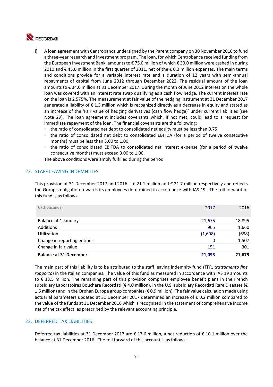

- j) A loan agreement with Centrobanca undersigned by the Parent company on 30 November 2010 to fund a three‐year research and investment program. The loan, for which Centrobanca received funding from the European Investment Bank, amounts to € 75.0 million of which € 30.0 million were cashed in during 2010 and € 45.0 million in the first quarter of 2011, net of the € 0.3 million expenses. The main terms and conditions provide for a variable interest rate and a duration of 12 years with semi-annual repayments of capital from June 2012 through December 2022. The residual amount of the loan amounts to € 34.0 million at 31 December 2017. During the month of June 2012 interest on the whole loan was covered with an interest rate swap qualifying as a cash flow hedge. The current interest rate on the loan is 2.575%. The measurement at fair value of the hedging instrument at 31 December 2017 generated a liability of € 1.3 million which is recognized directly as a decrease in equity and stated as an increase of the 'Fair value of hedging derivatives (cash flow hedge)' under current liabilities (see Note 29). The loan agreement includes covenants which, if not met, could lead to a request for immediate repayment of the loan. The financial covenants are the following:
	- the ratio of consolidated net debt to consolidated net equity must be less than 0.75;
	- the ratio of consolidated net debt to consolidated EBITDA (for a period of twelve consecutive months) must be less than 3.00 to 1.00;
	- the ratio of consolidated EBITDA to consolidated net interest expense (for a period of twelve consecutive months) must exceed 3.00 to 1.00.

The above conditions were amply fulfilled during the period.

#### 22. STAFF LEAVING INDEMNITIES

This provision at 31 December 2017 and 2016 is  $\epsilon$  21.1 million and  $\epsilon$  21.7 million respectively and reflects the Group's obligation towards its employees determined in accordance with IAS 19. The roll forward of this fund is as follows:

| $\epsilon$ (thousands)<br>2017          | 2016         |
|-----------------------------------------|--------------|
| Balance at 1 January<br>21,675          | 18,895       |
| Additions                               | 965<br>1,660 |
| (1,698)<br>Utilization                  | (688)        |
| Change in reporting entities            | 1,507<br>0   |
| Change in fair value                    | 301<br>151   |
| <b>Balance at 31 December</b><br>21,093 | 21,675       |

The main part of this liability is to be attributed to the staff leaving indemnity fund (TFR, *trattamento fine rapporto*) in the Italian companies. The value of this fund as measured in accordance with IAS 19 amounts to  $\epsilon$  13.5 million. The remaining part of this provision comprises employee benefit plans in the French subsidiary Laboratoires Bouchara Recordati (€ 4.0 million), in the U.S. subsidiary Recordati Rare Diseases (€ 1.6 million) and in the Orphan Europe group companies (€ 0.9 million). The fair value calculation made using actuarial parameters updated at 31 December 2017 determined an increase of € 0.2 million compared to the value of the funds at 31 December 2016 which is recognized in the statement of comprehensive income net of the tax effect, as prescribed by the relevant accounting principle.

#### 23. DEFERRED TAX LIABILITIES

Deferred tax liabilities at 31 December 2017 are € 17.6 million, a net reduction of € 10.1 million over the balance at 31 December 2016. The roll forward of this account is as follows: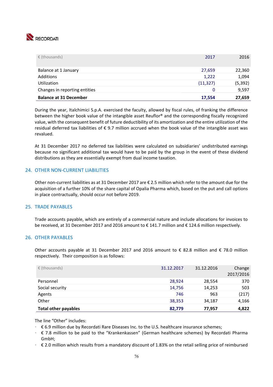

| $\epsilon$ (thousands)        | 2017      | 2016     |
|-------------------------------|-----------|----------|
| Balance at 1 January          | 27,659    | 22,360   |
| <b>Additions</b>              | 1,222     | 1,094    |
| Utilization                   | (11, 327) | (5, 392) |
| Changes in reporting entities | 0         | 9,597    |
| <b>Balance at 31 December</b> | 17,554    | 27,659   |

During the year, Italchimici S.p.A. exercised the faculty, allowed by fiscal rules, of franking the difference between the higher book value of the intangible asset Reuflor® and the corresponding fiscally recognized value, with the consequent benefit of future deductibility of its amortization and the entire utilization of the residual deferred tax liabilities of  $\epsilon$  9.7 million accrued when the book value of the intangible asset was revalued.

At 31 December 2017 no deferred tax liabilities were calculated on subsidiaries' undistributed earnings because no significant additional tax would have to be paid by the group in the event of these dividend distributions as they are essentially exempt from dual income taxation.

#### 24. OTHER NON‐CURRENT LIABILITIES

Other non‐current liabilities as at 31 December 2017 are € 2.5 million which refer to the amount due for the acquisition of a further 10% of the share capital of Opalia Pharma which, based on the put and call options in place contractually, should occur not before 2019.

#### 25. TRADE PAYABLES

Trade accounts payable, which are entirely of a commercial nature and include allocations for invoices to be received, at 31 December 2017 and 2016 amount to € 141.7 million and € 124.6 million respectively.

#### 26. OTHER PAYABLES

Other accounts payable at 31 December 2017 and 2016 amount to  $\epsilon$  82.8 million and  $\epsilon$  78.0 million respectively. Their composition is as follows:

| $\epsilon$ (thousands)      | 31.12.2017 | 31.12.2016 | Change<br>2017/2016 |
|-----------------------------|------------|------------|---------------------|
| Personnel                   | 28,924     | 28,554     | 370                 |
| Social security             | 14,756     | 14,253     | 503                 |
| Agents                      | 746        | 963        | (217)               |
| Other                       | 38,353     | 34,187     | 4,166               |
| <b>Total other payables</b> | 82,779     | 77,957     | 4,822               |

The line "Other" includes:

- € 6.9 million due by Recordati Rare Diseases Inc. to the U.S. healthcare insurance schemes;
- € 7.8 million to be paid to the "Krankenkassen" (German healthcare schemes) by Recordati Pharma GmbH;
- € 2.0 million which results from a mandatory discount of 1.83% on the retail selling price of reimbursed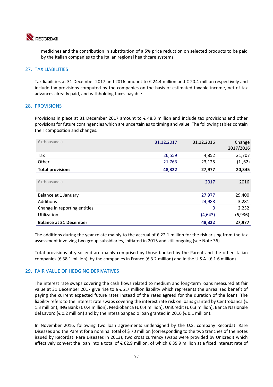

medicines and the contribution in substitution of a 5% price reduction on selected products to be paid by the Italian companies to the Italian regional healthcare systems.

#### 27. TAX LIABILITIES

Tax liabilities at 31 December 2017 and 2016 amount to € 24.4 million and € 20.4 million respectively and include tax provisions computed by the companies on the basis of estimated taxable income, net of tax advances already paid, and withholding taxes payable.

#### 28. PROVISIONS

Provisions in place at 31 December 2017 amount to  $\epsilon$  48.3 million and include tax provisions and other provisions for future contingencies which are uncertain as to timing and value. The following tables contain their composition and changes.

| € (thousands)                 | 31.12.2017 | 31.12.2016 | Change<br>2017/2016 |
|-------------------------------|------------|------------|---------------------|
| Tax                           | 26,559     | 4,852      | 21,707              |
| Other                         | 21,763     | 23,125     | (1.,62)             |
| <b>Total provisions</b>       | 48,322     | 27,977     | 20,345              |
|                               |            |            |                     |
| € (thousands)                 |            | 2017       | 2016                |
| Balance at 1 January          |            | 27,977     | 29,400              |
| Additions                     |            | 24,988     | 3,281               |
| Change in reporting entities  |            | 0          | 2,232               |
| Utilization                   |            | (4, 643)   | (6,936)             |
| <b>Balance at 31 December</b> |            | 48,322     | 27,977              |

The additions during the year relate mainly to the accrual of  $\epsilon$  22.1 million for the risk arising from the tax assessment involving two group subsidiaries, initiated in 2015 and still ongoing (see Note 36).

Total provisions at year end are mainly comprised by those booked by the Parent and the other Italian companies (€ 38.1 million), by the companies in France (€ 3.2 million) and in the U.S.A. (€ 1.6 million).

#### 29. FAIR VALUE OF HEDGING DERIVATIVES

The interest rate swaps covering the cash flows related to medium and long-term loans measured at fair value at 31 December 2017 give rise to a  $\epsilon$  2.7 million liability which represents the unrealized benefit of paying the current expected future rates instead of the rates agreed for the duration of the loans. The liability refers to the interest rate swaps covering the interest rate risk on loans granted by Centrobanca ( $\epsilon$ 1.3 million), ING Bank (€ 0.4 million), Mediobanca (€ 0.4 million), UniCredit (€ 0.3 million), Banca Nazionale del Lavoro (€ 0.2 million) and by the Intesa Sanpaolo loan granted in 2016 (€ 0.1 million).

In November 2016, following two loan agreements undersigned by the U.S. company Recordati Rare Diseases and the Parent for a nominal total of \$ 70 million (corresponding to the two tranches of the notes issued by Recordati Rare Diseases in 2013), two cross currency swaps were provided by Unicredit which effectively convert the loan into a total of € 62.9 million, of which € 35.9 million at a fixed interest rate of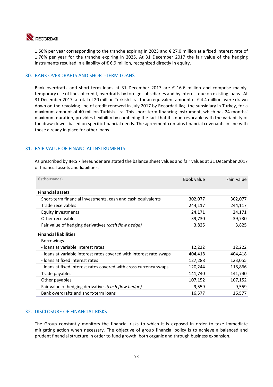

1.56% per year corresponding to the tranche expiring in 2023 and € 27.0 million at a fixed interest rate of 1.76% per year for the tranche expiring in 2025. At 31 December 2017 the fair value of the hedging instruments resulted in a liability of € 6.9 million, recognized directly in equity.

#### 30. BANK OVERDRAFTS AND SHORT‐TERM LOANS

Bank overdrafts and short-term loans at 31 December 2017 are € 16.6 million and comprise mainly, temporary use of lines of credit, overdrafts by foreign subsidiaries and by interest due on existing loans. At 31 December 2017, a total of 20 million Turkish Lira, for an equivalent amount of € 4.4 million, were drawn down on the revolving line of credit renewed in July 2017 by Recordati Ilaç, the subsidiary in Turkey, for a maximum amount of 40 million Turkish Lira. This short-term financing instrument, which has 24 months' maximum duration, provides flexibility by combining the fact that it's non-revocable with the variability of the draw‐downs based on specific financial needs. The agreement contains financial covenants in line with those already in place for other loans.

#### 31. FAIR VALUE OF FINANCIAL INSTRUMENTS

As prescribed by IFRS 7 hereunder are stated the balance sheet values and fair values at 31 December 2017 of financial assets and liabilities:

| $\epsilon$ (thousands)                                              | Book value | Fair value |
|---------------------------------------------------------------------|------------|------------|
| <b>Financial assets</b>                                             |            |            |
| Short-term financial investments, cash and cash equivalents         | 302,077    | 302,077    |
| Trade receivables                                                   | 244,117    | 244,117    |
| <b>Equity investments</b>                                           | 24,171     | 24,171     |
| Other receivables                                                   | 39,730     | 39,730     |
| Fair value of hedging derivatives (cash flow hedge)                 | 3,825      | 3,825      |
| <b>Financial liabilities</b>                                        |            |            |
| <b>Borrowings</b>                                                   |            |            |
| - loans at variable interest rates                                  | 12,222     | 12,222     |
| - loans at variable interest rates covered with interest rate swaps | 404,418    | 404,418    |
| - loans at fixed interest rates                                     | 127,288    | 123,055    |
| - loans at fixed interest rates covered with cross currency swaps   | 120,244    | 118,866    |
| Trade payables                                                      | 141,740    | 141,740    |
| Other payables                                                      | 107,152    | 107,152    |
| Fair value of hedging derivatives (cash flow hedge)                 | 9,559      | 9,559      |
| Bank overdrafts and short-term loans                                | 16,577     | 16,577     |

#### 32. DISCLOSURE OF FINANCIAL RISKS

The Group constantly monitors the financial risks to which it is exposed in order to take immediate mitigating action when necessary. The objective of group financial policy is to achieve a balanced and prudent financial structure in order to fund growth, both organic and through business expansion.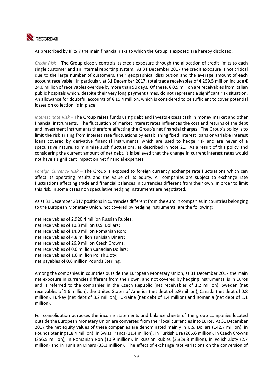

As prescribed by IFRS 7 the main financial risks to which the Group is exposed are hereby disclosed.

*Credit Risk –* The Group closely controls its credit exposure through the allocation of credit limits to each single customer and an internal reporting system. At 31 December 2017 the credit exposure is not critical due to the large number of customers, their geographical distribution and the average amount of each account receivable. In particular, at 31 December 2017, total trade receivables of € 259.5 million include € 24.0 million of receivables overdue by more than 90 days. Of these, € 0.9 million are receivables from Italian public hospitals which, despite their very long payment times, do not represent a significant risk situation. An allowance for doubtful accounts of € 15.4 million, which is considered to be sufficient to cover potential losses on collection, is in place.

*Interest Rate Risk –* The Group raises funds using debt and invests excess cash in money market and other financial instruments. The fluctuation of market interest rates influences the cost and returns of the debt and investment instruments therefore affecting the Group's net financial charges. The Group's policy is to limit the risk arising from interest rate fluctuations by establishing fixed interest loans or variable interest loans covered by derivative financial instruments, which are used to hedge risk and are never of a speculative nature, to minimize such fluctuations, as described in note 21. As a result of this policy and considering the current amount of net debt, it is believed that the change in current interest rates would not have a significant impact on net financial expenses.

*Foreign Currency Risk – The Group is exposed to foreign currency exchange rate fluctuations which can* affect its operating results and the value of its equity. All companies are subject to exchange rate fluctuations affecting trade and financial balances in currencies different from their own. In order to limit this risk, in some cases non speculative hedging instruments are negotiated.

As at 31 December 2017 positions in currencies different from the euro in companies in countries belonging to the European Monetary Union, not covered by hedging instruments, are the following:

net receivables of 2,920.4 million Russian Rubles; net receivables of 10.3 million U.S. Dollars; net receivables of 14.0 million Romanian Ron; net receivables of 4.8 million Tunisian Dinars; net receivables of 26.9 million Czech Crowns; net receivables of 0.6 million Canadian Dollars; net receivables of 1.6 million Polish Zloty; net payables of 0.6 million Pounds Sterling.

Among the companies in countries outside the European Monetary Union, at 31 December 2017 the main net exposure in currencies different from their own, and not covered by hedging instruments, is in Euros and is referred to the companies in the Czech Republic (net receivables of 1.2 million), Sweden (net receivables of 1.6 million), the United States of America (net debt of 5.9 million), Canada (net debt of 0.8 million), Turkey (net debt of 3.2 million), Ukraine (net debt of 1.4 million) and Romania (net debt of 1.1 million).

For consolidation purposes the income statements and balance sheets of the group companies located outside the European Monetary Union are converted from their local currencies into Euros. At 31 December 2017 the net equity values of these companies are denominated mainly in U.S. Dollars (142.7 million), in Pounds Sterling (18.4 million), in Swiss Francs (11.4 million), in Turkish Lira (206.6 million), in Czech Crowns (356.5 million), in Romanian Ron (10.9 million), in Russian Rubles (2,329.3 million), in Polish Zloty (2.7 million) and in Tunisian Dinars (33.3 million). The effect of exchange rate variations on the conversion of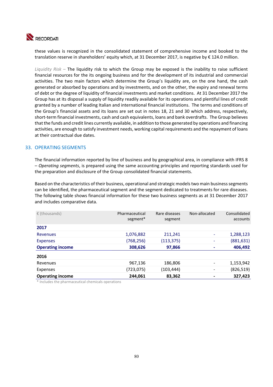

these values is recognized in the consolidated statement of comprehensive income and booked to the translation reserve in shareholders' equity which, at 31 December 2017, is negative by € 124.0 million.

*Liquidity Risk –* The liquidity risk to which the Group may be exposed is the inability to raise sufficient financial resources for the its ongoing business and for the development of its industrial and commercial activities. The two main factors which determine the Group's liquidity are, on the one hand, the cash generated or absorbed by operations and by investments, and on the other, the expiry and renewal terms of debt or the degree of liquidity of financial investments and market conditions. At 31 December 2017 the Group has at its disposal a supply of liquidity readily available for its operations and plentiful lines of credit granted by a number of leading Italian and international financial institutions. The terms and conditions of the Group's financial assets and its loans are set out in notes 18, 21 and 30 which address, respectively, short-term financial investments, cash and cash equivalents, loans and bank overdrafts. The Group believes that the funds and credit lines currently available, in addition to those generated by operations and financing activities, are enough to satisfy investment needs, working capital requirements and the repayment of loans at their contractual due dates.

#### 33. OPERATING SEGMENTS

The financial information reported by line of business and by geographical area, in compliance with IFRS 8 – *Operating segments*, is prepared using the same accounting principles and reporting standards used for the preparation and disclosure of the Group consolidated financial statements.

Based on the characteristics of their business, operational and strategic models two main business segments can be identified, the pharmaceutical segment and the segment dedicated to treatments for rare diseases. The following table shows financial information for these two business segments as at 31 December 2017 and includes comparative data.

| $\epsilon$ (thousands)  | Pharmaceutical<br>segment* | Rare diseases<br>segment | Non-allocated | Consolidated<br>accounts |
|-------------------------|----------------------------|--------------------------|---------------|--------------------------|
| 2017                    |                            |                          |               |                          |
| Revenues                | 1,076,882                  | 211,241                  |               | 1,288,123                |
| <b>Expenses</b>         | (768,256)                  | (113, 375)               | ۰             | (881, 631)               |
| <b>Operating income</b> | 308,626                    | 97,866                   |               | 406,492                  |
| 2016                    |                            |                          |               |                          |
| Revenues                | 967,136                    | 186,806                  |               | 1,153,942                |
| <b>Expenses</b>         | (723,075)                  | (103,444)                |               | (826, 519)               |
| <b>Operating income</b> | 244,061                    | 83,362                   |               | 327,423                  |

\* Includes the pharmaceutical chemicals operations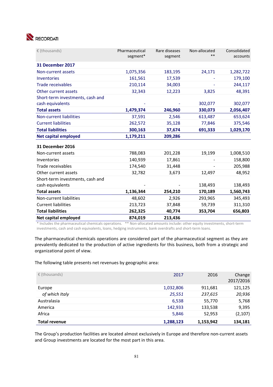

| € (thousands)                    | Pharmaceutical<br>segment* | Rare diseases<br>segment | Non-allocated<br>** | Consolidated<br>accounts |
|----------------------------------|----------------------------|--------------------------|---------------------|--------------------------|
| 31 December 2017                 |                            |                          |                     |                          |
| Non-current assets               | 1,075,356                  | 183,195                  | 24,171              | 1,282,722                |
| Inventories                      | 161,561                    | 17,539                   |                     | 179,100                  |
| <b>Trade receivables</b>         | 210,114                    | 34,003                   |                     | 244,117                  |
| Other current assets             | 32,343                     | 12,223                   | 3,825               | 48,391                   |
| Short-term investments, cash and |                            |                          |                     |                          |
| cash equivalents                 |                            |                          | 302,077             | 302,077                  |
| <b>Total assets</b>              | 1,479,374                  | 246,960                  | 330,073             | 2,056,407                |
| Non-current liabilities          | 37,591                     | 2,546                    | 613,487             | 653,624                  |
| <b>Current liabilities</b>       | 262,572                    | 35,128                   | 77,846              | 375,546                  |
| <b>Total liabilities</b>         | 300,163                    | 37,674                   | 691,333             | 1,029,170                |
| <b>Net capital employed</b>      | 1,179,211                  | 209,286                  |                     |                          |
| 31 December 2016                 |                            |                          |                     |                          |
| Non-current assets               | 788,083                    | 201,228                  | 19,199              | 1,008,510                |
| Inventories                      | 140,939                    | 17,861                   |                     | 158,800                  |
| Trade receivables                | 174,540                    | 31,448                   |                     | 205,988                  |
| Other current assets             | 32,782                     | 3,673                    | 12,497              | 48,952                   |
| Short-term investments, cash and |                            |                          |                     |                          |
| cash equivalents                 |                            |                          | 138,493             | 138,493                  |
| <b>Total assets</b>              | 1,136,344                  | 254,210                  | 170,189             | 1,560,743                |
| Non-current liabilities          | 48,602                     | 2,926                    | 293,965             | 345,493                  |
| <b>Current liabilities</b>       | 213,723                    | 37,848                   | 59,739              | 311,310                  |
| <b>Total liabilities</b>         | 262,325                    | 40,774                   | 353,704             | 656,803                  |
| <b>Net capital employed</b>      | 874,019                    | 213,436                  |                     |                          |

\* Includes the pharmaceutical chemicals operations. \*\* Non‐allocated amounts include: other equity investments, short‐term investments, cash and cash equivalents, loans, hedging instruments, bank overdrafts and short‐term loans.

The pharmaceutical chemicals operations are considered part of the pharmaceutical segment as they are prevalently dedicated to the production of active ingredients for this business, both from a strategic and organizational point of view.

The following table presents net revenues by geographic area:

| $\epsilon$ (thousands) | 2017      | 2016      | Change<br>2017/2016 |
|------------------------|-----------|-----------|---------------------|
| Europe                 | 1,032,806 | 911,681   | 121,125             |
| of which Italy         | 25,551    | 237,615   | 20,936              |
| Australasia            | 6,538     | 55,770    | 5,768               |
| America                | 142,933   | 133,538   | 9,395               |
| Africa                 | 5,846     | 52,953    | (2, 107)            |
| Total revenue          | 1,288,123 | 1,153,942 | 134,181             |

The Group's production facilities are located almost exclusively in Europe and therefore non‐current assets and Group investments are located for the most part in this area.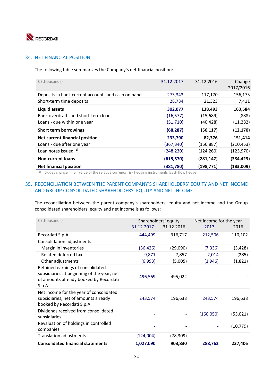

#### 34. NET FINANCIAL POSITION

The following table summarizes the Company's net financial position:

| $\epsilon$ (thousands)                             | 31.12.2017 | 31.12.2016 | Change<br>2017/2016 |
|----------------------------------------------------|------------|------------|---------------------|
| Deposits in bank current accounts and cash on hand | 273,343    | 117,170    | 156,173             |
| Short-term time deposits                           | 28,734     | 21,323     | 7,411               |
| Liquid assets                                      | 302,077    | 138,493    | 163,584             |
| Bank overdrafts and short-term loans               | (16, 577)  | (15,689)   | (888)               |
| Loans - due within one year                        | (51, 710)  | (40, 428)  | (11, 282)           |
| <b>Short term borrowings</b>                       | (68, 287)  | (56, 117)  | (12, 170)           |
| Net current financial position                     | 233,790    | 82,376     | 151,414             |
| Loans - due after one year                         | (367, 340) | (156, 887) | (210, 453)          |
| Loan notes issued (1)                              | (248, 230) | (124, 260) | (123, 970)          |
| <b>Non-current loans</b>                           | (615, 570) | (281, 147) | (334,423)           |
| <b>Net financial position</b>                      | (381, 780) | (198,771)  | (183,009)           |

(1) Includes change in fair value of the relative currency risk hedging instruments (cash flow hedge).

### 35. RECONCILIATION BETWEEN THE PARENT COMPANY'S SHAREHOLDERS' EQUITY AND NET INCOME AND GROUP CONSOLIDATED SHAREHOLDERS' EQUITY AND NET INCOME

The reconciliation between the parent company's shareholders' equity and net income and the Group consolidated shareholders' equity and net income is as follows:

| € (thousands)                                                                                                                       | Shareholders' equity<br>Net income for the year |            |           |           |
|-------------------------------------------------------------------------------------------------------------------------------------|-------------------------------------------------|------------|-----------|-----------|
|                                                                                                                                     | 31.12.2017                                      | 31.12.2016 | 2017      | 2016      |
| Recordati S.p.A.                                                                                                                    | 444,499                                         | 316,717    | 212,506   | 110,102   |
| Consolidation adjustments:                                                                                                          |                                                 |            |           |           |
| Margin in inventories                                                                                                               | (36, 426)                                       | (29,090)   | (7, 336)  | (3, 428)  |
| Related deferred tax                                                                                                                | 9,871                                           | 7,857      | 2,014     | (285)     |
| Other adjustments                                                                                                                   | (6,993)                                         | (5,005)    | (1,946)   | (1,821)   |
| Retained earnings of consolidated<br>subsidiaries at beginning of the year, net<br>of amounts already booked by Recordati<br>S.p.A. | 496,569                                         | 495,022    |           |           |
| Net income for the year of consolidated<br>subsidiaries, net of amounts already<br>booked by Recordati S.p.A.                       | 243,574                                         | 196,638    | 243,574   | 196,638   |
| Dividends received from consolidated<br>subsidiaries                                                                                |                                                 |            | (160,050) | (53, 021) |
| Revaluation of holdings in controlled<br>companies                                                                                  |                                                 |            |           | (10, 779) |
| <b>Translation adjustments</b>                                                                                                      | (124,004)                                       | (78, 309)  |           |           |
| <b>Consolidated financial statements</b>                                                                                            | 1,027,090                                       | 903,830    | 288,762   | 237,406   |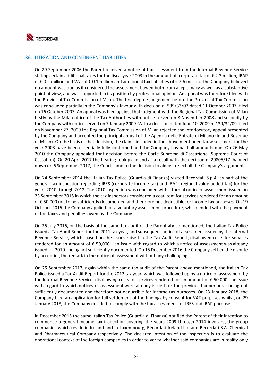

#### 36. LITIGATION AND CONTINGENT LIABILITIES

On 29 September 2006 the Parent received a notice of tax assessment from the Internal Revenue Service stating certain additional taxes for the fiscal year 2003 in the amount of: corporate tax of € 2.3 million, IRAP of € 0.2 million and VAT of € 0.1 million and additional tax liabilities of € 2.6 million. The Company believed no amount was due as it considered the assessment flawed both from a legitimacy as well as a substantive point of view, and was supported in its position by professional opinion. An appeal was therefore filed with the Provincial Tax Commission of Milan. The first degree judgement before the Provincial Tax Commission was concluded partially in the Company's favour with decision n. 539/33/07 dated 11 October 2007, filed on 16 October 2007. An appeal was filed against that judgment with the Regional Tax Commission of Milan firstly by the Milan office of the Tax Authorities with notice served on 8 November 2008 and secondly by the Company with notice served on 7 January 2009. With a decision dated June 10, 2009 n. 139/32/09, filed on November 27, 2009 the Regional Tax Commission of Milan rejected the interlocutory appeal presented by the Company and accepted the principal appeal of the Agenzia delle Entrate di Milano (Inland Revenue of Milan). On the basis of that decision, the claims included in the above mentioned tax assessment for the year 2003 have been essentially fully confirmed and the Company has paid all amounts due. On 26 May 2010 the Company appealed that decision before the Corte Suprema di Cassazione (Supreme Court of Cassation). On 20 April 2017 the hearing took place and as a result with the decision n. 20805/17, handed down on 6 September 2017, the Court came to the decision to almost reject all the Company's arguments.

On 24 September 2014 the Italian Tax Police (Guardia di Finanza) visited Recordati S.p.A. as part of the general tax inspection regarding IRES (corporate income tax) and IRAP (regional value added tax) for the years 2010 through 2012. The 2010 inspection was concluded with a formal notice of assessment issued on 23 September 2015 in which the tax inspectors considered a cost item for services rendered for an amount of € 50,000 not to be sufficiently documented and therefore not deductible for income tax purposes. On 19 October 2015 the Company applied for a voluntary assessment procedure, which ended with the payment of the taxes and penalties owed by the Company.

On 26 July 2016, on the basis of the same tax audit of the Parent above mentioned, the Italian Tax Police issued a Tax Audit Report for the 2011 tax year, and subsequent notice of assessment issued by the Internal Revenue Service, which, based on the issues raised in the Tax Audit Report, disallowed costs for services rendered for an amount of  $\epsilon$  50,000 - an issue with regard to which a notice of assessment was already issued for 2010 ‐ being not sufficiently documented. On 15 December 2016 the Company settled the dispute by accepting the remark in the notice of assessment without any challenging.

On 25 September 2017, again within the same tax audit of the Parent above mentioned, the Italian Tax Police issued a Tax Audit Report for the 2012 tax year, which was followed up by a notice of assessment by the Internal Revenue Service, disallowing costs for services rendered for an amount of  $\epsilon$  50,000 - an issue with regard to which notices of assessment were already issued for the previous tax periods - being not sufficiently documented and therefore not deductible for income tax purposes. On 23 January 2018, the Company filed an application for full settlement of the findings by consent for VAT purposes whilst, on 29 January 2018, the Company decided to comply with the tax assessment for IRES and IRAP purposes.

In December 2015 the same Italian Tax Police (Guardia di Finanza) notified the Parent of their intention to commence a general income tax inspection covering the years 2009 through 2014 involving the group companies which reside in Ireland and in Luxembourg, Recordati Ireland Ltd and Recordati S.A. Chemical and Pharmaceutical Company respectively. The declared intention of the inspection is to evaluate the operational context of the foreign companies in order to verify whether said companies are in reality only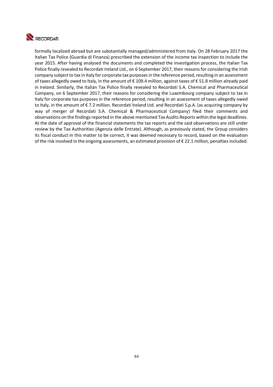

formally localized abroad but are substantially managed/administered from Italy. On 28 February 2017 the Italian Tax Police (Guardia di Finanza) prescribed the extension of the income tax inspection to include the year 2015. After having analysed the documents and completed the investigation process, the Italian Tax Police finally revealed to Recordati Ireland Ltd., on 6 September 2017, their reasons for considering the Irish company subject to tax in Italy for corporate tax purposes in the reference period, resulting in an assessment of taxes allegedly owed to Italy, in the amount of € 109.4 million, against taxes of € 51.8 million already paid in Ireland. Similarly, the Italian Tax Police finally revealed to Recordati S.A. Chemical and Pharmaceutical Company, on 6 September 2017, their reasons for considering the Luxembourg company subject to tax in Italy for corporate tax purposes in the reference period, resulting in an assessment of taxes allegedly owed to Italy, in the amount of € 7.2 million. Recordati lreland Ltd. and Recordati S.p.A. (as acquiring company by way of merger of Recordati S.A. Chemical & Pharmaceutical Company) filed their comments and observations on the findings reported in the above mentioned Tax Audits Reports within the legal deadlines. At the date of approval of the financial statements the tax reports and the said observations are still under review by the Tax Authorities (Agenzia delle Entrate). Although, as previously stated, the Group considers its fiscal conduct in this matter to be correct, it was deemed necessary to record, based on the evaluation of the risk involved in the ongoing assessments, an estimated provision of € 22.1 million, penalties included.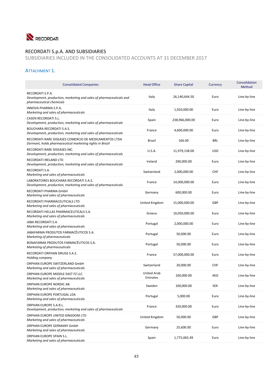

# RECORDATI S.p.A. AND SUBSIDIARIES

SUBSIDIARIES INCLUDED IN THE CONSOLIDATED ACCOUNTS AT 31 DECEMBER 2017

## ATTACHMENT 1.

| <b>Consolidated Companies</b>                                                                                       | <b>Head Office</b>             | <b>Share Capital</b> | Currency   | Consolidation<br>Method |
|---------------------------------------------------------------------------------------------------------------------|--------------------------------|----------------------|------------|-------------------------|
| RECORDATI S.P.A.<br>Development, production, marketing and sales of pharmaceuticals and<br>pharmaceutical chemicals | Italy                          | 26,140,644.50        | Euro       | Line-by-line            |
| INNOVA PHARMA S.P.A.<br>Marketing and sales of pharmaceuticals                                                      | Italy                          | 1,920,000.00         | Euro       | Line-by-line            |
| CASEN RECORDATI S.L.<br>Development, production, marketing and sales of pharmaceuticals                             | Spain                          | 238,966,000.00       | Euro       | Line-by-line            |
| <b>BOUCHARA RECORDATI S.A.S.</b><br>Development, production, marketing and sales of pharmaceuticals                 | France                         | 4,600,000.00         | Euro       | Line-by-line            |
| RECORDATI RARE DISEASES COMERCIO DE MEDICAMENTOS LTDA<br>Dormant, holds pharmaceutical marketing rights in Brazil   | <b>Brazil</b>                  | 166.00               | <b>BRL</b> | Line-by-line            |
| RECORDATI RARE DISEASES INC.<br>Development, production, marketing and sales of pharmaceuticals                     | <b>U.S.A.</b>                  | 11,979,138.00        | <b>USD</b> | Line-by-line            |
| RECORDATI IRELAND LTD<br>Development, production, marketing and sales of pharmaceuticals                            | Ireland                        | 200,000.00           | Euro       | Line-by-line            |
| RECORDATI S.A.<br>Marketing and sales of pharmaceuticals                                                            | Switzerland                    | 2,000,000.00         | <b>CHF</b> | Line-by-line            |
| LABORATOIRES BOUCHARA RECORDATI S.A.S.<br>Development, production, marketing and sales of pharmaceuticals           | France                         | 14,000,000.00        | Euro       | Line-by-line            |
| RECORDATI PHARMA GmbH<br>Marketing and sales of pharmaceuticals                                                     | Germany                        | 600,000.00           | Euro       | Line-by-line            |
| RECORDATI PHARMACEUTICALS LTD<br>Marketing and sales of pharmaceuticals                                             | United Kingdom                 | 15,000,000.00        | <b>GBP</b> | Line-by-line            |
| RECORDATI HELLAS PHARMACEUTICALS S.A.<br>Marketing and sales of pharmaceuticals                                     | Greece                         | 10,050,000.00        | Euro       | Line-by-line            |
| JABA RECORDATI S.A.<br>Marketing and sales of pharmaceuticals                                                       | Portugal                       | 2,000,000.00         | Euro       | Line-by-line            |
| JABAFARMA PRODUTOS FARMACÊUTICOS S.A.<br>Marketing of pharmaceuticals                                               | Portugal                       | 50,000.00            | Euro       | Line-by-line            |
| BONAFARMA PRODUTOS FARMACÊUTICOS S.A.<br>Marketing of pharmaceuticals                                               | Portugal                       | 50,000.00            | Euro       | Line-by-line            |
| RECORDATI ORPHAN DRUGS S.A.S.<br>Holding company                                                                    | France                         | 57,000,000.00        | Euro       | Line-by-line            |
| ORPHAN EUROPE SWITZERLAND GmbH<br>Marketing and sales of pharmaceuticals                                            | Switzerland                    | 20,000.00            | <b>CHF</b> | Line-by-line            |
| ORPHAN EUROPE MIDDLE EAST FZ LLC<br>Marketing and sales of pharmaceuticals                                          | <b>United Arab</b><br>Emirates | 100,000.00           | <b>AED</b> | Line-by-line            |
| ORPHAN EUROPE NORDIC AB<br>Marketing and sales of pharmaceuticals                                                   | Sweden                         | 100,000.00           | <b>SEK</b> | Line-by-line            |
| ORPHAN EUROPE PORTUGAL LDA<br>Marketing and sales of pharmaceuticals                                                | Portugal                       | 5,000.00             | Euro       | Line-by-line            |
| <b>ORPHAN EUROPE S.A.R.L.</b><br>Development, production, marketing and sales of pharmaceuticals                    | France                         | 320,000.00           | Euro       | Line-by-line            |
| ORPHAN EUROPE UNITED KINGDOM LTD<br>Marketing and sales of pharmaceuticals                                          | United Kingdom                 | 50,000.00            | <b>GBP</b> | Line-by-line            |
| ORPHAN EUROPE GERMANY GmbH<br>Marketing and sales of pharmaceuticals                                                | Germany                        | 25,600.00            | Euro       | Line-by-line            |
| ORPHAN EUROPE SPAIN S.L.<br>Marketing and sales of pharmaceuticals                                                  | Spain                          | 1,775,065.49         | Euro       | Line-by-line            |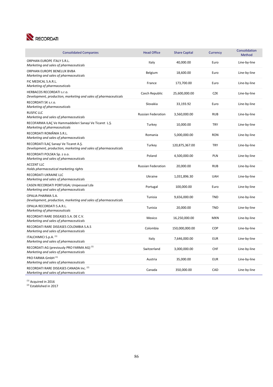

| <b>Consolidated Companies</b>                                                                            | <b>Head Office</b>        | <b>Share Capital</b> | Currency   | Consolidation<br>Method |
|----------------------------------------------------------------------------------------------------------|---------------------------|----------------------|------------|-------------------------|
| ORPHAN EUROPE ITALY S.R.L.<br>Marketing and sales of pharmaceuticals                                     | Italy                     | 40,000.00            | Euro       | Line-by-line            |
| ORPHAN EUROPE BENELUX BVBA<br>Marketing and sales of pharmaceuticals                                     | Belgium                   | 18,600.00            | Euro       | Line-by-line            |
| FIC MEDICAL S.A.R.L.<br>Marketing of pharmaceuticals                                                     | France                    | 173,700.00           | Euro       | Line-by-line            |
| HERBACOS RECORDATI s.r.o.<br>Development, production, marketing and sales of pharmaceuticals             | Czech Republic            | 25,600,000.00        | <b>CZK</b> | Line-by-line            |
| RECORDATI SK s.r.o.<br>Marketing of pharmaceuticals                                                      | Slovakia                  | 33,193.92            | Euro       | Line-by-line            |
| <b>RUSFIC LLC</b><br>Marketing and sales of pharmaceuticals                                              | <b>Russian Federation</b> | 3,560,000.00         | <b>RUB</b> | Line-by-line            |
| RECOFARMA ILAÇ Ve Hammaddeleri Sanayi Ve Ticaret L.Ş.<br>Marketing of pharmaceuticals                    | Turkey                    | 10,000.00            | <b>TRY</b> | Line-by-line            |
| RECORDATI ROMÂNIA S.R.L.<br>Marketing and sales of pharmaceuticals                                       | Romania                   | 5,000,000.00         | <b>RON</b> | Line-by-line            |
| RECORDATI İLAÇ Sanayi Ve Ticaret A.Ş.<br>Development, production, marketing and sales of pharmaceuticals | Turkey                    | 120,875,367.00       | <b>TRY</b> | Line-by-line            |
| RECORDATI POLSKA Sp. z o.o.<br>Marketing and sales of pharmaceuticals                                    | Poland                    | 4,500,000.00         | PLN        | Line-by-line            |
| <b>ACCENT LLC</b><br>Holds pharmaceutical marketing rights                                               | <b>Russian Federation</b> | 20,000.00            | <b>RUB</b> | Line-by-line            |
| <b>RECORDATI UKRAINE LLC</b><br>Marketing and sales of pharmaceuticals                                   | Ukraine                   | 1,031,896.30         | <b>UAH</b> | Line-by-line            |
| CASEN RECORDATI PORTUGAL Unipessoal Lda<br>Marketing and sales of pharmaceuticals                        | Portugal                  | 100,000.00           | Euro       | Line-by-line            |
| OPALIA PHARMA S.A.<br>Development, production, marketing and sales of pharmaceuticals                    | Tunisia                   | 9,656,000.00         | <b>TND</b> | Line-by-line            |
| OPALIA RECORDATI S.A.R.L.<br>Marketing of pharmaceuticals                                                | Tunisia                   | 20,000.00            | <b>TND</b> | Line-by-line            |
| RECORDATI RARE DISEASES S.A. DE C.V.<br>Marketing and sales of pharmaceuticals                           | Mexico                    | 16,250,000.00        | <b>MXN</b> | Line-by-line            |
| RECORDATI RARE DISEASES COLOMBIA S.A.S<br>Marketing and sales of pharmaceuticals                         | Colombia                  | 150,000,000.00       | COP        | Line-by-line            |
|                                                                                                          |                           |                      |            |                         |
| ITALCHIMICI S.p.A. (1)<br>Marketing and sales of pharmaceuticals                                         | Italy                     | 7,646,000.00         | <b>EUR</b> | Line-by-line            |
| RECORDATI AG (previously PRO FARMA AG) <sup>(1)</sup><br>Marketing and sales of pharmaceuticals          | Switzerland               | 3,000,000.00         | <b>CHF</b> | Line-by-line            |
| PRO FARMA GmbH (1)<br>Marketing and sales of pharmaceuticals                                             | Austria                   | 35,000.00            | <b>EUR</b> | Line-by-line            |

 $<sup>(1)</sup>$  Acquired in 2016</sup>

<sup>(2)</sup> Established in 2017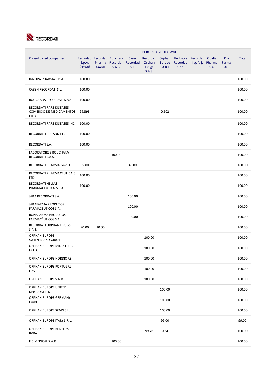

| PERCENTAGE OF OWNERSHIP                                            |                    |                |                                        |                                      |                                                      |                                     |                                                  |                  |      |                    |              |
|--------------------------------------------------------------------|--------------------|----------------|----------------------------------------|--------------------------------------|------------------------------------------------------|-------------------------------------|--------------------------------------------------|------------------|------|--------------------|--------------|
| <b>Consolidated companies</b>                                      | S.p.A.<br>(Parent) | Pharma<br>GmbH | Recordati Recordati Bouchara<br>S.A.S. | Casen<br>Recordati Recordati<br>S.L. | Recordati<br>Orphan<br><b>Drugs</b><br><b>S.A.S.</b> | Orphan<br>Europe<br><b>S.A.R.L.</b> | Herbacos Recordati Opalia<br>Recordati<br>S.T.O. | Ilaç A.Ş. Pharma | S.A. | Pro<br>Farma<br>AG | <b>Total</b> |
| INNOVA PHARMA S.P.A.                                               | 100.00             |                |                                        |                                      |                                                      |                                     |                                                  |                  |      |                    | 100.00       |
| CASEN RECORDATI S.L.                                               | 100.00             |                |                                        |                                      |                                                      |                                     |                                                  |                  |      |                    | 100.00       |
| <b>BOUCHARA RECORDATI S.A.S.</b>                                   | 100.00             |                |                                        |                                      |                                                      |                                     |                                                  |                  |      |                    | 100.00       |
| RECORDATI RARE DISEASES<br>COMERCIO DE MEDICAMENTOS<br><b>LTDA</b> | 99.398             |                |                                        |                                      |                                                      | 0.602                               |                                                  |                  |      |                    | 100.00       |
| RECORDATI RARE DISEASES INC.                                       | 100.00             |                |                                        |                                      |                                                      |                                     |                                                  |                  |      |                    | 100.00       |
| RECORDATI IRELAND LTD                                              | 100.00             |                |                                        |                                      |                                                      |                                     |                                                  |                  |      |                    | 100.00       |
| RECORDATI S.A.                                                     | 100.00             |                |                                        |                                      |                                                      |                                     |                                                  |                  |      |                    | 100.00       |
| LABORATOIRES BOUCHARA<br>RECORDATI S.A.S.                          |                    |                | 100.00                                 |                                      |                                                      |                                     |                                                  |                  |      |                    | 100.00       |
| RECORDATI PHARMA GmbH                                              | 55.00              |                |                                        | 45.00                                |                                                      |                                     |                                                  |                  |      |                    | 100.00       |
| RECORDATI PHARMACEUTICALS<br><b>LTD</b>                            | 100.00             |                |                                        |                                      |                                                      |                                     |                                                  |                  |      |                    | 100.00       |
| RECORDATI HELLAS<br>PHARMACEUTICALS S.A.                           | 100.00             |                |                                        |                                      |                                                      |                                     |                                                  |                  |      |                    | 100.00       |
| JABA RECORDATI S.A.                                                |                    |                |                                        | 100.00                               |                                                      |                                     |                                                  |                  |      |                    | 100.00       |
| <b>JABAFARMA PRODUTOS</b><br>FARMACÊUTICOS S.A.                    |                    |                |                                        | 100.00                               |                                                      |                                     |                                                  |                  |      |                    | 100.00       |
| <b>BONAFARMA PRODUTOS</b><br>FARMACÊUTICOS S.A.                    |                    |                |                                        | 100.00                               |                                                      |                                     |                                                  |                  |      |                    | 100.00       |
| <b>RECORDATI ORPHAN DRUGS</b><br>S.A.S.                            | 90.00              | 10.00          |                                        |                                      |                                                      |                                     |                                                  |                  |      |                    | 100.00       |
| <b>ORPHAN EUROPE</b><br>SWITZERLAND GmbH                           |                    |                |                                        |                                      | 100.00                                               |                                     |                                                  |                  |      |                    | 100.00       |
| ORPHAN EUROPE MIDDLE EAST<br>FZ LLC                                |                    |                |                                        |                                      | 100.00                                               |                                     |                                                  |                  |      |                    | 100.00       |
| ORPHAN EUROPE NORDIC AB                                            |                    |                |                                        |                                      | 100.00                                               |                                     |                                                  |                  |      |                    | 100.00       |
| ORPHAN EUROPE PORTUGAL<br>LDA                                      |                    |                |                                        |                                      | 100.00                                               |                                     |                                                  |                  |      |                    | 100.00       |
| ORPHAN EUROPE S.A.R.L.                                             |                    |                |                                        |                                      | 100.00                                               |                                     |                                                  |                  |      |                    | 100.00       |
| ORPHAN EUROPE UNITED<br>KINGDOM LTD                                |                    |                |                                        |                                      |                                                      | 100.00                              |                                                  |                  |      |                    | 100.00       |
| ORPHAN EUROPE GERMANY<br>GmbH                                      |                    |                |                                        |                                      |                                                      | 100.00                              |                                                  |                  |      |                    | 100.00       |
| ORPHAN EUROPE SPAIN S.L.                                           |                    |                |                                        |                                      |                                                      | 100.00                              |                                                  |                  |      |                    | 100.00       |
| ORPHAN EUROPE ITALY S.R.L.                                         |                    |                |                                        |                                      |                                                      | 99.00                               |                                                  |                  |      |                    | 99.00        |
| ORPHAN EUROPE BENELUX<br><b>BVBA</b>                               |                    |                |                                        |                                      | 99.46                                                | 0.54                                |                                                  |                  |      |                    | 100.00       |
| FIC MEDICAL S.A.R.L.                                               |                    |                | 100.00                                 |                                      |                                                      |                                     |                                                  |                  |      |                    | 100.00       |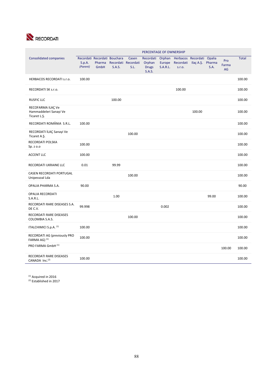

|                                                              | PERCENTAGE OF OWNERSHIP |                                                |        |                                      |                                                      |                                     |                               |                    |                          |                    |              |
|--------------------------------------------------------------|-------------------------|------------------------------------------------|--------|--------------------------------------|------------------------------------------------------|-------------------------------------|-------------------------------|--------------------|--------------------------|--------------------|--------------|
| <b>Consolidated companies</b>                                | S.p.A.<br>(Parent)      | Recordati Recordati Bouchara<br>Pharma<br>GmbH | S.A.S. | Casen<br>Recordati Recordati<br>S.L. | Recordati<br>Orphan<br><b>Drugs</b><br><b>S.A.S.</b> | Orphan<br>Europe<br><b>S.A.R.L.</b> | Recordati Ilaç A.Ş.<br>S.T.O. | Herbacos Recordati | Opalia<br>Pharma<br>S.A. | Pro<br>Farma<br>AG | <b>Total</b> |
| <b>HERBACOS RECORDATI s.r.o.</b>                             | 100.00                  |                                                |        |                                      |                                                      |                                     |                               |                    |                          |                    | 100.00       |
| RECORDATI SK s.r.o.                                          |                         |                                                |        |                                      |                                                      |                                     | 100.00                        |                    |                          |                    | 100.00       |
| <b>RUSFIC LLC</b>                                            |                         |                                                | 100.00 |                                      |                                                      |                                     |                               |                    |                          |                    | 100.00       |
| RECOFARMA ILAÇ Ve<br>Hammaddeleri Sanayi Ve<br>Ticaret L.Ş.  |                         |                                                |        |                                      |                                                      |                                     |                               | 100.00             |                          |                    | 100.00       |
| RECORDATI ROMÂNIA S.R.L.                                     | 100.00                  |                                                |        |                                      |                                                      |                                     |                               |                    |                          |                    | 100.00       |
| RECORDATI İLAÇ Sanayi Ve<br>Ticaret A.Ş.                     |                         |                                                |        | 100.00                               |                                                      |                                     |                               |                    |                          |                    | 100.00       |
| RECORDATI POLSKA<br>Sp. z o.o                                | 100.00                  |                                                |        |                                      |                                                      |                                     |                               |                    |                          |                    | 100.00       |
| <b>ACCENT LLC</b>                                            | 100.00                  |                                                |        |                                      |                                                      |                                     |                               |                    |                          |                    | 100.00       |
| RECORDATI UKRAINE LLC                                        | 0.01                    |                                                | 99.99  |                                      |                                                      |                                     |                               |                    |                          |                    | 100.00       |
| CASEN RECORDATI PORTUGAL<br>Unipessoal Lda                   |                         |                                                |        | 100.00                               |                                                      |                                     |                               |                    |                          |                    | 100.00       |
| OPALIA PHARMA S.A.                                           | 90.00                   |                                                |        |                                      |                                                      |                                     |                               |                    |                          |                    | 90.00        |
| <b>OPALIA RECORDATI</b><br>S.A.R.L.                          |                         |                                                | 1.00   |                                      |                                                      |                                     |                               |                    | 99.00                    |                    | 100.00       |
| RECORDATI RARE DISEASES S.A.<br>DE C.V.                      | 99.998                  |                                                |        |                                      |                                                      | 0.002                               |                               |                    |                          |                    | 100.00       |
| RECORDATI RARE DISEASES<br>COLOMBIA S.A.S.                   |                         |                                                |        | 100.00                               |                                                      |                                     |                               |                    |                          |                    | 100.00       |
| ITALCHIMICI S.p.A. (1)                                       | 100.00                  |                                                |        |                                      |                                                      |                                     |                               |                    |                          |                    | 100.00       |
| RECORDATI AG (previously PRO<br>FARMA AG) <sup>(1)</sup>     | 100.00                  |                                                |        |                                      |                                                      |                                     |                               |                    |                          |                    | 100.00       |
| PRO FARMA GmbH (1)                                           |                         |                                                |        |                                      |                                                      |                                     |                               |                    |                          | 100.00             | 100.00       |
| <b>RECORDATI RARE DISEASES</b><br>CANADA Inc. <sup>(2)</sup> | 100.00                  |                                                |        |                                      |                                                      |                                     |                               |                    |                          |                    | 100.00       |

 $<sup>(1)</sup>$  Acquired in 2016</sup> <sup>(2)</sup> Established in 2017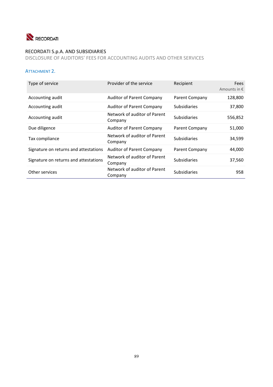

# RECORDATI S.p.A. AND SUBSIDIARIES

DISCLOSURE OF AUDITORS' FEES FOR ACCOUNTING AUDITS AND OTHER SERVICES

## ATTACHMENT 2.

| Type of service                       | Provider of the service                 | Recipient           | Fees<br>Amounts in $\epsilon$ |
|---------------------------------------|-----------------------------------------|---------------------|-------------------------------|
| Accounting audit                      | <b>Auditor of Parent Company</b>        | Parent Company      | 128,800                       |
| Accounting audit                      | <b>Auditor of Parent Company</b>        | <b>Subsidiaries</b> | 37,800                        |
| Accounting audit                      | Network of auditor of Parent<br>Company | <b>Subsidiaries</b> | 556,852                       |
| Due diligence                         | <b>Auditor of Parent Company</b>        | Parent Company      | 51,000                        |
| Tax compliance                        | Network of auditor of Parent<br>Company | <b>Subsidiaries</b> | 34,599                        |
| Signature on returns and attestations | <b>Auditor of Parent Company</b>        | Parent Company      | 44,000                        |
| Signature on returns and attestations | Network of auditor of Parent<br>Company | <b>Subsidiaries</b> | 37,560                        |
| Other services                        | Network of auditor of Parent<br>Company | <b>Subsidiaries</b> | 958                           |